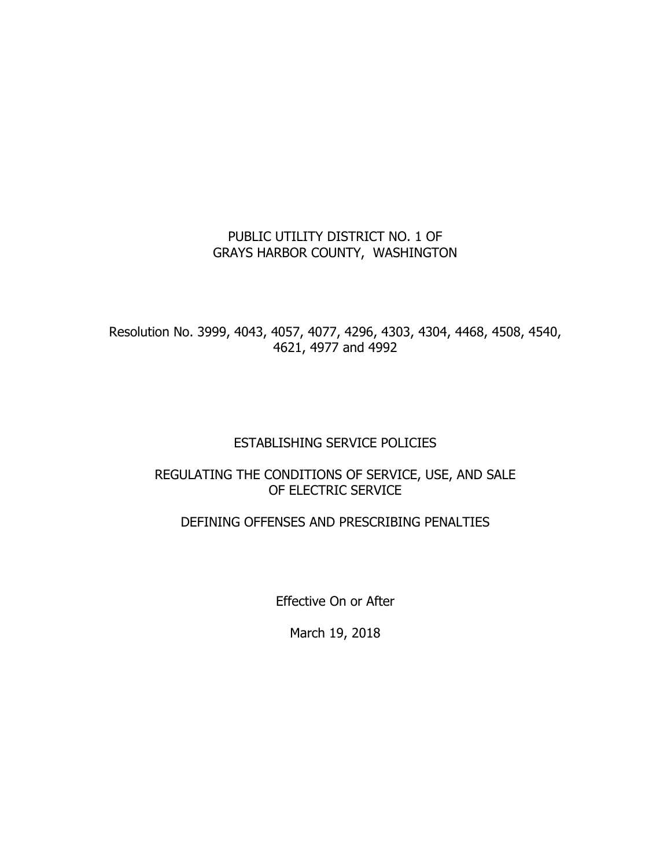## PUBLIC UTILITY DISTRICT NO. 1 OF GRAYS HARBOR COUNTY, WASHINGTON

Resolution No. 3999, 4043, 4057, 4077, 4296, 4303, 4304, 4468, 4508, 4540, 4621, 4977 and 4992

### ESTABLISHING SERVICE POLICIES

### REGULATING THE CONDITIONS OF SERVICE, USE, AND SALE OF ELECTRIC SERVICE

### DEFINING OFFENSES AND PRESCRIBING PENALTIES

Effective On or After

March 19, 2018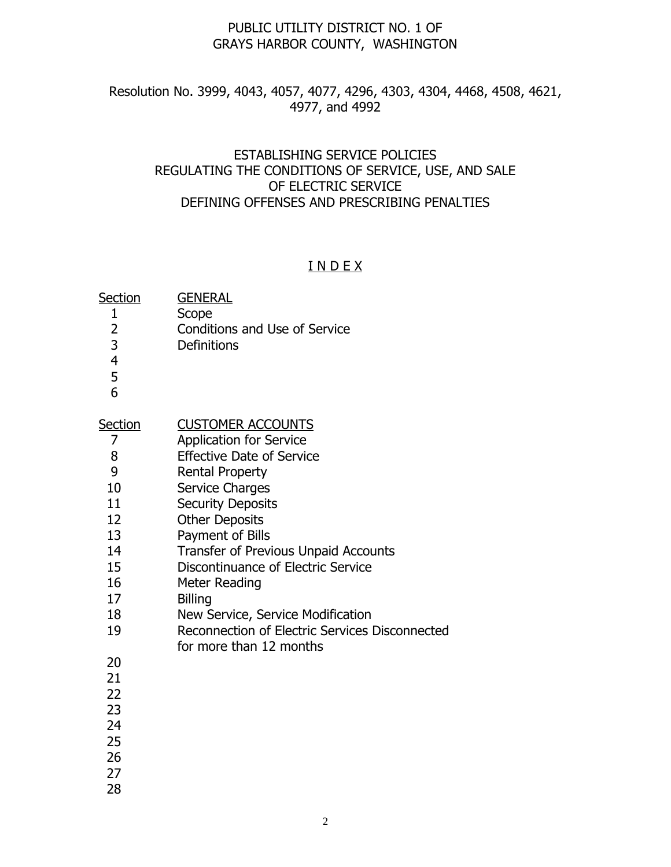#### PUBLIC UTILITY DISTRICT NO. 1 OF GRAYS HARBOR COUNTY, WASHINGTON

#### Resolution No. 3999, 4043, 4057, 4077, 4296, 4303, 4304, 4468, 4508, 4621, 4977, and 4992

#### ESTABLISHING SERVICE POLICIES REGULATING THE CONDITIONS OF SERVICE, USE, AND SALE OF ELECTRIC SERVICE DEFINING OFFENSES AND PRESCRIBING PENALTIES

#### I N D E X

| Section | <b>GENERAL</b> |
|---------|----------------|
|         |                |

- Scope
- Conditions and Use of Service
- Definitions
- 
- 
- 

## Section **CUSTOMER ACCOUNTS**

- Application for Service
- Effective Date of Service
- Rental Property
- Service Charges
- 11 Security Deposits
- Other Deposits
- Payment of Bills
- 14 Transfer of Previous Unpaid Accounts
- Discontinuance of Electric Service
- Meter Reading
- Billing
- New Service, Service Modification
- 19 Reconnection of Electric Services Disconnected for more than 12 months

- 
- 
- 
- 
- 
- 
- 
-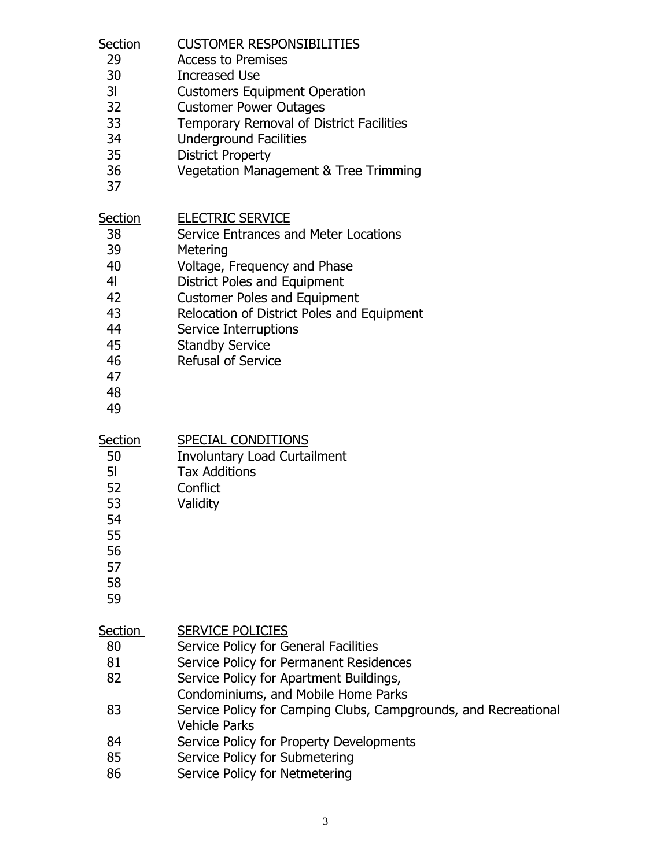| <b>CUSTOMER RESPONSIBILITIES</b><br><b>Access to Premises</b><br><b>Increased Use</b><br><b>Customers Equipment Operation</b><br><b>Customer Power Outages</b><br>Temporary Removal of District Facilities<br><b>Underground Facilities</b><br><b>District Property</b><br>Vegetation Management & Tree Trimming                                                                                         |
|----------------------------------------------------------------------------------------------------------------------------------------------------------------------------------------------------------------------------------------------------------------------------------------------------------------------------------------------------------------------------------------------------------|
| <b>ELECTRIC SERVICE</b><br>Service Entrances and Meter Locations<br>Metering<br>Voltage, Frequency and Phase<br>District Poles and Equipment<br><b>Customer Poles and Equipment</b><br>Relocation of District Poles and Equipment<br>Service Interruptions<br><b>Standby Service</b><br><b>Refusal of Service</b>                                                                                        |
| <b>SPECIAL CONDITIONS</b><br><b>Involuntary Load Curtailment</b><br><b>Tax Additions</b><br>Conflict<br>Validity                                                                                                                                                                                                                                                                                         |
| <b>SERVICE POLICIES</b><br>Service Policy for General Facilities<br>Service Policy for Permanent Residences<br>Service Policy for Apartment Buildings,<br>Condominiums, and Mobile Home Parks<br>Service Policy for Camping Clubs, Campgrounds, and Recreational<br><b>Vehicle Parks</b><br>Service Policy for Property Developments<br>Service Policy for Submetering<br>Service Policy for Netmetering |
|                                                                                                                                                                                                                                                                                                                                                                                                          |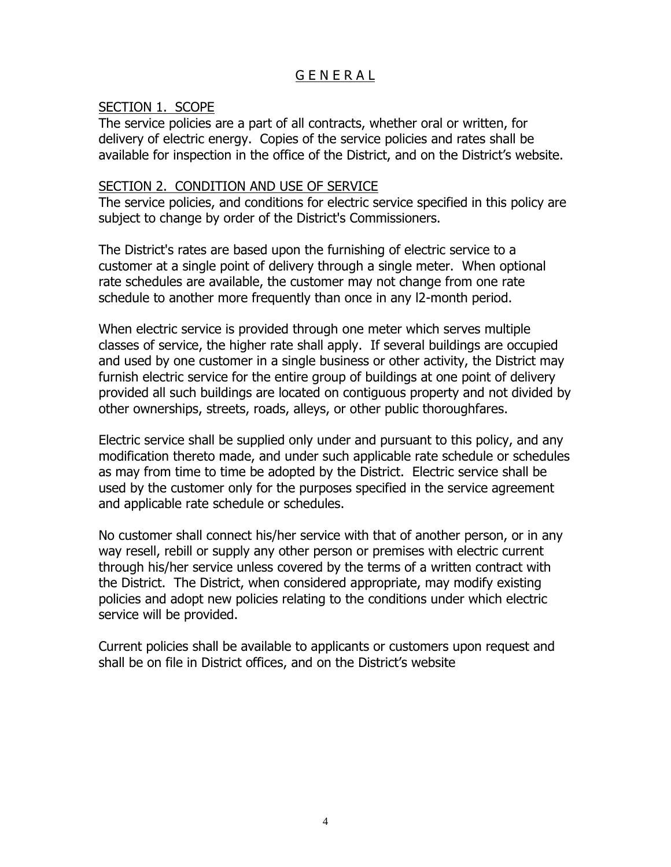# G E N E R A L

#### SECTION 1. SCOPE

The service policies are a part of all contracts, whether oral or written, for delivery of electric energy. Copies of the service policies and rates shall be available for inspection in the office of the District, and on the District's website.

#### SECTION 2. CONDITION AND USE OF SERVICE

The service policies, and conditions for electric service specified in this policy are subject to change by order of the District's Commissioners.

The District's rates are based upon the furnishing of electric service to a customer at a single point of delivery through a single meter. When optional rate schedules are available, the customer may not change from one rate schedule to another more frequently than once in any l2-month period.

When electric service is provided through one meter which serves multiple classes of service, the higher rate shall apply. If several buildings are occupied and used by one customer in a single business or other activity, the District may furnish electric service for the entire group of buildings at one point of delivery provided all such buildings are located on contiguous property and not divided by other ownerships, streets, roads, alleys, or other public thoroughfares.

Electric service shall be supplied only under and pursuant to this policy, and any modification thereto made, and under such applicable rate schedule or schedules as may from time to time be adopted by the District. Electric service shall be used by the customer only for the purposes specified in the service agreement and applicable rate schedule or schedules.

No customer shall connect his/her service with that of another person, or in any way resell, rebill or supply any other person or premises with electric current through his/her service unless covered by the terms of a written contract with the District. The District, when considered appropriate, may modify existing policies and adopt new policies relating to the conditions under which electric service will be provided.

Current policies shall be available to applicants or customers upon request and shall be on file in District offices, and on the District's website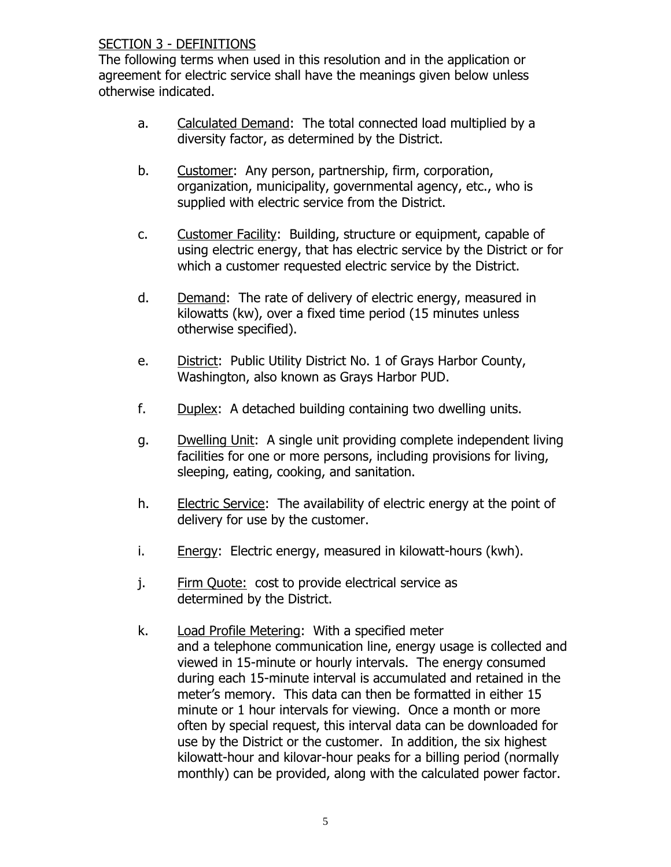## SECTION 3 - DEFINITIONS

The following terms when used in this resolution and in the application or agreement for electric service shall have the meanings given below unless otherwise indicated.

- a. Calculated Demand: The total connected load multiplied by a diversity factor, as determined by the District.
- b. Customer: Any person, partnership, firm, corporation, organization, municipality, governmental agency, etc., who is supplied with electric service from the District.
- c. Customer Facility: Building, structure or equipment, capable of using electric energy, that has electric service by the District or for which a customer requested electric service by the District.
- d. Demand: The rate of delivery of electric energy, measured in kilowatts (kw), over a fixed time period (15 minutes unless otherwise specified).
- e. District: Public Utility District No. 1 of Grays Harbor County, Washington, also known as Grays Harbor PUD.
- f. Duplex: A detached building containing two dwelling units.
- g. Dwelling Unit: A single unit providing complete independent living facilities for one or more persons, including provisions for living, sleeping, eating, cooking, and sanitation.
- h. Electric Service: The availability of electric energy at the point of delivery for use by the customer.
- i. Energy: Electric energy, measured in kilowatt-hours (kwh).
- j. Firm Quote: cost to provide electrical service as determined by the District.
- k. Load Profile Metering: With a specified meter and a telephone communication line, energy usage is collected and viewed in 15-minute or hourly intervals. The energy consumed during each 15-minute interval is accumulated and retained in the meter's memory. This data can then be formatted in either 15 minute or 1 hour intervals for viewing. Once a month or more often by special request, this interval data can be downloaded for use by the District or the customer. In addition, the six highest kilowatt-hour and kilovar-hour peaks for a billing period (normally monthly) can be provided, along with the calculated power factor.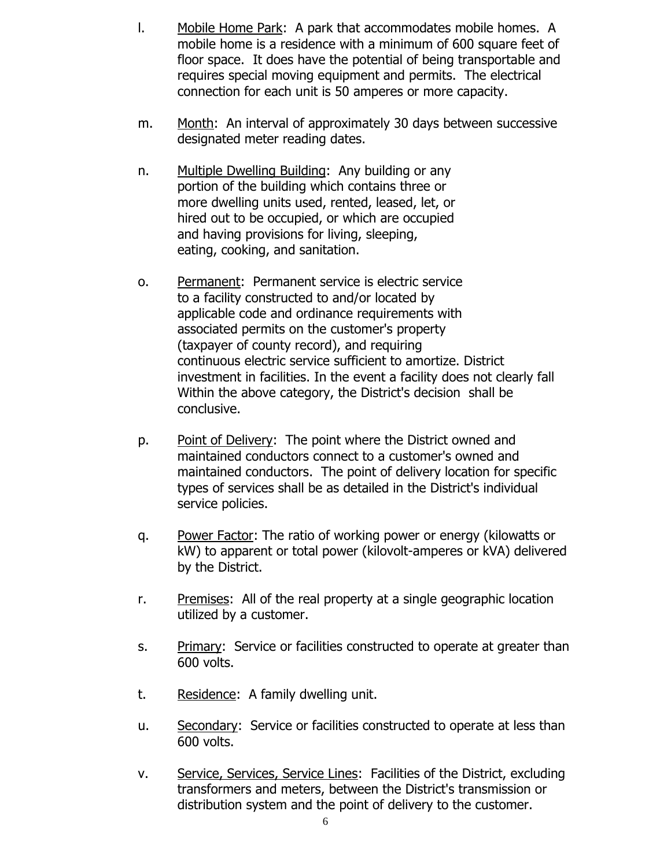- l. Mobile Home Park: A park that accommodates mobile homes. A mobile home is a residence with a minimum of 600 square feet of floor space. It does have the potential of being transportable and requires special moving equipment and permits. The electrical connection for each unit is 50 amperes or more capacity.
- m. Month: An interval of approximately 30 days between successive designated meter reading dates.
- n. Multiple Dwelling Building: Any building or any portion of the building which contains three or more dwelling units used, rented, leased, let, or hired out to be occupied, or which are occupied and having provisions for living, sleeping, eating, cooking, and sanitation.
- o. Permanent: Permanent service is electric service to a facility constructed to and/or located by applicable code and ordinance requirements with associated permits on the customer's property (taxpayer of county record), and requiring continuous electric service sufficient to amortize. District investment in facilities. In the event a facility does not clearly fall Within the above category, the District's decision shall be conclusive.
- p. Point of Delivery: The point where the District owned and maintained conductors connect to a customer's owned and maintained conductors. The point of delivery location for specific types of services shall be as detailed in the District's individual service policies.
- q. Power Factor: The ratio of working power or energy (kilowatts or kW) to apparent or total power (kilovolt-amperes or kVA) delivered by the District.
- r. Premises: All of the real property at a single geographic location utilized by a customer.
- s. Primary: Service or facilities constructed to operate at greater than 600 volts.
- t. Residence: A family dwelling unit.
- u. Secondary: Service or facilities constructed to operate at less than 600 volts.
- v. Service, Services, Service Lines: Facilities of the District, excluding transformers and meters, between the District's transmission or distribution system and the point of delivery to the customer.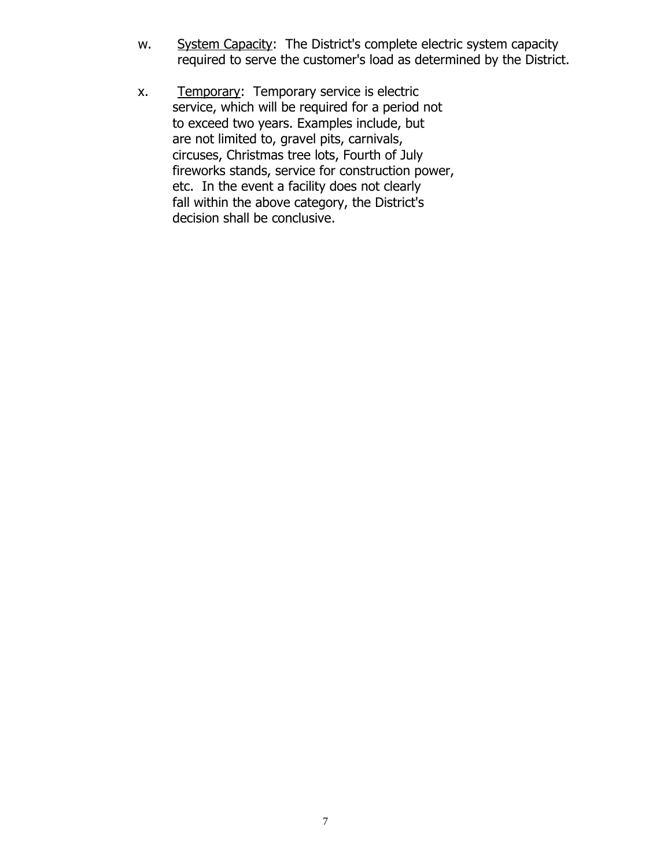- w. System Capacity: The District's complete electric system capacity required to serve the customer's load as determined by the District.
- x. Temporary: Temporary service is electric service, which will be required for a period not to exceed two years. Examples include, but are not limited to, gravel pits, carnivals, circuses, Christmas tree lots, Fourth of July fireworks stands, service for construction power, etc. In the event a facility does not clearly fall within the above category, the District's decision shall be conclusive.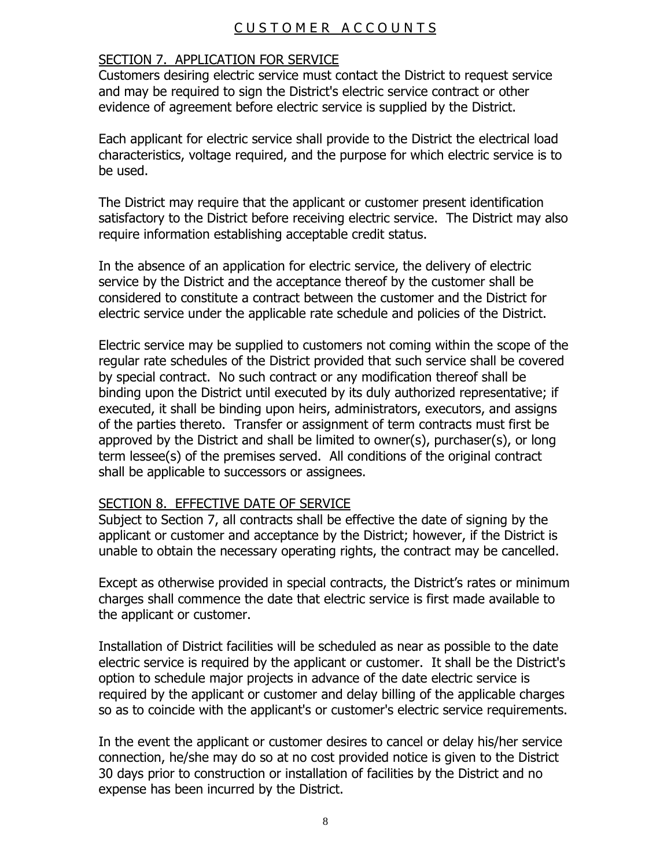## CUSTOMER ACCOUNTS

#### SECTION 7. APPLICATION FOR SERVICE

Customers desiring electric service must contact the District to request service and may be required to sign the District's electric service contract or other evidence of agreement before electric service is supplied by the District.

Each applicant for electric service shall provide to the District the electrical load characteristics, voltage required, and the purpose for which electric service is to be used.

The District may require that the applicant or customer present identification satisfactory to the District before receiving electric service. The District may also require information establishing acceptable credit status.

In the absence of an application for electric service, the delivery of electric service by the District and the acceptance thereof by the customer shall be considered to constitute a contract between the customer and the District for electric service under the applicable rate schedule and policies of the District.

Electric service may be supplied to customers not coming within the scope of the regular rate schedules of the District provided that such service shall be covered by special contract. No such contract or any modification thereof shall be binding upon the District until executed by its duly authorized representative; if executed, it shall be binding upon heirs, administrators, executors, and assigns of the parties thereto. Transfer or assignment of term contracts must first be approved by the District and shall be limited to owner(s), purchaser(s), or long term lessee(s) of the premises served. All conditions of the original contract shall be applicable to successors or assignees.

#### SECTION 8. EFFECTIVE DATE OF SERVICE

Subject to Section 7, all contracts shall be effective the date of signing by the applicant or customer and acceptance by the District; however, if the District is unable to obtain the necessary operating rights, the contract may be cancelled.

Except as otherwise provided in special contracts, the District's rates or minimum charges shall commence the date that electric service is first made available to the applicant or customer.

Installation of District facilities will be scheduled as near as possible to the date electric service is required by the applicant or customer. It shall be the District's option to schedule major projects in advance of the date electric service is required by the applicant or customer and delay billing of the applicable charges so as to coincide with the applicant's or customer's electric service requirements.

In the event the applicant or customer desires to cancel or delay his/her service connection, he/she may do so at no cost provided notice is given to the District 30 days prior to construction or installation of facilities by the District and no expense has been incurred by the District.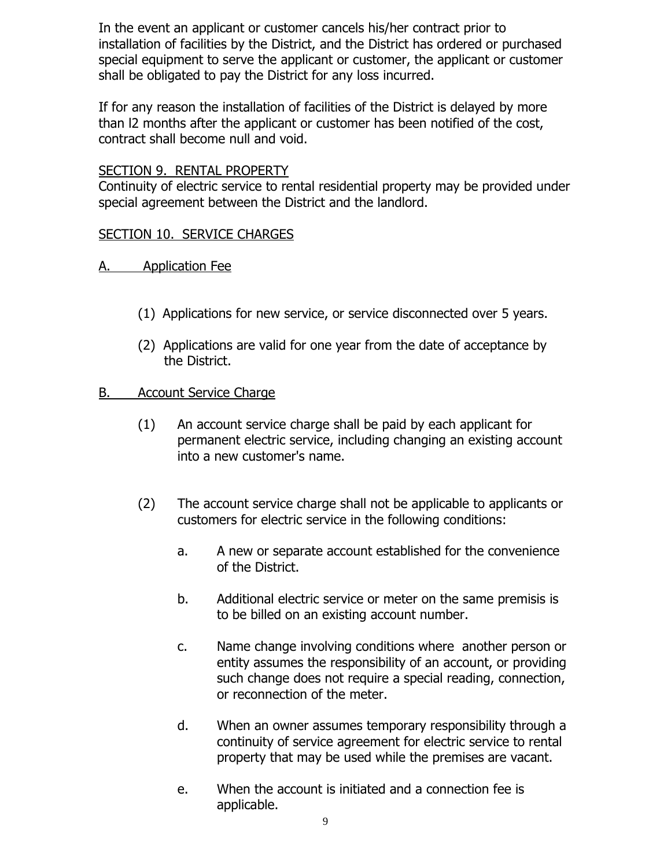In the event an applicant or customer cancels his/her contract prior to installation of facilities by the District, and the District has ordered or purchased special equipment to serve the applicant or customer, the applicant or customer shall be obligated to pay the District for any loss incurred.

If for any reason the installation of facilities of the District is delayed by more than l2 months after the applicant or customer has been notified of the cost, contract shall become null and void.

#### SECTION 9. RENTAL PROPERTY

Continuity of electric service to rental residential property may be provided under special agreement between the District and the landlord.

#### SECTION 10. SERVICE CHARGES

- A. Application Fee
	- (1) Applications for new service, or service disconnected over 5 years.
	- (2) Applications are valid for one year from the date of acceptance by the District.

#### B. Account Service Charge

- (1) An account service charge shall be paid by each applicant for permanent electric service, including changing an existing account into a new customer's name.
- (2) The account service charge shall not be applicable to applicants or customers for electric service in the following conditions:
	- a. A new or separate account established for the convenience of the District.
	- b. Additional electric service or meter on the same premisis is to be billed on an existing account number.
	- c. Name change involving conditions where another person or entity assumes the responsibility of an account, or providing such change does not require a special reading, connection, or reconnection of the meter.
	- d. When an owner assumes temporary responsibility through a continuity of service agreement for electric service to rental property that may be used while the premises are vacant.
	- e. When the account is initiated and a connection fee is applicable.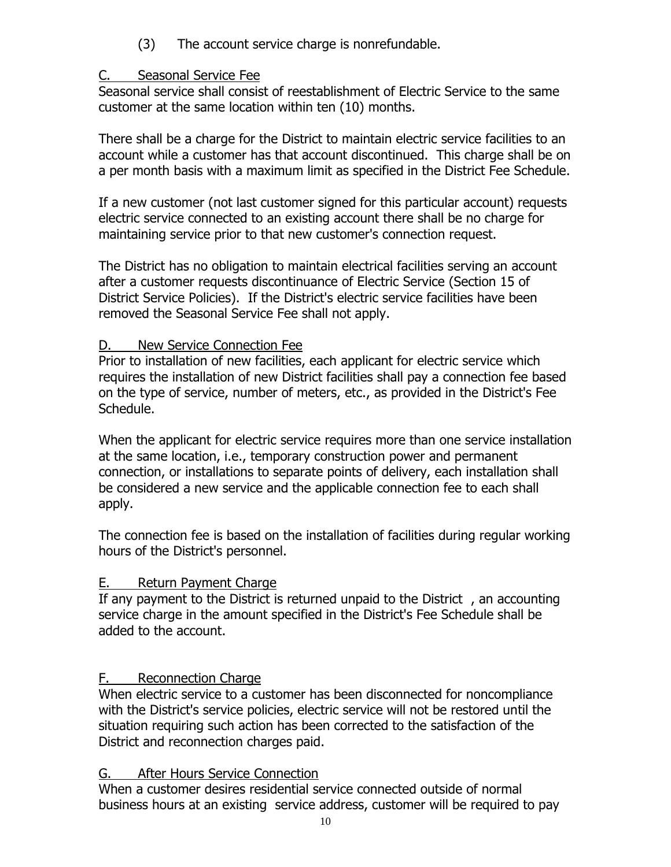(3) The account service charge is nonrefundable.

## C. Seasonal Service Fee

Seasonal service shall consist of reestablishment of Electric Service to the same customer at the same location within ten (10) months.

There shall be a charge for the District to maintain electric service facilities to an account while a customer has that account discontinued. This charge shall be on a per month basis with a maximum limit as specified in the District Fee Schedule.

If a new customer (not last customer signed for this particular account) requests electric service connected to an existing account there shall be no charge for maintaining service prior to that new customer's connection request.

The District has no obligation to maintain electrical facilities serving an account after a customer requests discontinuance of Electric Service (Section 15 of District Service Policies). If the District's electric service facilities have been removed the Seasonal Service Fee shall not apply.

# D. New Service Connection Fee

Prior to installation of new facilities, each applicant for electric service which requires the installation of new District facilities shall pay a connection fee based on the type of service, number of meters, etc., as provided in the District's Fee Schedule.

When the applicant for electric service requires more than one service installation at the same location, i.e., temporary construction power and permanent connection, or installations to separate points of delivery, each installation shall be considered a new service and the applicable connection fee to each shall apply.

The connection fee is based on the installation of facilities during regular working hours of the District's personnel.

# E. Return Payment Charge

If any payment to the District is returned unpaid to the District , an accounting service charge in the amount specified in the District's Fee Schedule shall be added to the account.

# F. Reconnection Charge

When electric service to a customer has been disconnected for noncompliance with the District's service policies, electric service will not be restored until the situation requiring such action has been corrected to the satisfaction of the District and reconnection charges paid.

# G. After Hours Service Connection

When a customer desires residential service connected outside of normal business hours at an existing service address, customer will be required to pay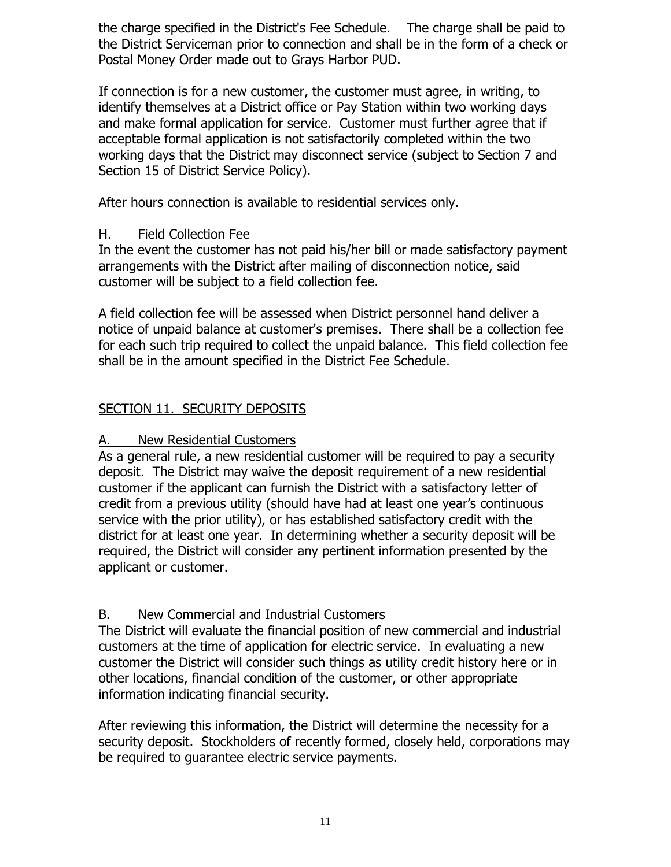the charge specified in the District's Fee Schedule. The charge shall be paid to the District Serviceman prior to connection and shall be in the form of a check or Postal Money Order made out to Grays Harbor PUD.

If connection is for a new customer, the customer must agree, in writing, to identify themselves at a District office or Pay Station within two working days and make formal application for service. Customer must further agree that if acceptable formal application is not satisfactorily completed within the two working days that the District may disconnect service (subject to Section 7 and Section 15 of District Service Policy).

After hours connection is available to residential services only.

### H. Field Collection Fee

In the event the customer has not paid his/her bill or made satisfactory payment arrangements with the District after mailing of disconnection notice, said customer will be subject to a field collection fee.

A field collection fee will be assessed when District personnel hand deliver a notice of unpaid balance at customer's premises. There shall be a collection fee for each such trip required to collect the unpaid balance. This field collection fee shall be in the amount specified in the District Fee Schedule.

# SECTION 11. SECURITY DEPOSITS

## A. New Residential Customers

As a general rule, a new residential customer will be required to pay a security deposit. The District may waive the deposit requirement of a new residential customer if the applicant can furnish the District with a satisfactory letter of credit from a previous utility (should have had at least one year's continuous service with the prior utility), or has established satisfactory credit with the district for at least one year. In determining whether a security deposit will be required, the District will consider any pertinent information presented by the applicant or customer.

# B. New Commercial and Industrial Customers

The District will evaluate the financial position of new commercial and industrial customers at the time of application for electric service. In evaluating a new customer the District will consider such things as utility credit history here or in other locations, financial condition of the customer, or other appropriate information indicating financial security.

After reviewing this information, the District will determine the necessity for a security deposit. Stockholders of recently formed, closely held, corporations may be required to guarantee electric service payments.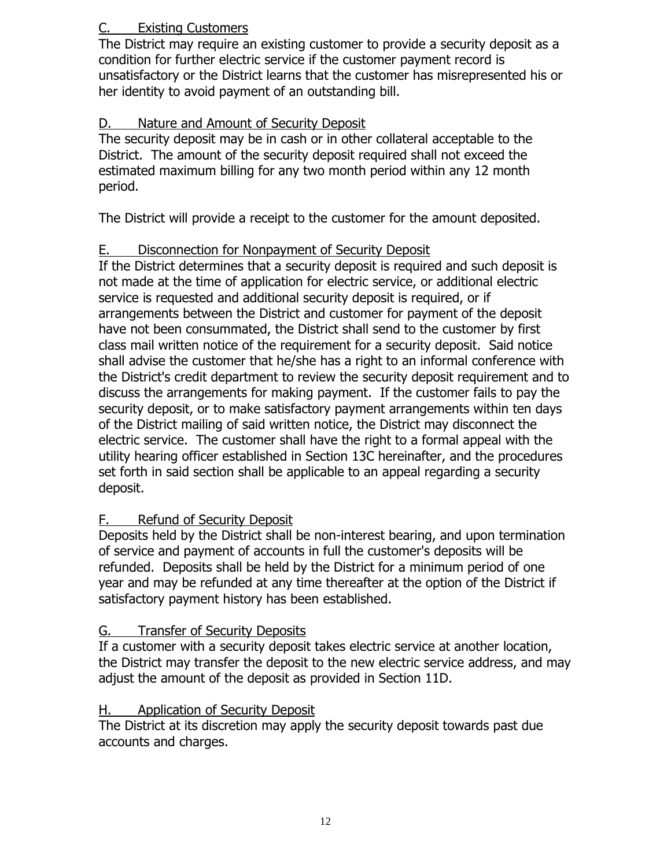# C. Existing Customers

The District may require an existing customer to provide a security deposit as a condition for further electric service if the customer payment record is unsatisfactory or the District learns that the customer has misrepresented his or her identity to avoid payment of an outstanding bill.

# D. Nature and Amount of Security Deposit

The security deposit may be in cash or in other collateral acceptable to the District. The amount of the security deposit required shall not exceed the estimated maximum billing for any two month period within any 12 month period.

The District will provide a receipt to the customer for the amount deposited.

# E. Disconnection for Nonpayment of Security Deposit

If the District determines that a security deposit is required and such deposit is not made at the time of application for electric service, or additional electric service is requested and additional security deposit is required, or if arrangements between the District and customer for payment of the deposit have not been consummated, the District shall send to the customer by first class mail written notice of the requirement for a security deposit. Said notice shall advise the customer that he/she has a right to an informal conference with the District's credit department to review the security deposit requirement and to discuss the arrangements for making payment. If the customer fails to pay the security deposit, or to make satisfactory payment arrangements within ten days of the District mailing of said written notice, the District may disconnect the electric service. The customer shall have the right to a formal appeal with the utility hearing officer established in Section 13C hereinafter, and the procedures set forth in said section shall be applicable to an appeal regarding a security deposit.

# F. Refund of Security Deposit

Deposits held by the District shall be non-interest bearing, and upon termination of service and payment of accounts in full the customer's deposits will be refunded. Deposits shall be held by the District for a minimum period of one year and may be refunded at any time thereafter at the option of the District if satisfactory payment history has been established.

# G. Transfer of Security Deposits

If a customer with a security deposit takes electric service at another location, the District may transfer the deposit to the new electric service address, and may adjust the amount of the deposit as provided in Section 11D.

# H. Application of Security Deposit

The District at its discretion may apply the security deposit towards past due accounts and charges.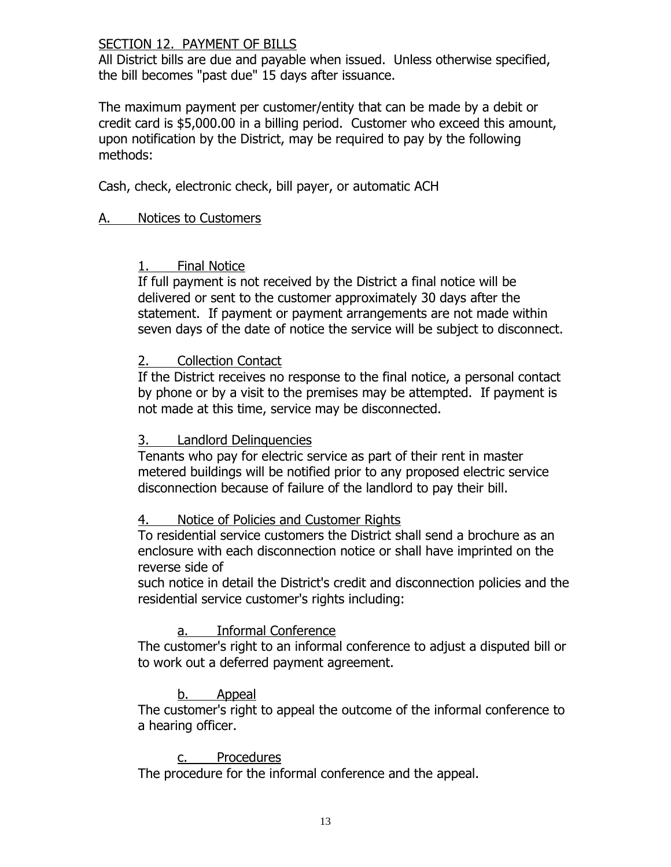#### SECTION 12. PAYMENT OF BILLS

All District bills are due and payable when issued. Unless otherwise specified, the bill becomes "past due" 15 days after issuance.

The maximum payment per customer/entity that can be made by a debit or credit card is \$5,000.00 in a billing period. Customer who exceed this amount, upon notification by the District, may be required to pay by the following methods:

Cash, check, electronic check, bill payer, or automatic ACH

#### A. Notices to Customers

#### 1. Final Notice

If full payment is not received by the District a final notice will be delivered or sent to the customer approximately 30 days after the statement. If payment or payment arrangements are not made within seven days of the date of notice the service will be subject to disconnect.

#### 2. Collection Contact

If the District receives no response to the final notice, a personal contact by phone or by a visit to the premises may be attempted. If payment is not made at this time, service may be disconnected.

#### 3. Landlord Delinquencies

Tenants who pay for electric service as part of their rent in master metered buildings will be notified prior to any proposed electric service disconnection because of failure of the landlord to pay their bill.

#### 4. Notice of Policies and Customer Rights

To residential service customers the District shall send a brochure as an enclosure with each disconnection notice or shall have imprinted on the reverse side of

such notice in detail the District's credit and disconnection policies and the residential service customer's rights including:

### a. Informal Conference

The customer's right to an informal conference to adjust a disputed bill or to work out a deferred payment agreement.

### b. Appeal

The customer's right to appeal the outcome of the informal conference to a hearing officer.

#### c. Procedures

The procedure for the informal conference and the appeal.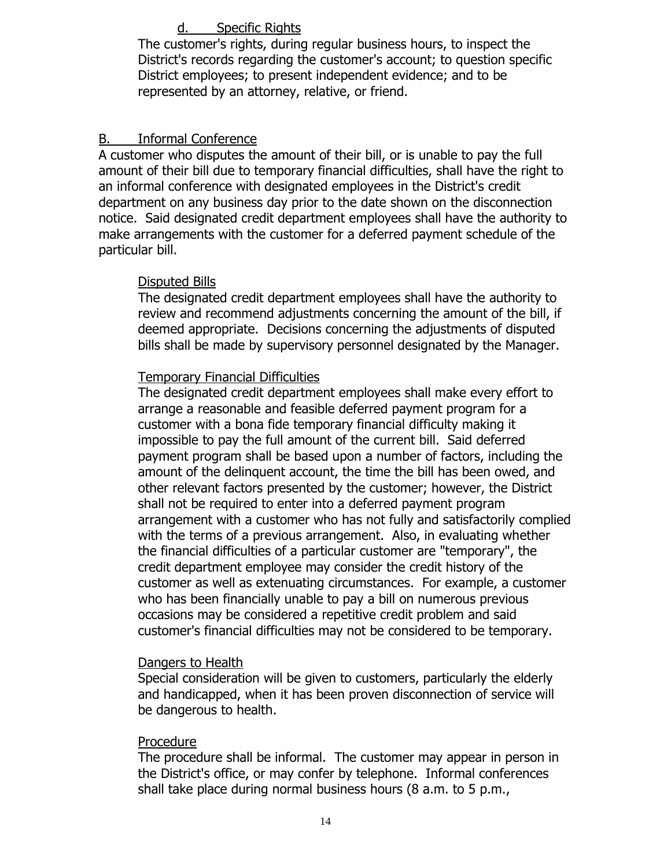### d. Specific Rights

The customer's rights, during regular business hours, to inspect the District's records regarding the customer's account; to question specific District employees; to present independent evidence; and to be represented by an attorney, relative, or friend.

#### B. Informal Conference

A customer who disputes the amount of their bill, or is unable to pay the full amount of their bill due to temporary financial difficulties, shall have the right to an informal conference with designated employees in the District's credit department on any business day prior to the date shown on the disconnection notice. Said designated credit department employees shall have the authority to make arrangements with the customer for a deferred payment schedule of the particular bill.

#### Disputed Bills

The designated credit department employees shall have the authority to review and recommend adjustments concerning the amount of the bill, if deemed appropriate. Decisions concerning the adjustments of disputed bills shall be made by supervisory personnel designated by the Manager.

### Temporary Financial Difficulties

The designated credit department employees shall make every effort to arrange a reasonable and feasible deferred payment program for a customer with a bona fide temporary financial difficulty making it impossible to pay the full amount of the current bill. Said deferred payment program shall be based upon a number of factors, including the amount of the delinquent account, the time the bill has been owed, and other relevant factors presented by the customer; however, the District shall not be required to enter into a deferred payment program arrangement with a customer who has not fully and satisfactorily complied with the terms of a previous arrangement. Also, in evaluating whether the financial difficulties of a particular customer are "temporary", the credit department employee may consider the credit history of the customer as well as extenuating circumstances. For example, a customer who has been financially unable to pay a bill on numerous previous occasions may be considered a repetitive credit problem and said customer's financial difficulties may not be considered to be temporary.

#### Dangers to Health

Special consideration will be given to customers, particularly the elderly and handicapped, when it has been proven disconnection of service will be dangerous to health.

#### Procedure

The procedure shall be informal. The customer may appear in person in the District's office, or may confer by telephone. Informal conferences shall take place during normal business hours (8 a.m. to 5 p.m.,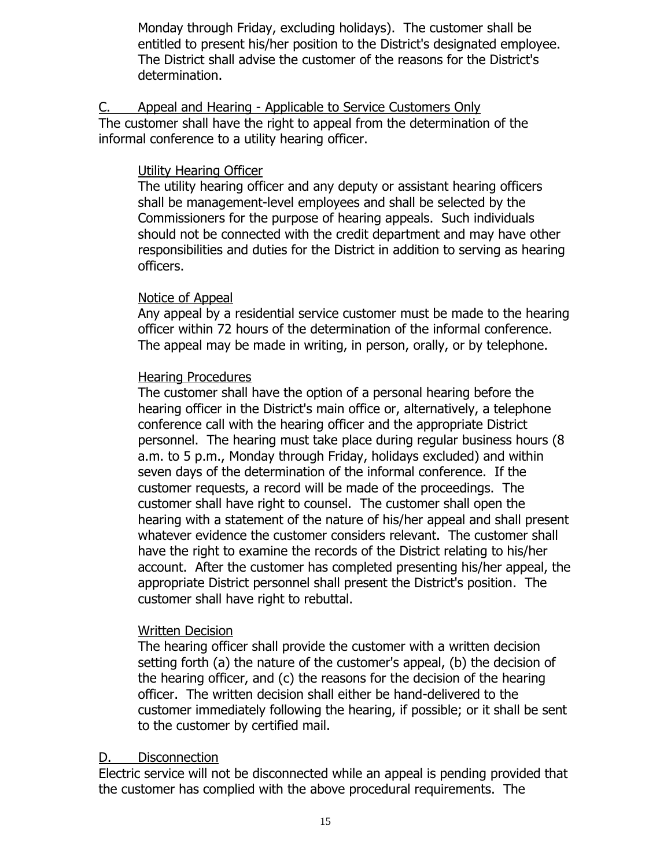Monday through Friday, excluding holidays). The customer shall be entitled to present his/her position to the District's designated employee. The District shall advise the customer of the reasons for the District's determination.

C. Appeal and Hearing - Applicable to Service Customers Only The customer shall have the right to appeal from the determination of the informal conference to a utility hearing officer.

#### Utility Hearing Officer

The utility hearing officer and any deputy or assistant hearing officers shall be management-level employees and shall be selected by the Commissioners for the purpose of hearing appeals. Such individuals should not be connected with the credit department and may have other responsibilities and duties for the District in addition to serving as hearing officers.

#### Notice of Appeal

Any appeal by a residential service customer must be made to the hearing officer within 72 hours of the determination of the informal conference. The appeal may be made in writing, in person, orally, or by telephone.

#### Hearing Procedures

The customer shall have the option of a personal hearing before the hearing officer in the District's main office or, alternatively, a telephone conference call with the hearing officer and the appropriate District personnel. The hearing must take place during regular business hours (8 a.m. to 5 p.m., Monday through Friday, holidays excluded) and within seven days of the determination of the informal conference. If the customer requests, a record will be made of the proceedings. The customer shall have right to counsel. The customer shall open the hearing with a statement of the nature of his/her appeal and shall present whatever evidence the customer considers relevant. The customer shall have the right to examine the records of the District relating to his/her account. After the customer has completed presenting his/her appeal, the appropriate District personnel shall present the District's position. The customer shall have right to rebuttal.

### Written Decision

The hearing officer shall provide the customer with a written decision setting forth (a) the nature of the customer's appeal, (b) the decision of the hearing officer, and (c) the reasons for the decision of the hearing officer. The written decision shall either be hand-delivered to the customer immediately following the hearing, if possible; or it shall be sent to the customer by certified mail.

### D. Disconnection

Electric service will not be disconnected while an appeal is pending provided that the customer has complied with the above procedural requirements. The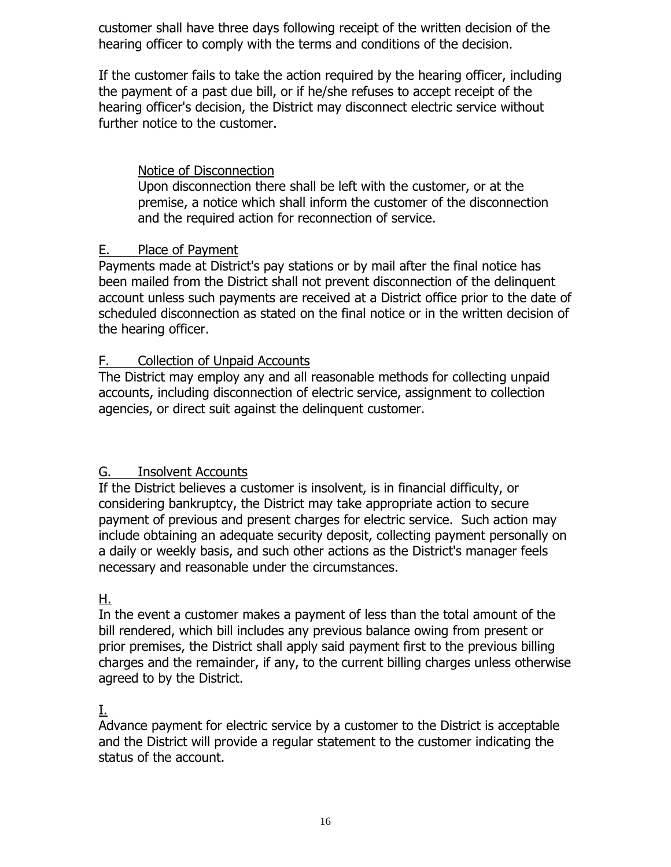customer shall have three days following receipt of the written decision of the hearing officer to comply with the terms and conditions of the decision.

If the customer fails to take the action required by the hearing officer, including the payment of a past due bill, or if he/she refuses to accept receipt of the hearing officer's decision, the District may disconnect electric service without further notice to the customer.

## Notice of Disconnection

Upon disconnection there shall be left with the customer, or at the premise, a notice which shall inform the customer of the disconnection and the required action for reconnection of service.

## E. Place of Payment

Payments made at District's pay stations or by mail after the final notice has been mailed from the District shall not prevent disconnection of the delinquent account unless such payments are received at a District office prior to the date of scheduled disconnection as stated on the final notice or in the written decision of the hearing officer.

## F. Collection of Unpaid Accounts

The District may employ any and all reasonable methods for collecting unpaid accounts, including disconnection of electric service, assignment to collection agencies, or direct suit against the delinquent customer.

# G. Insolvent Accounts

If the District believes a customer is insolvent, is in financial difficulty, or considering bankruptcy, the District may take appropriate action to secure payment of previous and present charges for electric service. Such action may include obtaining an adequate security deposit, collecting payment personally on a daily or weekly basis, and such other actions as the District's manager feels necessary and reasonable under the circumstances.

### H.

In the event a customer makes a payment of less than the total amount of the bill rendered, which bill includes any previous balance owing from present or prior premises, the District shall apply said payment first to the previous billing charges and the remainder, if any, to the current billing charges unless otherwise agreed to by the District.

# I.

Advance payment for electric service by a customer to the District is acceptable and the District will provide a regular statement to the customer indicating the status of the account.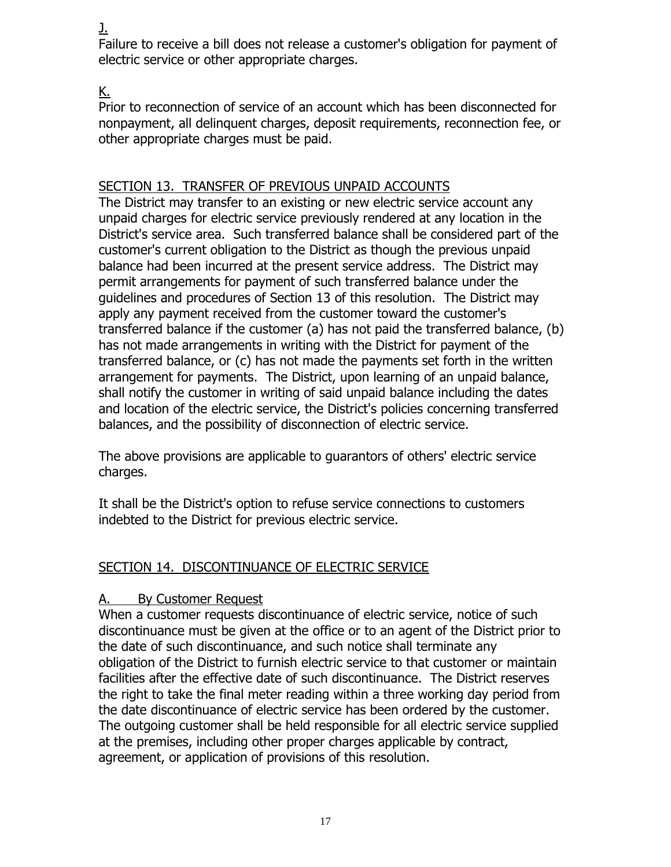J.

Failure to receive a bill does not release a customer's obligation for payment of electric service or other appropriate charges.

# K.

Prior to reconnection of service of an account which has been disconnected for nonpayment, all delinquent charges, deposit requirements, reconnection fee, or other appropriate charges must be paid.

# SECTION 13. TRANSFER OF PREVIOUS UNPAID ACCOUNTS

The District may transfer to an existing or new electric service account any unpaid charges for electric service previously rendered at any location in the District's service area. Such transferred balance shall be considered part of the customer's current obligation to the District as though the previous unpaid balance had been incurred at the present service address. The District may permit arrangements for payment of such transferred balance under the guidelines and procedures of Section 13 of this resolution. The District may apply any payment received from the customer toward the customer's transferred balance if the customer (a) has not paid the transferred balance, (b) has not made arrangements in writing with the District for payment of the transferred balance, or (c) has not made the payments set forth in the written arrangement for payments. The District, upon learning of an unpaid balance, shall notify the customer in writing of said unpaid balance including the dates and location of the electric service, the District's policies concerning transferred balances, and the possibility of disconnection of electric service.

The above provisions are applicable to guarantors of others' electric service charges.

It shall be the District's option to refuse service connections to customers indebted to the District for previous electric service.

# SECTION 14. DISCONTINUANCE OF ELECTRIC SERVICE

# A. By Customer Request

When a customer requests discontinuance of electric service, notice of such discontinuance must be given at the office or to an agent of the District prior to the date of such discontinuance, and such notice shall terminate any obligation of the District to furnish electric service to that customer or maintain facilities after the effective date of such discontinuance. The District reserves the right to take the final meter reading within a three working day period from the date discontinuance of electric service has been ordered by the customer. The outgoing customer shall be held responsible for all electric service supplied at the premises, including other proper charges applicable by contract, agreement, or application of provisions of this resolution.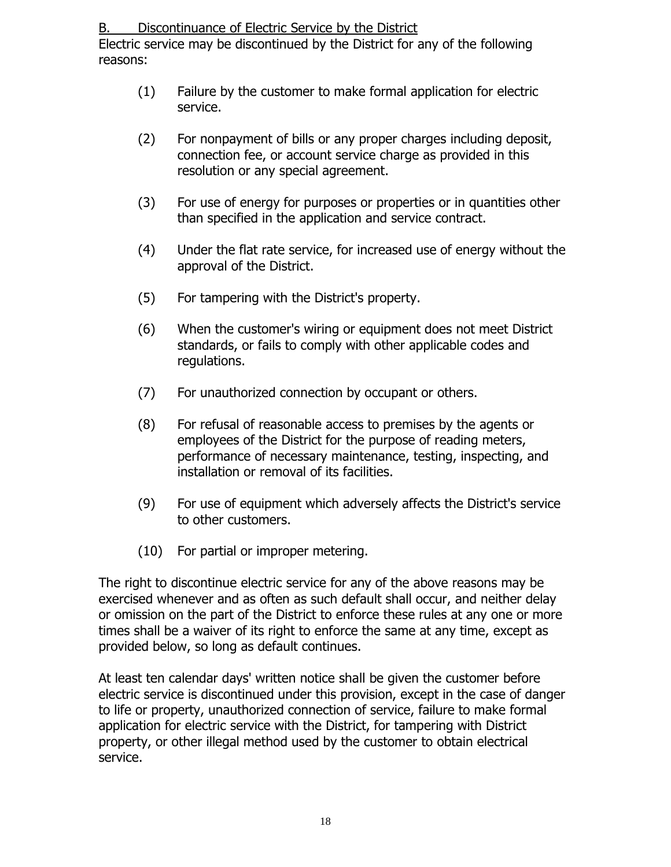B. Discontinuance of Electric Service by the District

Electric service may be discontinued by the District for any of the following reasons:

- (1) Failure by the customer to make formal application for electric service.
- (2) For nonpayment of bills or any proper charges including deposit, connection fee, or account service charge as provided in this resolution or any special agreement.
- (3) For use of energy for purposes or properties or in quantities other than specified in the application and service contract.
- (4) Under the flat rate service, for increased use of energy without the approval of the District.
- (5) For tampering with the District's property.
- (6) When the customer's wiring or equipment does not meet District standards, or fails to comply with other applicable codes and regulations.
- (7) For unauthorized connection by occupant or others.
- (8) For refusal of reasonable access to premises by the agents or employees of the District for the purpose of reading meters, performance of necessary maintenance, testing, inspecting, and installation or removal of its facilities.
- (9) For use of equipment which adversely affects the District's service to other customers.
- (10) For partial or improper metering.

The right to discontinue electric service for any of the above reasons may be exercised whenever and as often as such default shall occur, and neither delay or omission on the part of the District to enforce these rules at any one or more times shall be a waiver of its right to enforce the same at any time, except as provided below, so long as default continues.

At least ten calendar days' written notice shall be given the customer before electric service is discontinued under this provision, except in the case of danger to life or property, unauthorized connection of service, failure to make formal application for electric service with the District, for tampering with District property, or other illegal method used by the customer to obtain electrical service.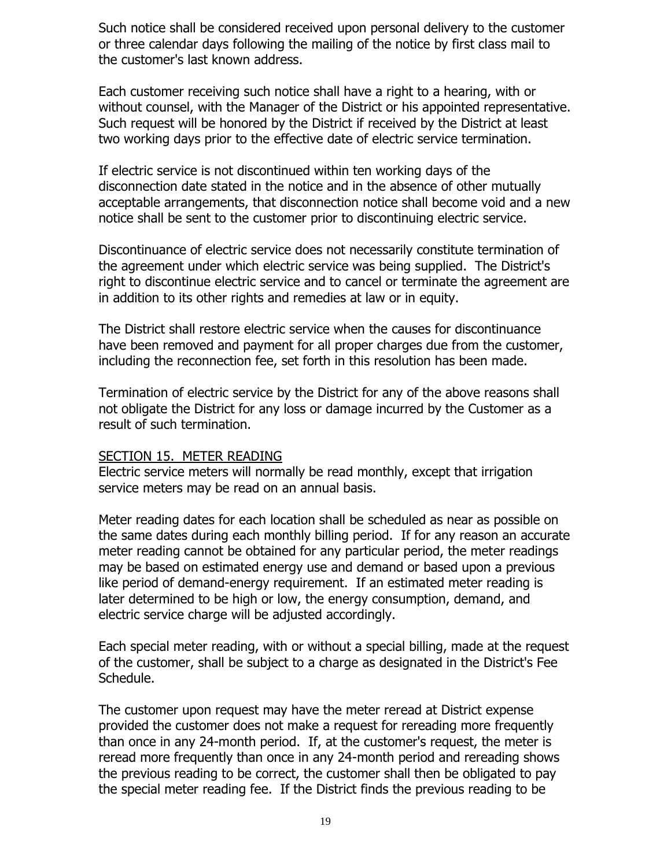Such notice shall be considered received upon personal delivery to the customer or three calendar days following the mailing of the notice by first class mail to the customer's last known address.

Each customer receiving such notice shall have a right to a hearing, with or without counsel, with the Manager of the District or his appointed representative. Such request will be honored by the District if received by the District at least two working days prior to the effective date of electric service termination.

If electric service is not discontinued within ten working days of the disconnection date stated in the notice and in the absence of other mutually acceptable arrangements, that disconnection notice shall become void and a new notice shall be sent to the customer prior to discontinuing electric service.

Discontinuance of electric service does not necessarily constitute termination of the agreement under which electric service was being supplied. The District's right to discontinue electric service and to cancel or terminate the agreement are in addition to its other rights and remedies at law or in equity.

The District shall restore electric service when the causes for discontinuance have been removed and payment for all proper charges due from the customer, including the reconnection fee, set forth in this resolution has been made.

Termination of electric service by the District for any of the above reasons shall not obligate the District for any loss or damage incurred by the Customer as a result of such termination.

#### SECTION 15. METER READING

Electric service meters will normally be read monthly, except that irrigation service meters may be read on an annual basis.

Meter reading dates for each location shall be scheduled as near as possible on the same dates during each monthly billing period. If for any reason an accurate meter reading cannot be obtained for any particular period, the meter readings may be based on estimated energy use and demand or based upon a previous like period of demand-energy requirement. If an estimated meter reading is later determined to be high or low, the energy consumption, demand, and electric service charge will be adjusted accordingly.

Each special meter reading, with or without a special billing, made at the request of the customer, shall be subject to a charge as designated in the District's Fee Schedule.

The customer upon request may have the meter reread at District expense provided the customer does not make a request for rereading more frequently than once in any 24-month period. If, at the customer's request, the meter is reread more frequently than once in any 24-month period and rereading shows the previous reading to be correct, the customer shall then be obligated to pay the special meter reading fee. If the District finds the previous reading to be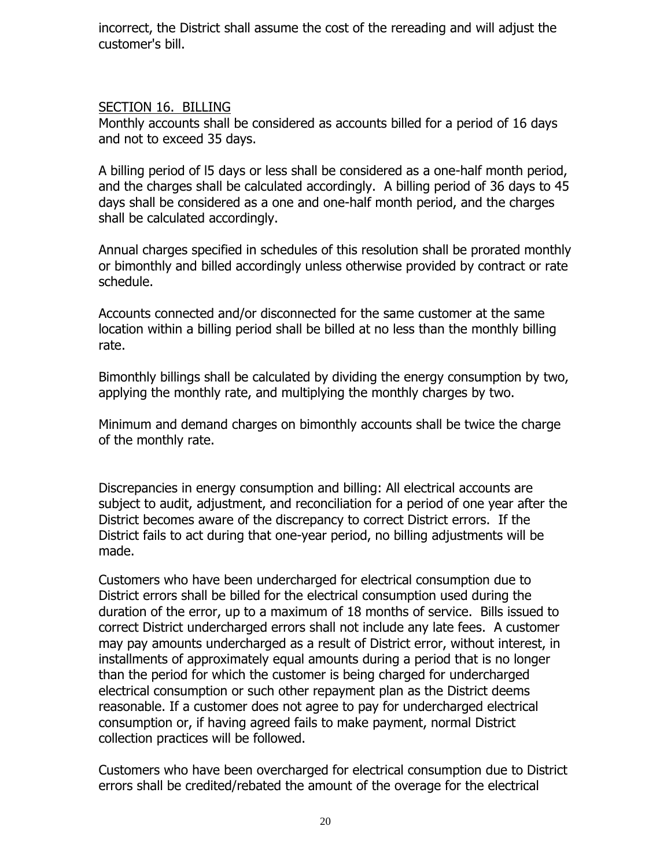incorrect, the District shall assume the cost of the rereading and will adjust the customer's bill.

## SECTION 16. BILLING

Monthly accounts shall be considered as accounts billed for a period of 16 days and not to exceed 35 days.

A billing period of l5 days or less shall be considered as a one-half month period, and the charges shall be calculated accordingly. A billing period of 36 days to 45 days shall be considered as a one and one-half month period, and the charges shall be calculated accordingly.

Annual charges specified in schedules of this resolution shall be prorated monthly or bimonthly and billed accordingly unless otherwise provided by contract or rate schedule.

Accounts connected and/or disconnected for the same customer at the same location within a billing period shall be billed at no less than the monthly billing rate.

Bimonthly billings shall be calculated by dividing the energy consumption by two, applying the monthly rate, and multiplying the monthly charges by two.

Minimum and demand charges on bimonthly accounts shall be twice the charge of the monthly rate.

Discrepancies in energy consumption and billing: All electrical accounts are subject to audit, adjustment, and reconciliation for a period of one year after the District becomes aware of the discrepancy to correct District errors. If the District fails to act during that one-year period, no billing adjustments will be made.

Customers who have been undercharged for electrical consumption due to District errors shall be billed for the electrical consumption used during the duration of the error, up to a maximum of 18 months of service. Bills issued to correct District undercharged errors shall not include any late fees. A customer may pay amounts undercharged as a result of District error, without interest, in installments of approximately equal amounts during a period that is no longer than the period for which the customer is being charged for undercharged electrical consumption or such other repayment plan as the District deems reasonable. If a customer does not agree to pay for undercharged electrical consumption or, if having agreed fails to make payment, normal District collection practices will be followed.

Customers who have been overcharged for electrical consumption due to District errors shall be credited/rebated the amount of the overage for the electrical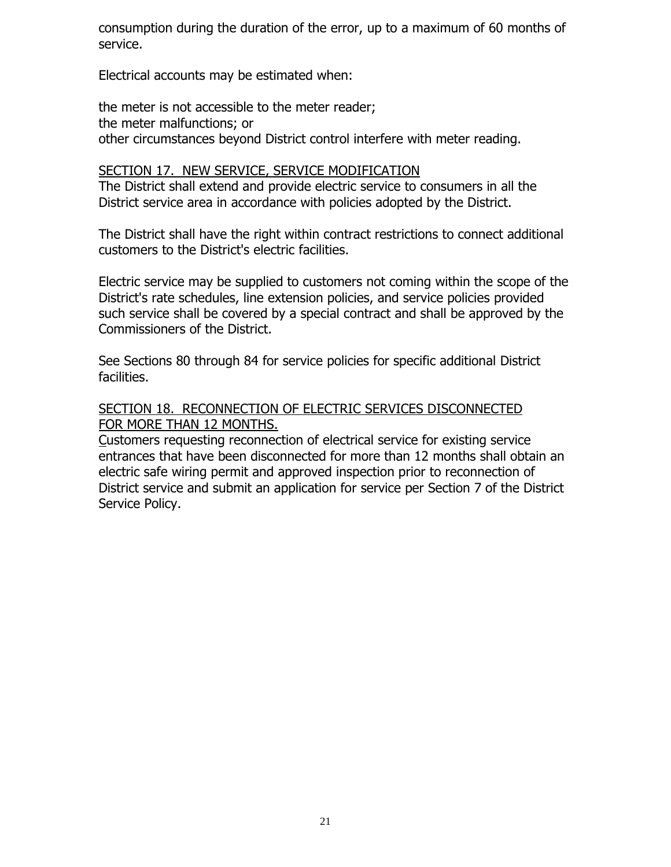consumption during the duration of the error, up to a maximum of 60 months of service.

Electrical accounts may be estimated when:

the meter is not accessible to the meter reader; the meter malfunctions; or other circumstances beyond District control interfere with meter reading.

#### SECTION 17. NEW SERVICE, SERVICE MODIFICATION

The District shall extend and provide electric service to consumers in all the District service area in accordance with policies adopted by the District.

The District shall have the right within contract restrictions to connect additional customers to the District's electric facilities.

Electric service may be supplied to customers not coming within the scope of the District's rate schedules, line extension policies, and service policies provided such service shall be covered by a special contract and shall be approved by the Commissioners of the District.

See Sections 80 through 84 for service policies for specific additional District facilities.

#### SECTION 18. RECONNECTION OF ELECTRIC SERVICES DISCONNECTED FOR MORE THAN 12 MONTHS.

Customers requesting reconnection of electrical service for existing service entrances that have been disconnected for more than 12 months shall obtain an electric safe wiring permit and approved inspection prior to reconnection of District service and submit an application for service per Section 7 of the District Service Policy.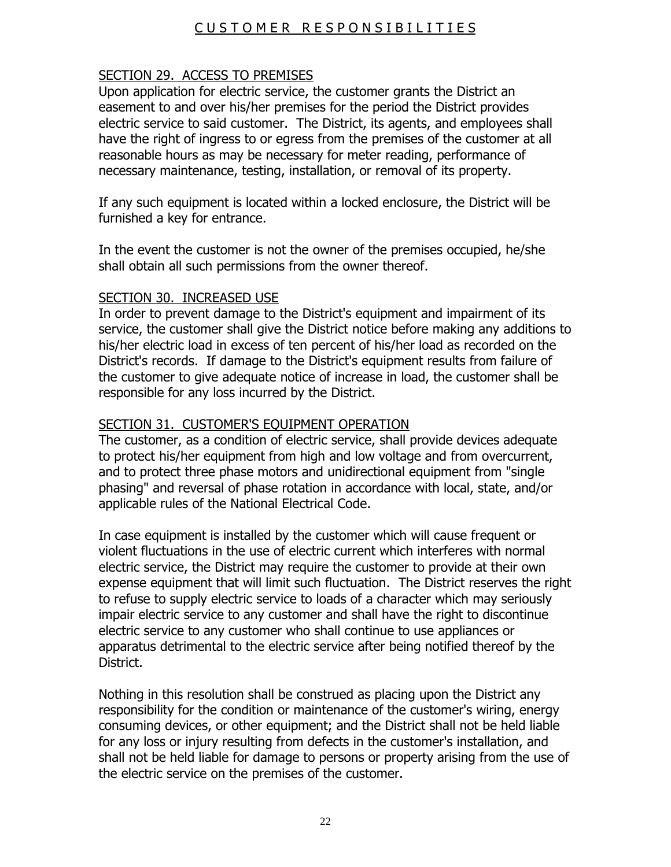# C U S T O M E R R E S P O N S I B I L I T I E S

## SECTION 29. ACCESS TO PREMISES

Upon application for electric service, the customer grants the District an easement to and over his/her premises for the period the District provides electric service to said customer. The District, its agents, and employees shall have the right of ingress to or egress from the premises of the customer at all reasonable hours as may be necessary for meter reading, performance of necessary maintenance, testing, installation, or removal of its property.

If any such equipment is located within a locked enclosure, the District will be furnished a key for entrance.

In the event the customer is not the owner of the premises occupied, he/she shall obtain all such permissions from the owner thereof.

### SECTION 30. INCREASED USE

In order to prevent damage to the District's equipment and impairment of its service, the customer shall give the District notice before making any additions to his/her electric load in excess of ten percent of his/her load as recorded on the District's records. If damage to the District's equipment results from failure of the customer to give adequate notice of increase in load, the customer shall be responsible for any loss incurred by the District.

### SECTION 31. CUSTOMER'S EQUIPMENT OPERATION

The customer, as a condition of electric service, shall provide devices adequate to protect his/her equipment from high and low voltage and from overcurrent, and to protect three phase motors and unidirectional equipment from "single phasing" and reversal of phase rotation in accordance with local, state, and/or applicable rules of the National Electrical Code.

In case equipment is installed by the customer which will cause frequent or violent fluctuations in the use of electric current which interferes with normal electric service, the District may require the customer to provide at their own expense equipment that will limit such fluctuation. The District reserves the right to refuse to supply electric service to loads of a character which may seriously impair electric service to any customer and shall have the right to discontinue electric service to any customer who shall continue to use appliances or apparatus detrimental to the electric service after being notified thereof by the District.

Nothing in this resolution shall be construed as placing upon the District any responsibility for the condition or maintenance of the customer's wiring, energy consuming devices, or other equipment; and the District shall not be held liable for any loss or injury resulting from defects in the customer's installation, and shall not be held liable for damage to persons or property arising from the use of the electric service on the premises of the customer.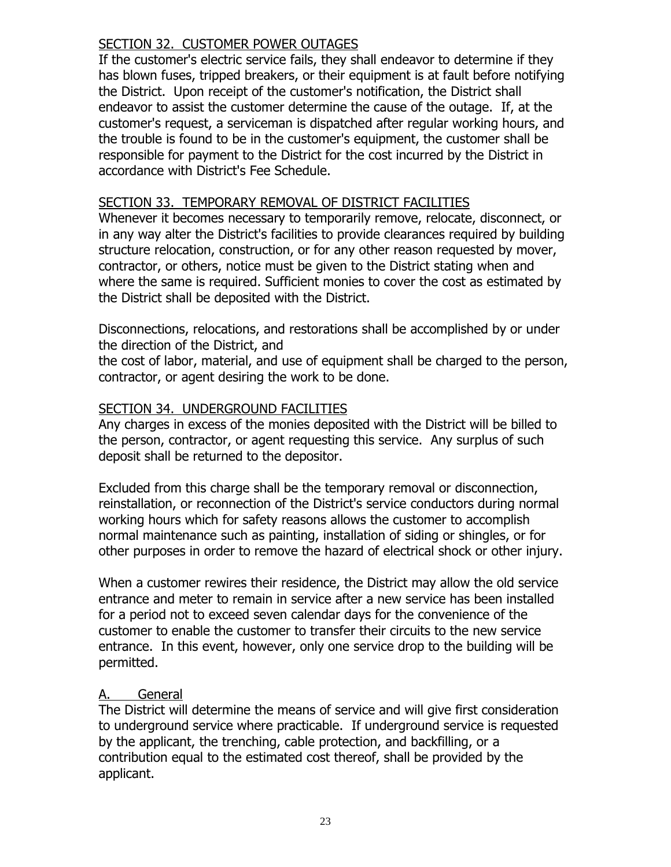## SECTION 32. CUSTOMER POWER OUTAGES

If the customer's electric service fails, they shall endeavor to determine if they has blown fuses, tripped breakers, or their equipment is at fault before notifying the District. Upon receipt of the customer's notification, the District shall endeavor to assist the customer determine the cause of the outage. If, at the customer's request, a serviceman is dispatched after regular working hours, and the trouble is found to be in the customer's equipment, the customer shall be responsible for payment to the District for the cost incurred by the District in accordance with District's Fee Schedule.

## SECTION 33. TEMPORARY REMOVAL OF DISTRICT FACILITIES

Whenever it becomes necessary to temporarily remove, relocate, disconnect, or in any way alter the District's facilities to provide clearances required by building structure relocation, construction, or for any other reason requested by mover, contractor, or others, notice must be given to the District stating when and where the same is required. Sufficient monies to cover the cost as estimated by the District shall be deposited with the District.

Disconnections, relocations, and restorations shall be accomplished by or under the direction of the District, and

the cost of labor, material, and use of equipment shall be charged to the person, contractor, or agent desiring the work to be done.

## SECTION 34. UNDERGROUND FACILITIES

Any charges in excess of the monies deposited with the District will be billed to the person, contractor, or agent requesting this service. Any surplus of such deposit shall be returned to the depositor.

Excluded from this charge shall be the temporary removal or disconnection, reinstallation, or reconnection of the District's service conductors during normal working hours which for safety reasons allows the customer to accomplish normal maintenance such as painting, installation of siding or shingles, or for other purposes in order to remove the hazard of electrical shock or other injury.

When a customer rewires their residence, the District may allow the old service entrance and meter to remain in service after a new service has been installed for a period not to exceed seven calendar days for the convenience of the customer to enable the customer to transfer their circuits to the new service entrance. In this event, however, only one service drop to the building will be permitted.

### A. General

The District will determine the means of service and will give first consideration to underground service where practicable. If underground service is requested by the applicant, the trenching, cable protection, and backfilling, or a contribution equal to the estimated cost thereof, shall be provided by the applicant.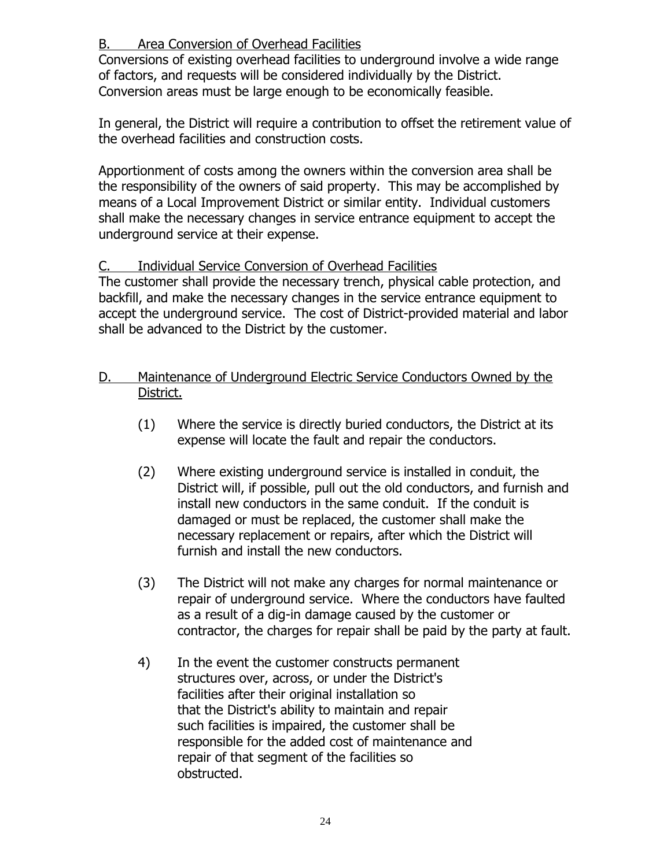## B. Area Conversion of Overhead Facilities

Conversions of existing overhead facilities to underground involve a wide range of factors, and requests will be considered individually by the District. Conversion areas must be large enough to be economically feasible.

In general, the District will require a contribution to offset the retirement value of the overhead facilities and construction costs.

Apportionment of costs among the owners within the conversion area shall be the responsibility of the owners of said property. This may be accomplished by means of a Local Improvement District or similar entity. Individual customers shall make the necessary changes in service entrance equipment to accept the underground service at their expense.

# C. Individual Service Conversion of Overhead Facilities

The customer shall provide the necessary trench, physical cable protection, and backfill, and make the necessary changes in the service entrance equipment to accept the underground service. The cost of District-provided material and labor shall be advanced to the District by the customer.

- D. Maintenance of Underground Electric Service Conductors Owned by the District.
	- (1) Where the service is directly buried conductors, the District at its expense will locate the fault and repair the conductors.
	- (2) Where existing underground service is installed in conduit, the District will, if possible, pull out the old conductors, and furnish and install new conductors in the same conduit. If the conduit is damaged or must be replaced, the customer shall make the necessary replacement or repairs, after which the District will furnish and install the new conductors.
	- (3) The District will not make any charges for normal maintenance or repair of underground service. Where the conductors have faulted as a result of a dig-in damage caused by the customer or contractor, the charges for repair shall be paid by the party at fault.
	- 4) In the event the customer constructs permanent structures over, across, or under the District's facilities after their original installation so that the District's ability to maintain and repair such facilities is impaired, the customer shall be responsible for the added cost of maintenance and repair of that segment of the facilities so obstructed.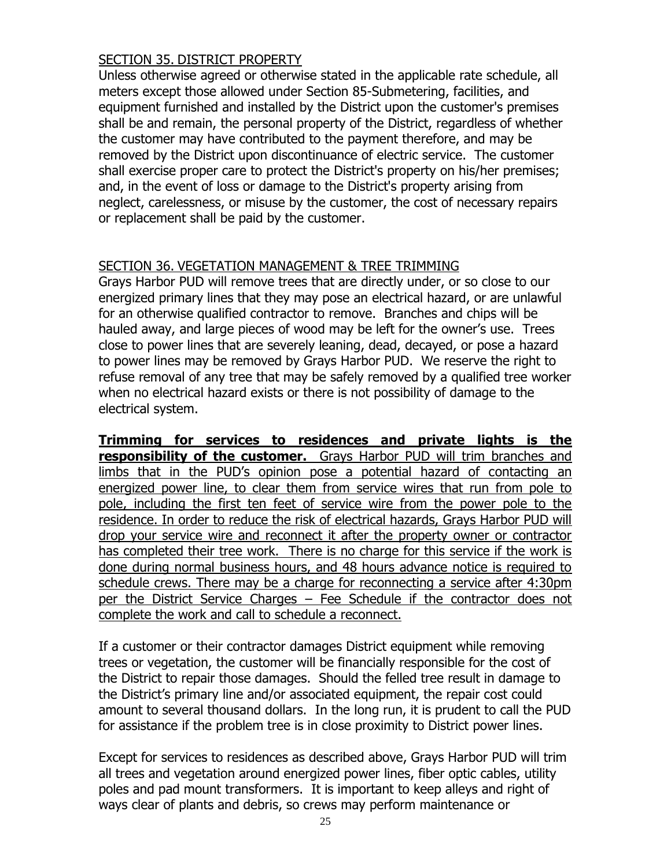### SECTION 35. DISTRICT PROPERTY

Unless otherwise agreed or otherwise stated in the applicable rate schedule, all meters except those allowed under Section 85-Submetering, facilities, and equipment furnished and installed by the District upon the customer's premises shall be and remain, the personal property of the District, regardless of whether the customer may have contributed to the payment therefore, and may be removed by the District upon discontinuance of electric service. The customer shall exercise proper care to protect the District's property on his/her premises; and, in the event of loss or damage to the District's property arising from neglect, carelessness, or misuse by the customer, the cost of necessary repairs or replacement shall be paid by the customer.

# SECTION 36. VEGETATION MANAGEMENT & TREE TRIMMING

Grays Harbor PUD will remove trees that are directly under, or so close to our energized primary lines that they may pose an electrical hazard, or are unlawful for an otherwise qualified contractor to remove. Branches and chips will be hauled away, and large pieces of wood may be left for the owner's use. Trees close to power lines that are severely leaning, dead, decayed, or pose a hazard to power lines may be removed by Grays Harbor PUD. We reserve the right to refuse removal of any tree that may be safely removed by a qualified tree worker when no electrical hazard exists or there is not possibility of damage to the electrical system.

**Trimming for services to residences and private lights is the responsibility of the customer.** Grays Harbor PUD will trim branches and limbs that in the PUD's opinion pose a potential hazard of contacting an energized power line, to clear them from service wires that run from pole to pole, including the first ten feet of service wire from the power pole to the residence. In order to reduce the risk of electrical hazards, Grays Harbor PUD will drop your service wire and reconnect it after the property owner or contractor has completed their tree work. There is no charge for this service if the work is done during normal business hours, and 48 hours advance notice is required to schedule crews. There may be a charge for reconnecting a service after 4:30pm per the District Service Charges – Fee Schedule if the contractor does not complete the work and call to schedule a reconnect.

If a customer or their contractor damages District equipment while removing trees or vegetation, the customer will be financially responsible for the cost of the District to repair those damages. Should the felled tree result in damage to the District's primary line and/or associated equipment, the repair cost could amount to several thousand dollars. In the long run, it is prudent to call the PUD for assistance if the problem tree is in close proximity to District power lines.

Except for services to residences as described above, Grays Harbor PUD will trim all trees and vegetation around energized power lines, fiber optic cables, utility poles and pad mount transformers. It is important to keep alleys and right of ways clear of plants and debris, so crews may perform maintenance or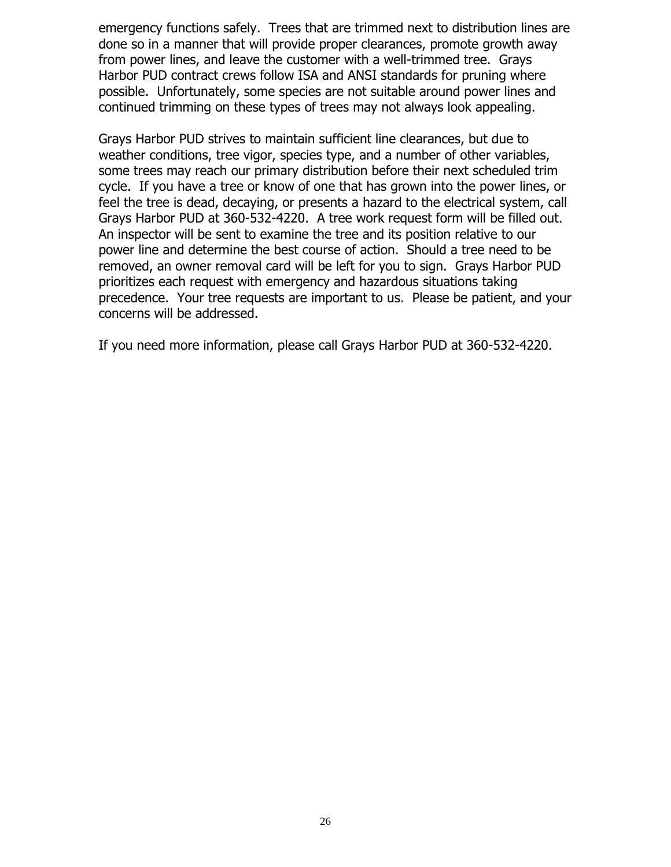emergency functions safely. Trees that are trimmed next to distribution lines are done so in a manner that will provide proper clearances, promote growth away from power lines, and leave the customer with a well-trimmed tree. Grays Harbor PUD contract crews follow ISA and ANSI standards for pruning where possible. Unfortunately, some species are not suitable around power lines and continued trimming on these types of trees may not always look appealing.

Grays Harbor PUD strives to maintain sufficient line clearances, but due to weather conditions, tree vigor, species type, and a number of other variables, some trees may reach our primary distribution before their next scheduled trim cycle. If you have a tree or know of one that has grown into the power lines, or feel the tree is dead, decaying, or presents a hazard to the electrical system, call Grays Harbor PUD at 360-532-4220. A tree work request form will be filled out. An inspector will be sent to examine the tree and its position relative to our power line and determine the best course of action. Should a tree need to be removed, an owner removal card will be left for you to sign. Grays Harbor PUD prioritizes each request with emergency and hazardous situations taking precedence. Your tree requests are important to us. Please be patient, and your concerns will be addressed.

If you need more information, please call Grays Harbor PUD at 360-532-4220.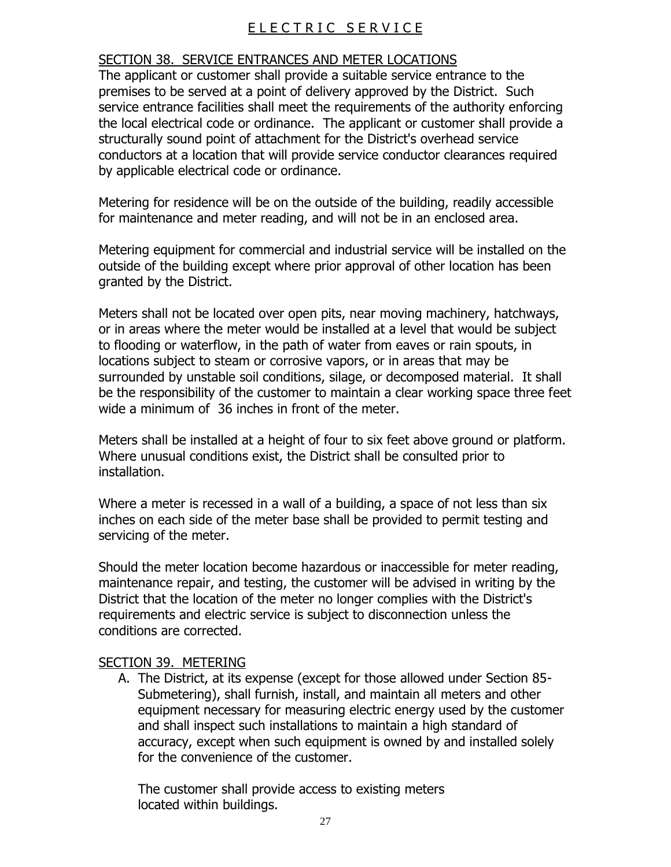# ELECTRIC SERVICE

### SECTION 38. SERVICE ENTRANCES AND METER LOCATIONS

The applicant or customer shall provide a suitable service entrance to the premises to be served at a point of delivery approved by the District. Such service entrance facilities shall meet the requirements of the authority enforcing the local electrical code or ordinance. The applicant or customer shall provide a structurally sound point of attachment for the District's overhead service conductors at a location that will provide service conductor clearances required by applicable electrical code or ordinance.

Metering for residence will be on the outside of the building, readily accessible for maintenance and meter reading, and will not be in an enclosed area.

Metering equipment for commercial and industrial service will be installed on the outside of the building except where prior approval of other location has been granted by the District.

Meters shall not be located over open pits, near moving machinery, hatchways, or in areas where the meter would be installed at a level that would be subject to flooding or waterflow, in the path of water from eaves or rain spouts, in locations subject to steam or corrosive vapors, or in areas that may be surrounded by unstable soil conditions, silage, or decomposed material. It shall be the responsibility of the customer to maintain a clear working space three feet wide a minimum of 36 inches in front of the meter.

Meters shall be installed at a height of four to six feet above ground or platform. Where unusual conditions exist, the District shall be consulted prior to installation.

Where a meter is recessed in a wall of a building, a space of not less than six inches on each side of the meter base shall be provided to permit testing and servicing of the meter.

Should the meter location become hazardous or inaccessible for meter reading, maintenance repair, and testing, the customer will be advised in writing by the District that the location of the meter no longer complies with the District's requirements and electric service is subject to disconnection unless the conditions are corrected.

#### SECTION 39. METERING

A. The District, at its expense (except for those allowed under Section 85- Submetering), shall furnish, install, and maintain all meters and other equipment necessary for measuring electric energy used by the customer and shall inspect such installations to maintain a high standard of accuracy, except when such equipment is owned by and installed solely for the convenience of the customer.

 The customer shall provide access to existing meters located within buildings.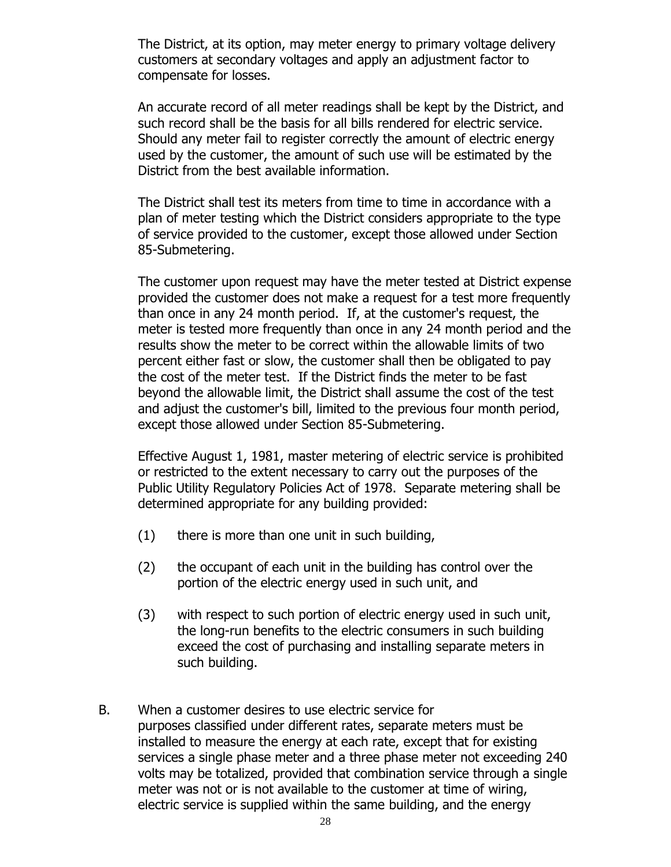The District, at its option, may meter energy to primary voltage delivery customers at secondary voltages and apply an adjustment factor to compensate for losses.

 An accurate record of all meter readings shall be kept by the District, and such record shall be the basis for all bills rendered for electric service. Should any meter fail to register correctly the amount of electric energy used by the customer, the amount of such use will be estimated by the District from the best available information.

The District shall test its meters from time to time in accordance with a plan of meter testing which the District considers appropriate to the type of service provided to the customer, except those allowed under Section 85-Submetering.

The customer upon request may have the meter tested at District expense provided the customer does not make a request for a test more frequently than once in any 24 month period. If, at the customer's request, the meter is tested more frequently than once in any 24 month period and the results show the meter to be correct within the allowable limits of two percent either fast or slow, the customer shall then be obligated to pay the cost of the meter test. If the District finds the meter to be fast beyond the allowable limit, the District shall assume the cost of the test and adjust the customer's bill, limited to the previous four month period, except those allowed under Section 85-Submetering.

 Effective August 1, 1981, master metering of electric service is prohibited or restricted to the extent necessary to carry out the purposes of the Public Utility Regulatory Policies Act of 1978. Separate metering shall be determined appropriate for any building provided:

- (1) there is more than one unit in such building,
- (2) the occupant of each unit in the building has control over the portion of the electric energy used in such unit, and
- (3) with respect to such portion of electric energy used in such unit, the long-run benefits to the electric consumers in such building exceed the cost of purchasing and installing separate meters in such building.
- B. When a customer desires to use electric service for purposes classified under different rates, separate meters must be installed to measure the energy at each rate, except that for existing services a single phase meter and a three phase meter not exceeding 240 volts may be totalized, provided that combination service through a single meter was not or is not available to the customer at time of wiring, electric service is supplied within the same building, and the energy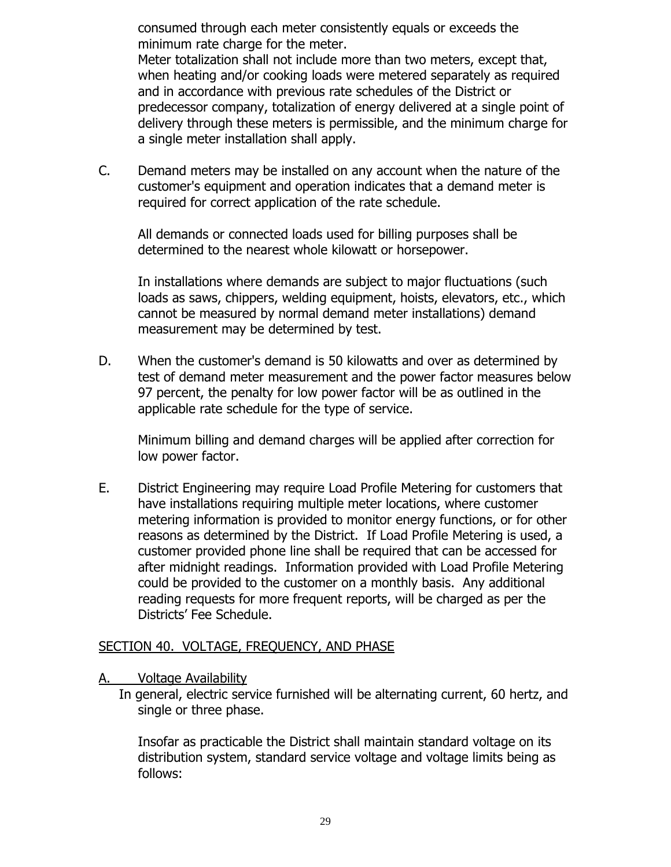consumed through each meter consistently equals or exceeds the minimum rate charge for the meter.

Meter totalization shall not include more than two meters, except that, when heating and/or cooking loads were metered separately as required and in accordance with previous rate schedules of the District or predecessor company, totalization of energy delivered at a single point of delivery through these meters is permissible, and the minimum charge for a single meter installation shall apply.

C. Demand meters may be installed on any account when the nature of the customer's equipment and operation indicates that a demand meter is required for correct application of the rate schedule.

All demands or connected loads used for billing purposes shall be determined to the nearest whole kilowatt or horsepower.

In installations where demands are subject to major fluctuations (such loads as saws, chippers, welding equipment, hoists, elevators, etc., which cannot be measured by normal demand meter installations) demand measurement may be determined by test.

D. When the customer's demand is 50 kilowatts and over as determined by test of demand meter measurement and the power factor measures below 97 percent, the penalty for low power factor will be as outlined in the applicable rate schedule for the type of service.

Minimum billing and demand charges will be applied after correction for low power factor.

E. District Engineering may require Load Profile Metering for customers that have installations requiring multiple meter locations, where customer metering information is provided to monitor energy functions, or for other reasons as determined by the District. If Load Profile Metering is used, a customer provided phone line shall be required that can be accessed for after midnight readings. Information provided with Load Profile Metering could be provided to the customer on a monthly basis. Any additional reading requests for more frequent reports, will be charged as per the Districts' Fee Schedule.

#### SECTION 40. VOLTAGE, FREQUENCY, AND PHASE

#### A. Voltage Availability

 In general, electric service furnished will be alternating current, 60 hertz, and single or three phase.

Insofar as practicable the District shall maintain standard voltage on its distribution system, standard service voltage and voltage limits being as follows: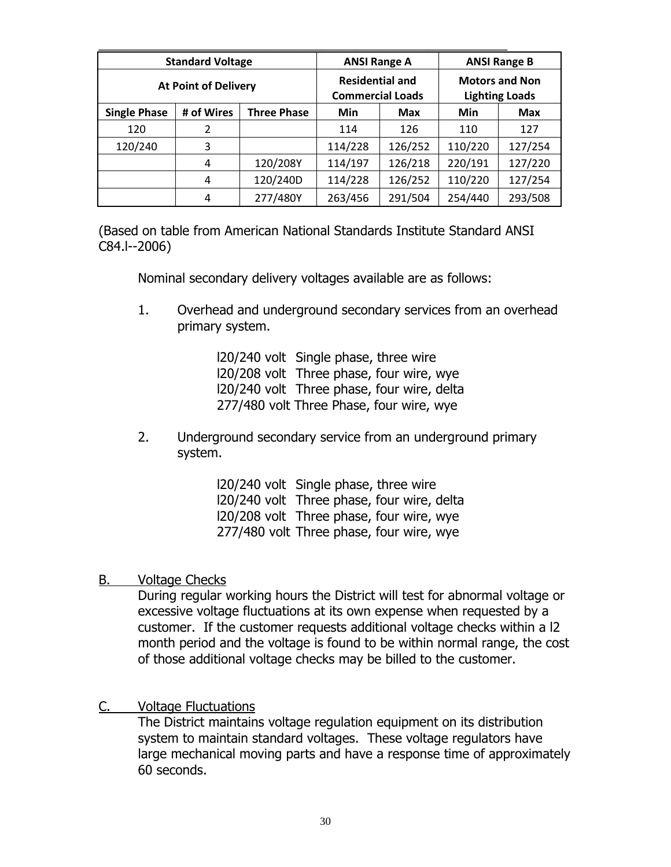| <b>Standard Voltage</b>     |            |                                                   | <b>ANSI Range A</b> |                                                | <b>ANSI Range B</b> |            |
|-----------------------------|------------|---------------------------------------------------|---------------------|------------------------------------------------|---------------------|------------|
| <b>At Point of Delivery</b> |            | <b>Residential and</b><br><b>Commercial Loads</b> |                     | <b>Motors and Non</b><br><b>Lighting Loads</b> |                     |            |
| <b>Single Phase</b>         | # of Wires | <b>Three Phase</b>                                | Min                 | <b>Max</b>                                     | Min                 | <b>Max</b> |
| 120                         | 2          |                                                   | 114                 | 126                                            | 110                 | 127        |
| 120/240                     | 3          |                                                   | 114/228             | 126/252                                        | 110/220             | 127/254    |
|                             | 4          | 120/208Y                                          | 114/197             | 126/218                                        | 220/191             | 127/220    |
|                             | 4          | 120/240D                                          | 114/228             | 126/252                                        | 110/220             | 127/254    |
|                             | 4          | 277/480Y                                          | 263/456             | 291/504                                        | 254/440             | 293/508    |

(Based on table from American National Standards Institute Standard ANSI C84.l--2006)

Nominal secondary delivery voltages available are as follows:

1. Overhead and underground secondary services from an overhead primary system.

> l20/240 volt Single phase, three wire l20/208 volt Three phase, four wire, wye l20/240 volt Three phase, four wire, delta 277/480 volt Three Phase, four wire, wye

2. Underground secondary service from an underground primary system.

> l20/240 volt Single phase, three wire l20/240 volt Three phase, four wire, delta l20/208 volt Three phase, four wire, wye 277/480 volt Three phase, four wire, wye

#### B. Voltage Checks

During regular working hours the District will test for abnormal voltage or excessive voltage fluctuations at its own expense when requested by a customer. If the customer requests additional voltage checks within a l2 month period and the voltage is found to be within normal range, the cost of those additional voltage checks may be billed to the customer.

### C. Voltage Fluctuations

The District maintains voltage regulation equipment on its distribution system to maintain standard voltages. These voltage regulators have large mechanical moving parts and have a response time of approximately 60 seconds.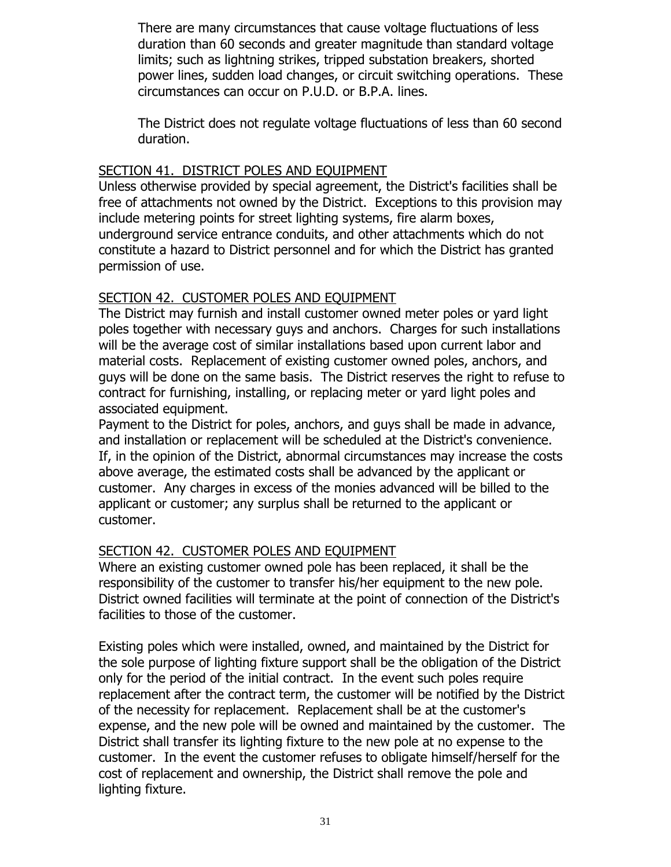There are many circumstances that cause voltage fluctuations of less duration than 60 seconds and greater magnitude than standard voltage limits; such as lightning strikes, tripped substation breakers, shorted power lines, sudden load changes, or circuit switching operations. These circumstances can occur on P.U.D. or B.P.A. lines.

The District does not regulate voltage fluctuations of less than 60 second duration.

### SECTION 41. DISTRICT POLES AND EQUIPMENT

Unless otherwise provided by special agreement, the District's facilities shall be free of attachments not owned by the District. Exceptions to this provision may include metering points for street lighting systems, fire alarm boxes, underground service entrance conduits, and other attachments which do not constitute a hazard to District personnel and for which the District has granted permission of use.

## SECTION 42. CUSTOMER POLES AND EQUIPMENT

The District may furnish and install customer owned meter poles or yard light poles together with necessary guys and anchors. Charges for such installations will be the average cost of similar installations based upon current labor and material costs. Replacement of existing customer owned poles, anchors, and guys will be done on the same basis. The District reserves the right to refuse to contract for furnishing, installing, or replacing meter or yard light poles and associated equipment.

Payment to the District for poles, anchors, and guys shall be made in advance, and installation or replacement will be scheduled at the District's convenience. If, in the opinion of the District, abnormal circumstances may increase the costs above average, the estimated costs shall be advanced by the applicant or customer. Any charges in excess of the monies advanced will be billed to the applicant or customer; any surplus shall be returned to the applicant or customer.

### SECTION 42. CUSTOMER POLES AND EQUIPMENT

Where an existing customer owned pole has been replaced, it shall be the responsibility of the customer to transfer his/her equipment to the new pole. District owned facilities will terminate at the point of connection of the District's facilities to those of the customer.

Existing poles which were installed, owned, and maintained by the District for the sole purpose of lighting fixture support shall be the obligation of the District only for the period of the initial contract. In the event such poles require replacement after the contract term, the customer will be notified by the District of the necessity for replacement. Replacement shall be at the customer's expense, and the new pole will be owned and maintained by the customer. The District shall transfer its lighting fixture to the new pole at no expense to the customer. In the event the customer refuses to obligate himself/herself for the cost of replacement and ownership, the District shall remove the pole and lighting fixture.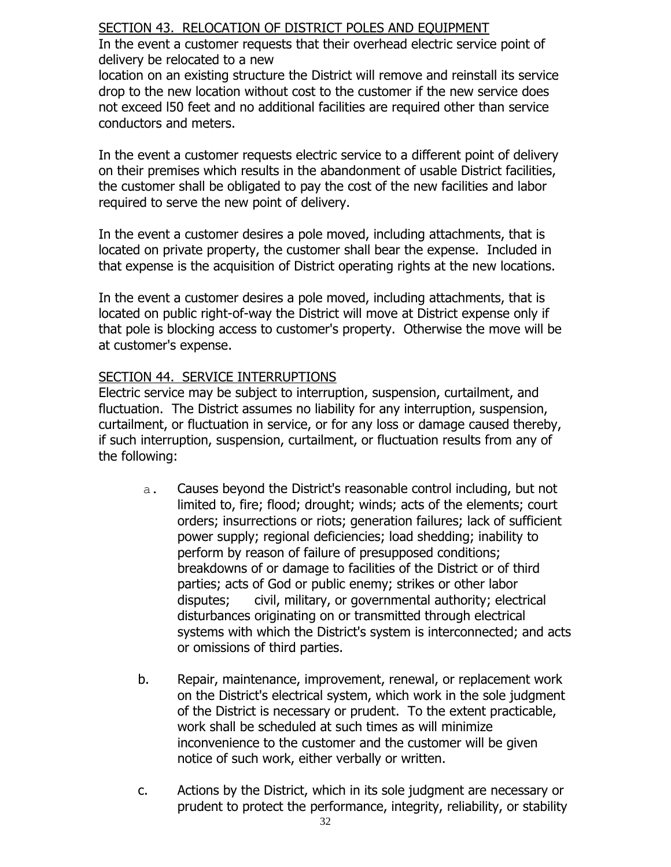## SECTION 43. RELOCATION OF DISTRICT POLES AND EQUIPMENT

In the event a customer requests that their overhead electric service point of delivery be relocated to a new

location on an existing structure the District will remove and reinstall its service drop to the new location without cost to the customer if the new service does not exceed l50 feet and no additional facilities are required other than service conductors and meters.

In the event a customer requests electric service to a different point of delivery on their premises which results in the abandonment of usable District facilities, the customer shall be obligated to pay the cost of the new facilities and labor required to serve the new point of delivery.

In the event a customer desires a pole moved, including attachments, that is located on private property, the customer shall bear the expense. Included in that expense is the acquisition of District operating rights at the new locations.

In the event a customer desires a pole moved, including attachments, that is located on public right-of-way the District will move at District expense only if that pole is blocking access to customer's property. Otherwise the move will be at customer's expense.

## SECTION 44. SERVICE INTERRUPTIONS

Electric service may be subject to interruption, suspension, curtailment, and fluctuation. The District assumes no liability for any interruption, suspension, curtailment, or fluctuation in service, or for any loss or damage caused thereby, if such interruption, suspension, curtailment, or fluctuation results from any of the following:

- a. Causes beyond the District's reasonable control including, but not limited to, fire; flood; drought; winds; acts of the elements; court orders; insurrections or riots; generation failures; lack of sufficient power supply; regional deficiencies; load shedding; inability to perform by reason of failure of presupposed conditions; breakdowns of or damage to facilities of the District or of third parties; acts of God or public enemy; strikes or other labor disputes; civil, military, or governmental authority; electrical disturbances originating on or transmitted through electrical systems with which the District's system is interconnected; and acts or omissions of third parties.
- b. Repair, maintenance, improvement, renewal, or replacement work on the District's electrical system, which work in the sole judgment of the District is necessary or prudent. To the extent practicable, work shall be scheduled at such times as will minimize inconvenience to the customer and the customer will be given notice of such work, either verbally or written.
- c. Actions by the District, which in its sole judgment are necessary or prudent to protect the performance, integrity, reliability, or stability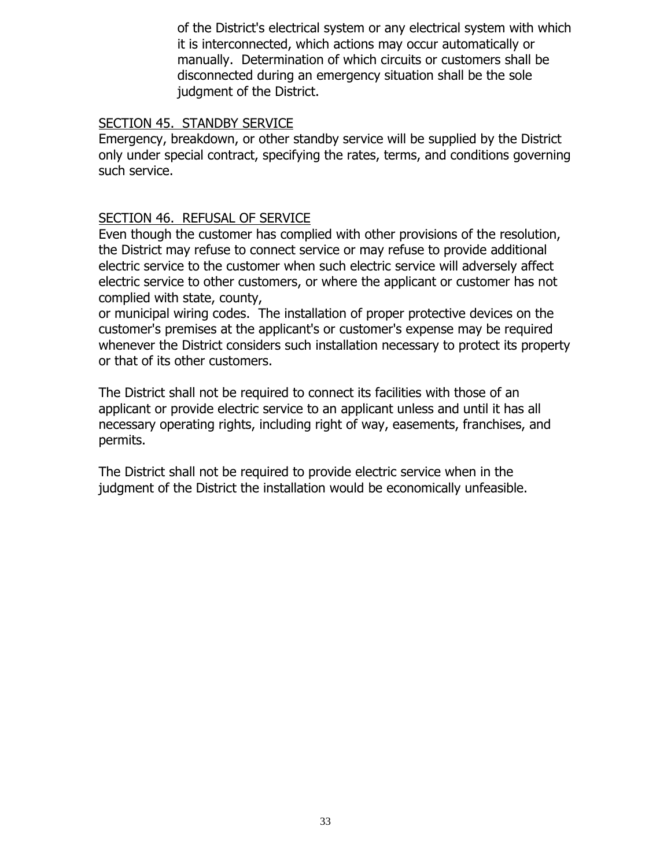of the District's electrical system or any electrical system with which it is interconnected, which actions may occur automatically or manually. Determination of which circuits or customers shall be disconnected during an emergency situation shall be the sole judgment of the District.

#### SECTION 45. STANDBY SERVICE

Emergency, breakdown, or other standby service will be supplied by the District only under special contract, specifying the rates, terms, and conditions governing such service.

#### SECTION 46. REFUSAL OF SERVICE

Even though the customer has complied with other provisions of the resolution, the District may refuse to connect service or may refuse to provide additional electric service to the customer when such electric service will adversely affect electric service to other customers, or where the applicant or customer has not complied with state, county,

or municipal wiring codes. The installation of proper protective devices on the customer's premises at the applicant's or customer's expense may be required whenever the District considers such installation necessary to protect its property or that of its other customers.

The District shall not be required to connect its facilities with those of an applicant or provide electric service to an applicant unless and until it has all necessary operating rights, including right of way, easements, franchises, and permits.

The District shall not be required to provide electric service when in the judgment of the District the installation would be economically unfeasible.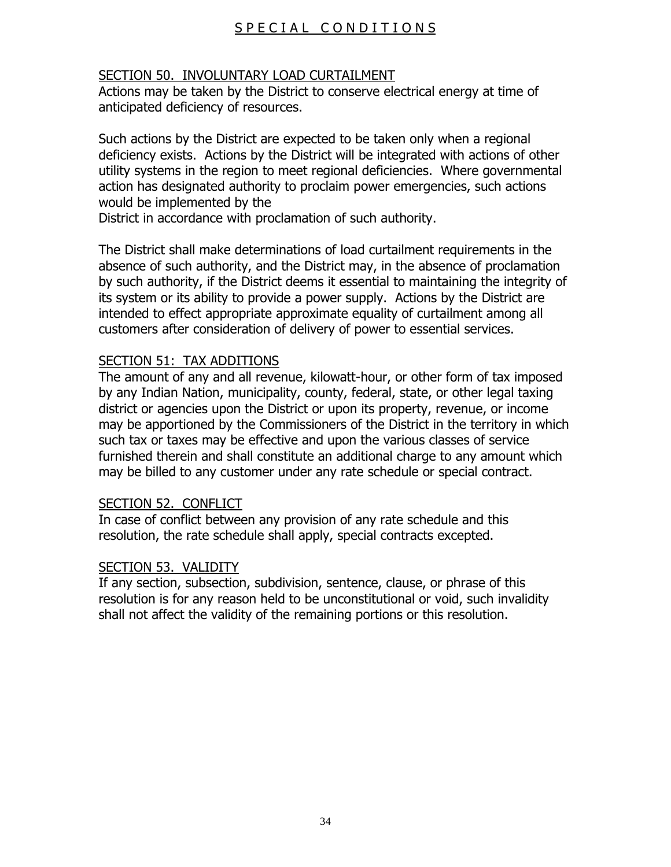# SPECIAL CONDITIONS

## SECTION 50. INVOLUNTARY LOAD CURTAILMENT

Actions may be taken by the District to conserve electrical energy at time of anticipated deficiency of resources.

Such actions by the District are expected to be taken only when a regional deficiency exists. Actions by the District will be integrated with actions of other utility systems in the region to meet regional deficiencies. Where governmental action has designated authority to proclaim power emergencies, such actions would be implemented by the

District in accordance with proclamation of such authority.

The District shall make determinations of load curtailment requirements in the absence of such authority, and the District may, in the absence of proclamation by such authority, if the District deems it essential to maintaining the integrity of its system or its ability to provide a power supply. Actions by the District are intended to effect appropriate approximate equality of curtailment among all customers after consideration of delivery of power to essential services.

### SECTION 51: TAX ADDITIONS

The amount of any and all revenue, kilowatt-hour, or other form of tax imposed by any Indian Nation, municipality, county, federal, state, or other legal taxing district or agencies upon the District or upon its property, revenue, or income may be apportioned by the Commissioners of the District in the territory in which such tax or taxes may be effective and upon the various classes of service furnished therein and shall constitute an additional charge to any amount which may be billed to any customer under any rate schedule or special contract.

### SECTION 52. CONFLICT

In case of conflict between any provision of any rate schedule and this resolution, the rate schedule shall apply, special contracts excepted.

### SECTION 53. VALIDITY

If any section, subsection, subdivision, sentence, clause, or phrase of this resolution is for any reason held to be unconstitutional or void, such invalidity shall not affect the validity of the remaining portions or this resolution.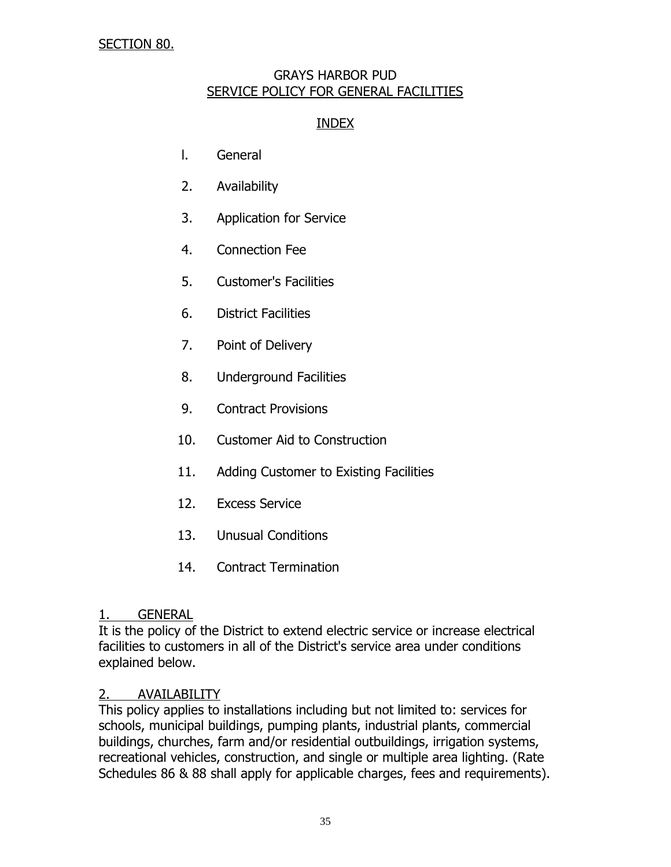## SECTION 80.

#### GRAYS HARBOR PUD SERVICE POLICY FOR GENERAL FACILITIES

## INDEX

- l. General
- 2. Availability
- 3. Application for Service
- 4. Connection Fee
- 5. Customer's Facilities
- 6. District Facilities
- 7. Point of Delivery
- 8. Underground Facilities
- 9. Contract Provisions
- 10. Customer Aid to Construction
- 11. Adding Customer to Existing Facilities
- 12. Excess Service
- 13. Unusual Conditions
- 14. Contract Termination

### 1. GENERAL

It is the policy of the District to extend electric service or increase electrical facilities to customers in all of the District's service area under conditions explained below.

### 2. AVAILABILITY

This policy applies to installations including but not limited to: services for schools, municipal buildings, pumping plants, industrial plants, commercial buildings, churches, farm and/or residential outbuildings, irrigation systems, recreational vehicles, construction, and single or multiple area lighting. (Rate Schedules 86 & 88 shall apply for applicable charges, fees and requirements).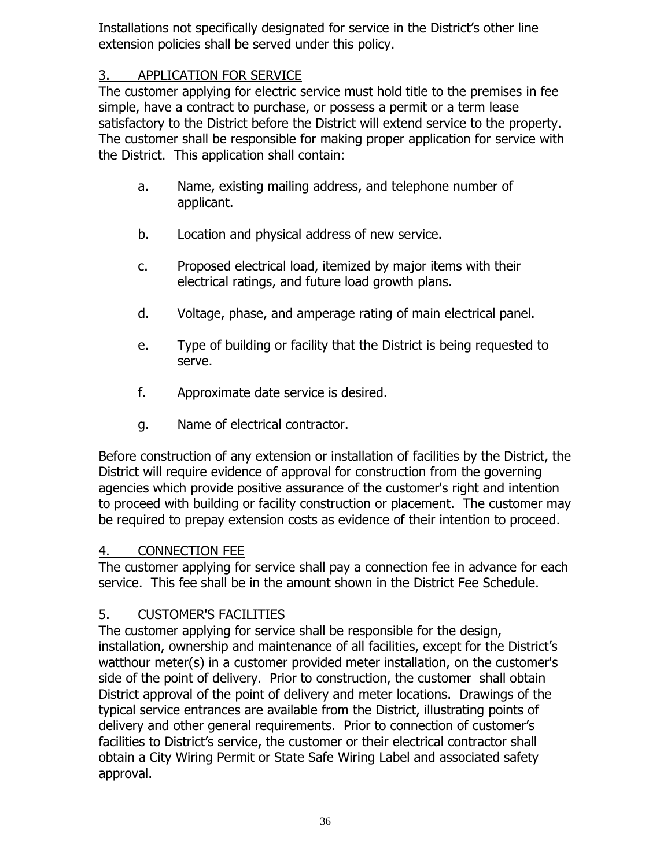Installations not specifically designated for service in the District's other line extension policies shall be served under this policy.

# 3. APPLICATION FOR SERVICE

The customer applying for electric service must hold title to the premises in fee simple, have a contract to purchase, or possess a permit or a term lease satisfactory to the District before the District will extend service to the property. The customer shall be responsible for making proper application for service with the District. This application shall contain:

- a. Name, existing mailing address, and telephone number of applicant.
- b. Location and physical address of new service.
- c. Proposed electrical load, itemized by major items with their electrical ratings, and future load growth plans.
- d. Voltage, phase, and amperage rating of main electrical panel.
- e. Type of building or facility that the District is being requested to serve.
- f. Approximate date service is desired.
- g. Name of electrical contractor.

Before construction of any extension or installation of facilities by the District, the District will require evidence of approval for construction from the governing agencies which provide positive assurance of the customer's right and intention to proceed with building or facility construction or placement. The customer may be required to prepay extension costs as evidence of their intention to proceed.

# 4. CONNECTION FEE

The customer applying for service shall pay a connection fee in advance for each service. This fee shall be in the amount shown in the District Fee Schedule.

# 5. CUSTOMER'S FACILITIES

The customer applying for service shall be responsible for the design, installation, ownership and maintenance of all facilities, except for the District's watthour meter(s) in a customer provided meter installation, on the customer's side of the point of delivery. Prior to construction, the customer shall obtain District approval of the point of delivery and meter locations. Drawings of the typical service entrances are available from the District, illustrating points of delivery and other general requirements. Prior to connection of customer's facilities to District's service, the customer or their electrical contractor shall obtain a City Wiring Permit or State Safe Wiring Label and associated safety approval.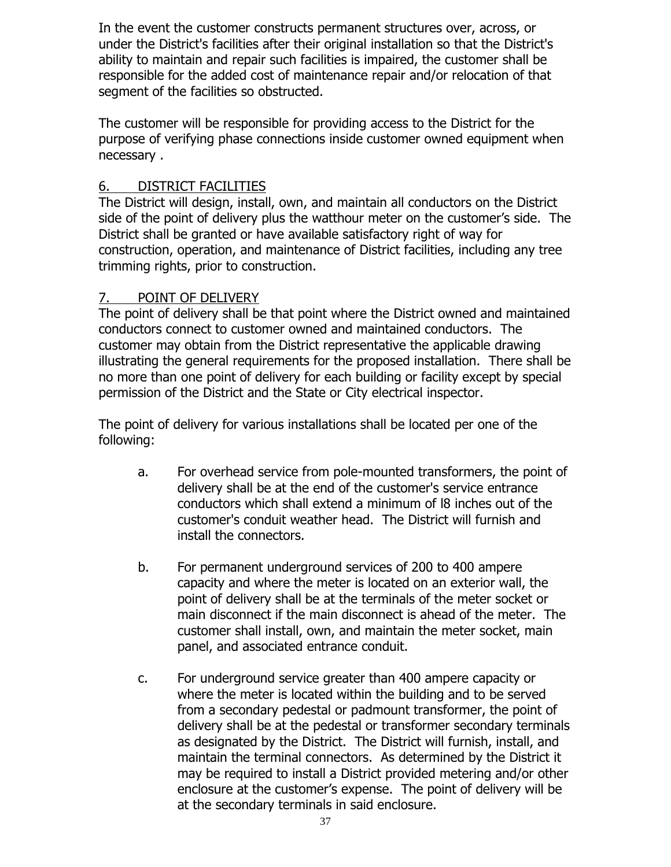In the event the customer constructs permanent structures over, across, or under the District's facilities after their original installation so that the District's ability to maintain and repair such facilities is impaired, the customer shall be responsible for the added cost of maintenance repair and/or relocation of that segment of the facilities so obstructed.

The customer will be responsible for providing access to the District for the purpose of verifying phase connections inside customer owned equipment when necessary .

## 6. DISTRICT FACILITIES

The District will design, install, own, and maintain all conductors on the District side of the point of delivery plus the watthour meter on the customer's side. The District shall be granted or have available satisfactory right of way for construction, operation, and maintenance of District facilities, including any tree trimming rights, prior to construction.

# 7. POINT OF DELIVERY

The point of delivery shall be that point where the District owned and maintained conductors connect to customer owned and maintained conductors. The customer may obtain from the District representative the applicable drawing illustrating the general requirements for the proposed installation. There shall be no more than one point of delivery for each building or facility except by special permission of the District and the State or City electrical inspector.

The point of delivery for various installations shall be located per one of the following:

- a. For overhead service from pole-mounted transformers, the point of delivery shall be at the end of the customer's service entrance conductors which shall extend a minimum of l8 inches out of the customer's conduit weather head. The District will furnish and install the connectors.
- b. For permanent underground services of 200 to 400 ampere capacity and where the meter is located on an exterior wall, the point of delivery shall be at the terminals of the meter socket or main disconnect if the main disconnect is ahead of the meter. The customer shall install, own, and maintain the meter socket, main panel, and associated entrance conduit.
- c. For underground service greater than 400 ampere capacity or where the meter is located within the building and to be served from a secondary pedestal or padmount transformer, the point of delivery shall be at the pedestal or transformer secondary terminals as designated by the District. The District will furnish, install, and maintain the terminal connectors. As determined by the District it may be required to install a District provided metering and/or other enclosure at the customer's expense. The point of delivery will be at the secondary terminals in said enclosure.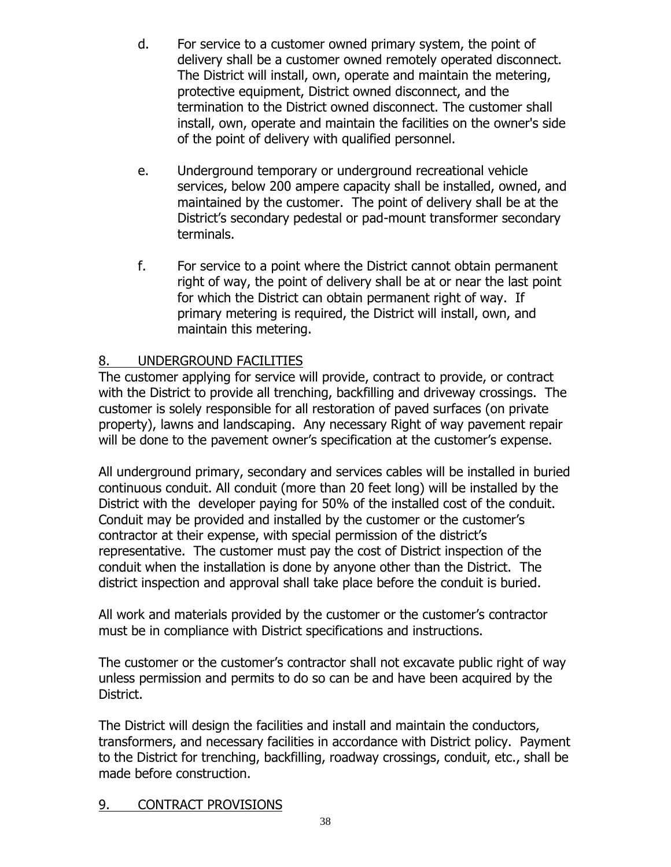- d. For service to a customer owned primary system, the point of delivery shall be a customer owned remotely operated disconnect. The District will install, own, operate and maintain the metering, protective equipment, District owned disconnect, and the termination to the District owned disconnect. The customer shall install, own, operate and maintain the facilities on the owner's side of the point of delivery with qualified personnel.
- e. Underground temporary or underground recreational vehicle services, below 200 ampere capacity shall be installed, owned, and maintained by the customer. The point of delivery shall be at the District's secondary pedestal or pad-mount transformer secondary terminals.
- f. For service to a point where the District cannot obtain permanent right of way, the point of delivery shall be at or near the last point for which the District can obtain permanent right of way. If primary metering is required, the District will install, own, and maintain this metering.

# 8. UNDERGROUND FACILITIES

The customer applying for service will provide, contract to provide, or contract with the District to provide all trenching, backfilling and driveway crossings. The customer is solely responsible for all restoration of paved surfaces (on private property), lawns and landscaping. Any necessary Right of way pavement repair will be done to the pavement owner's specification at the customer's expense.

All underground primary, secondary and services cables will be installed in buried continuous conduit. All conduit (more than 20 feet long) will be installed by the District with the developer paying for 50% of the installed cost of the conduit. Conduit may be provided and installed by the customer or the customer's contractor at their expense, with special permission of the district's representative. The customer must pay the cost of District inspection of the conduit when the installation is done by anyone other than the District. The district inspection and approval shall take place before the conduit is buried.

All work and materials provided by the customer or the customer's contractor must be in compliance with District specifications and instructions.

The customer or the customer's contractor shall not excavate public right of way unless permission and permits to do so can be and have been acquired by the District.

The District will design the facilities and install and maintain the conductors, transformers, and necessary facilities in accordance with District policy. Payment to the District for trenching, backfilling, roadway crossings, conduit, etc., shall be made before construction.

### 9. CONTRACT PROVISIONS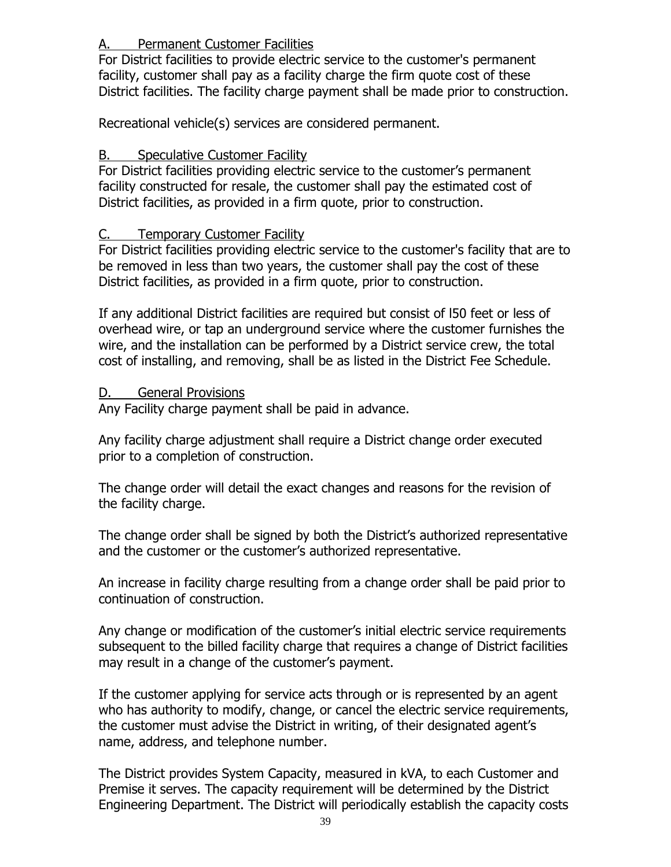## A. Permanent Customer Facilities

For District facilities to provide electric service to the customer's permanent facility, customer shall pay as a facility charge the firm quote cost of these District facilities. The facility charge payment shall be made prior to construction.

Recreational vehicle(s) services are considered permanent.

# B. Speculative Customer Facility

For District facilities providing electric service to the customer's permanent facility constructed for resale, the customer shall pay the estimated cost of District facilities, as provided in a firm quote, prior to construction.

# C. Temporary Customer Facility

For District facilities providing electric service to the customer's facility that are to be removed in less than two years, the customer shall pay the cost of these District facilities, as provided in a firm quote, prior to construction.

If any additional District facilities are required but consist of l50 feet or less of overhead wire, or tap an underground service where the customer furnishes the wire, and the installation can be performed by a District service crew, the total cost of installing, and removing, shall be as listed in the District Fee Schedule.

## D. General Provisions

Any Facility charge payment shall be paid in advance.

Any facility charge adjustment shall require a District change order executed prior to a completion of construction.

The change order will detail the exact changes and reasons for the revision of the facility charge.

The change order shall be signed by both the District's authorized representative and the customer or the customer's authorized representative.

An increase in facility charge resulting from a change order shall be paid prior to continuation of construction.

Any change or modification of the customer's initial electric service requirements subsequent to the billed facility charge that requires a change of District facilities may result in a change of the customer's payment.

If the customer applying for service acts through or is represented by an agent who has authority to modify, change, or cancel the electric service requirements, the customer must advise the District in writing, of their designated agent's name, address, and telephone number.

The District provides System Capacity, measured in kVA, to each Customer and Premise it serves. The capacity requirement will be determined by the District Engineering Department. The District will periodically establish the capacity costs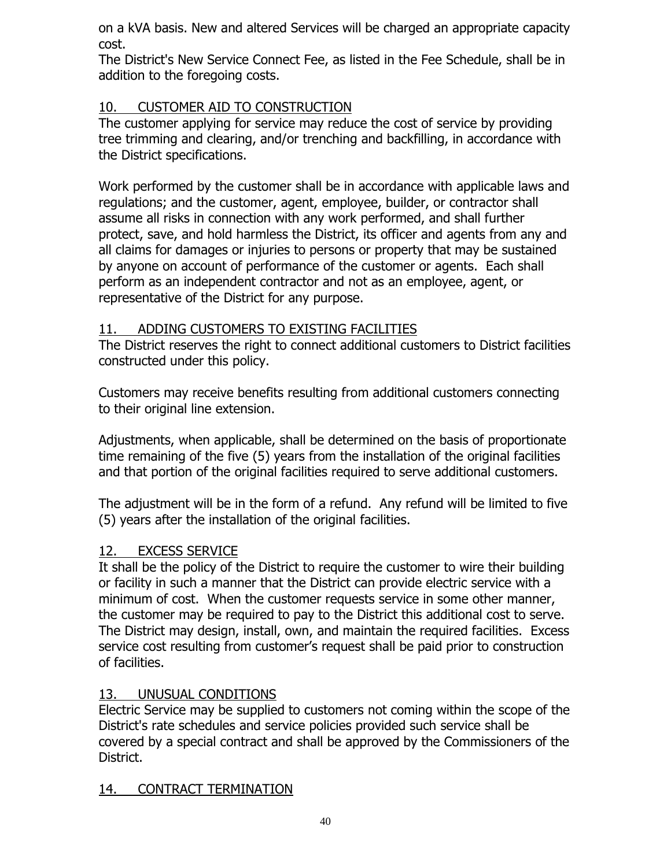on a kVA basis. New and altered Services will be charged an appropriate capacity cost.

The District's New Service Connect Fee, as listed in the Fee Schedule, shall be in addition to the foregoing costs.

# 10. CUSTOMER AID TO CONSTRUCTION

The customer applying for service may reduce the cost of service by providing tree trimming and clearing, and/or trenching and backfilling, in accordance with the District specifications.

Work performed by the customer shall be in accordance with applicable laws and regulations; and the customer, agent, employee, builder, or contractor shall assume all risks in connection with any work performed, and shall further protect, save, and hold harmless the District, its officer and agents from any and all claims for damages or injuries to persons or property that may be sustained by anyone on account of performance of the customer or agents. Each shall perform as an independent contractor and not as an employee, agent, or representative of the District for any purpose.

# 11. ADDING CUSTOMERS TO EXISTING FACILITIES

The District reserves the right to connect additional customers to District facilities constructed under this policy.

Customers may receive benefits resulting from additional customers connecting to their original line extension.

Adjustments, when applicable, shall be determined on the basis of proportionate time remaining of the five (5) years from the installation of the original facilities and that portion of the original facilities required to serve additional customers.

The adjustment will be in the form of a refund. Any refund will be limited to five (5) years after the installation of the original facilities.

# 12. EXCESS SERVICE

It shall be the policy of the District to require the customer to wire their building or facility in such a manner that the District can provide electric service with a minimum of cost. When the customer requests service in some other manner, the customer may be required to pay to the District this additional cost to serve. The District may design, install, own, and maintain the required facilities. Excess service cost resulting from customer's request shall be paid prior to construction of facilities.

# 13. UNUSUAL CONDITIONS

Electric Service may be supplied to customers not coming within the scope of the District's rate schedules and service policies provided such service shall be covered by a special contract and shall be approved by the Commissioners of the District.

# 14. CONTRACT TERMINATION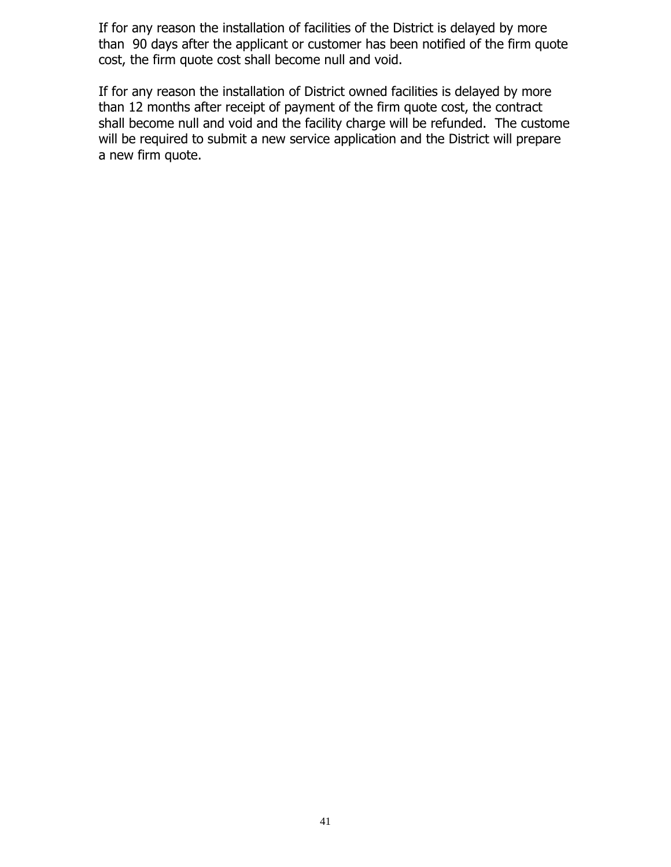If for any reason the installation of facilities of the District is delayed by more than 90 days after the applicant or customer has been notified of the firm quote cost, the firm quote cost shall become null and void.

If for any reason the installation of District owned facilities is delayed by more than 12 months after receipt of payment of the firm quote cost, the contract shall become null and void and the facility charge will be refunded. The custome will be required to submit a new service application and the District will prepare a new firm quote.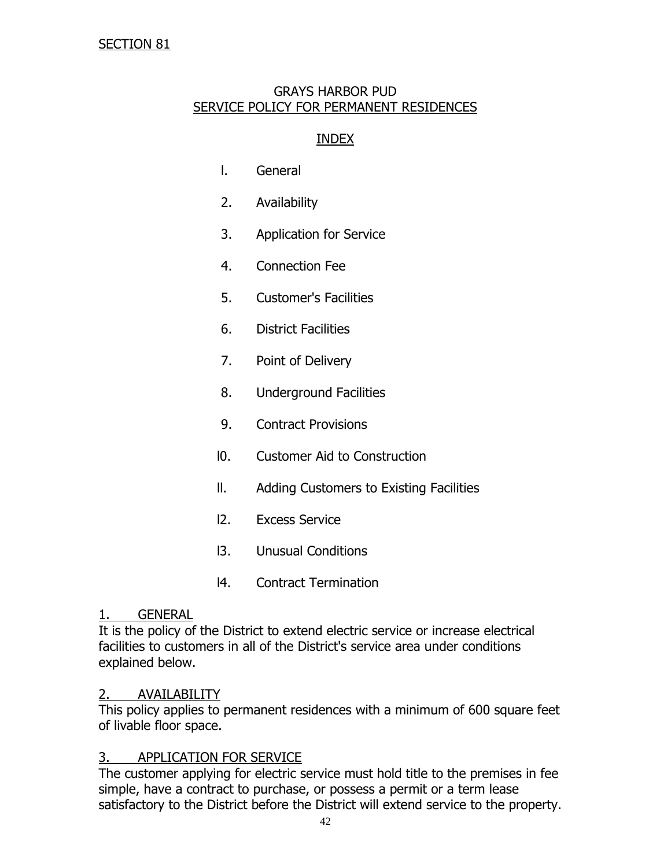### GRAYS HARBOR PUD SERVICE POLICY FOR PERMANENT RESIDENCES

### INDEX

- l. General
- 2. Availability
- 3. Application for Service
- 4. Connection Fee
- 5. Customer's Facilities
- 6. District Facilities
- 7. Point of Delivery
- 8. Underground Facilities
- 9. Contract Provisions
- l0. Customer Aid to Construction
- ll. Adding Customers to Existing Facilities
- l2. Excess Service
- l3. Unusual Conditions
- l4. Contract Termination

#### 1. GENERAL

It is the policy of the District to extend electric service or increase electrical facilities to customers in all of the District's service area under conditions explained below.

### 2. AVAILABILITY

This policy applies to permanent residences with a minimum of 600 square feet of livable floor space.

### 3. APPLICATION FOR SERVICE

The customer applying for electric service must hold title to the premises in fee simple, have a contract to purchase, or possess a permit or a term lease satisfactory to the District before the District will extend service to the property.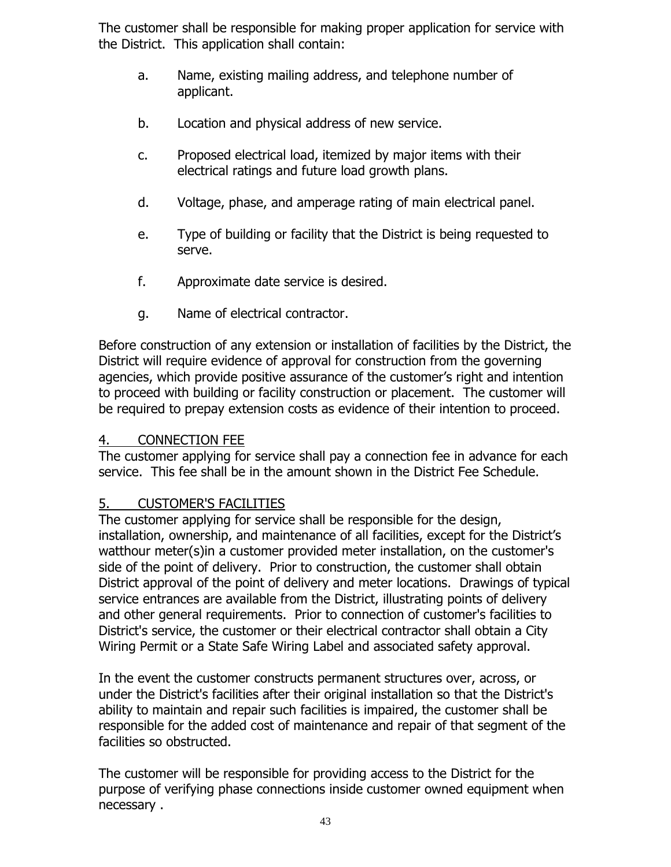The customer shall be responsible for making proper application for service with the District. This application shall contain:

- a. Name, existing mailing address, and telephone number of applicant.
- b. Location and physical address of new service.
- c. Proposed electrical load, itemized by major items with their electrical ratings and future load growth plans.
- d. Voltage, phase, and amperage rating of main electrical panel.
- e. Type of building or facility that the District is being requested to serve.
- f. Approximate date service is desired.
- g. Name of electrical contractor.

Before construction of any extension or installation of facilities by the District, the District will require evidence of approval for construction from the governing agencies, which provide positive assurance of the customer's right and intention to proceed with building or facility construction or placement. The customer will be required to prepay extension costs as evidence of their intention to proceed.

## 4. CONNECTION FEE

The customer applying for service shall pay a connection fee in advance for each service. This fee shall be in the amount shown in the District Fee Schedule.

# 5. CUSTOMER'S FACILITIES

The customer applying for service shall be responsible for the design, installation, ownership, and maintenance of all facilities, except for the District's watthour meter(s)in a customer provided meter installation, on the customer's side of the point of delivery. Prior to construction, the customer shall obtain District approval of the point of delivery and meter locations. Drawings of typical service entrances are available from the District, illustrating points of delivery and other general requirements. Prior to connection of customer's facilities to District's service, the customer or their electrical contractor shall obtain a City Wiring Permit or a State Safe Wiring Label and associated safety approval.

In the event the customer constructs permanent structures over, across, or under the District's facilities after their original installation so that the District's ability to maintain and repair such facilities is impaired, the customer shall be responsible for the added cost of maintenance and repair of that segment of the facilities so obstructed.

The customer will be responsible for providing access to the District for the purpose of verifying phase connections inside customer owned equipment when necessary .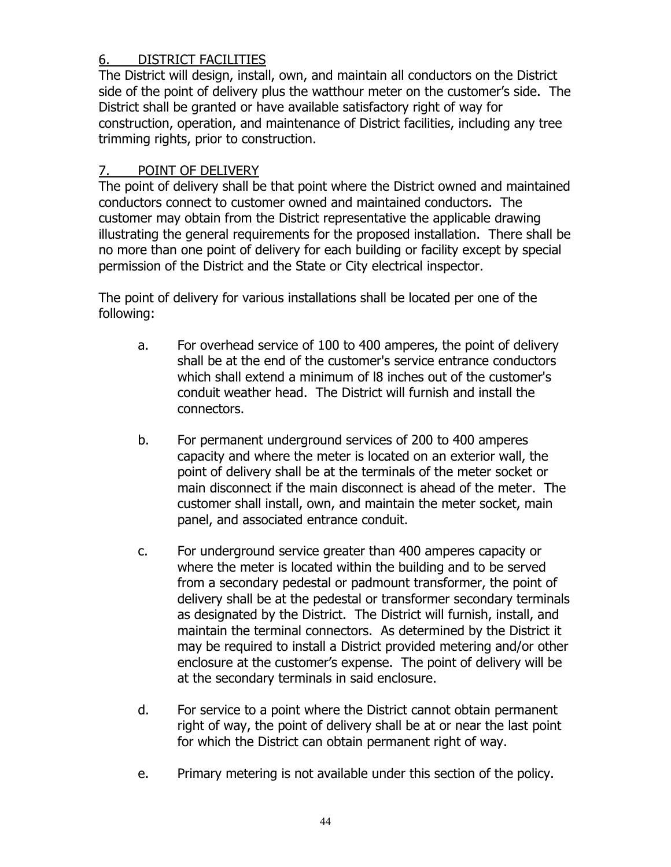# 6. DISTRICT FACILITIES

The District will design, install, own, and maintain all conductors on the District side of the point of delivery plus the watthour meter on the customer's side. The District shall be granted or have available satisfactory right of way for construction, operation, and maintenance of District facilities, including any tree trimming rights, prior to construction.

## 7. POINT OF DELIVERY

The point of delivery shall be that point where the District owned and maintained conductors connect to customer owned and maintained conductors. The customer may obtain from the District representative the applicable drawing illustrating the general requirements for the proposed installation. There shall be no more than one point of delivery for each building or facility except by special permission of the District and the State or City electrical inspector.

The point of delivery for various installations shall be located per one of the following:

- a. For overhead service of 100 to 400 amperes, the point of delivery shall be at the end of the customer's service entrance conductors which shall extend a minimum of l8 inches out of the customer's conduit weather head. The District will furnish and install the connectors.
- b. For permanent underground services of 200 to 400 amperes capacity and where the meter is located on an exterior wall, the point of delivery shall be at the terminals of the meter socket or main disconnect if the main disconnect is ahead of the meter. The customer shall install, own, and maintain the meter socket, main panel, and associated entrance conduit.
- c. For underground service greater than 400 amperes capacity or where the meter is located within the building and to be served from a secondary pedestal or padmount transformer, the point of delivery shall be at the pedestal or transformer secondary terminals as designated by the District. The District will furnish, install, and maintain the terminal connectors. As determined by the District it may be required to install a District provided metering and/or other enclosure at the customer's expense. The point of delivery will be at the secondary terminals in said enclosure.
- d. For service to a point where the District cannot obtain permanent right of way, the point of delivery shall be at or near the last point for which the District can obtain permanent right of way.
- e. Primary metering is not available under this section of the policy.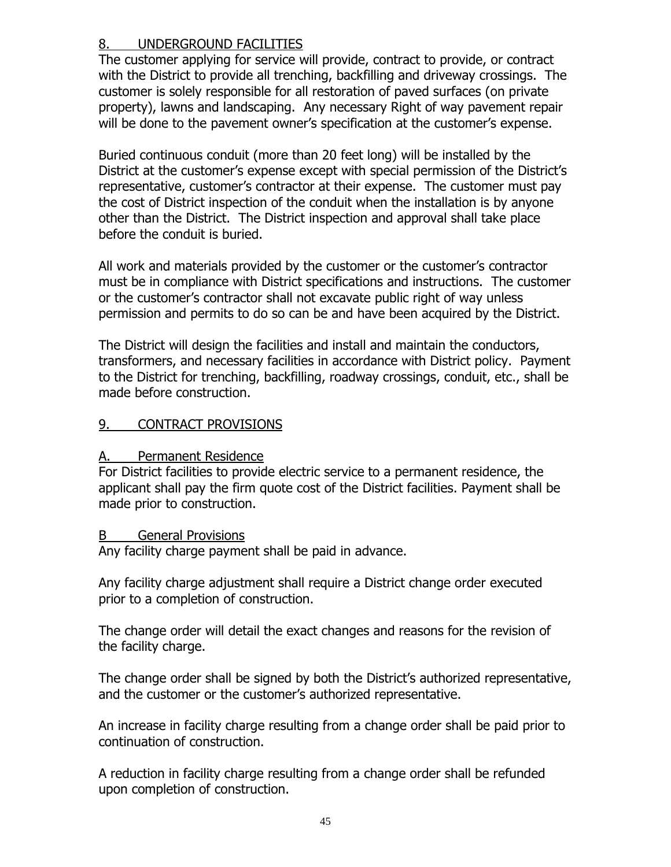## 8. UNDERGROUND FACILITIES

The customer applying for service will provide, contract to provide, or contract with the District to provide all trenching, backfilling and driveway crossings. The customer is solely responsible for all restoration of paved surfaces (on private property), lawns and landscaping. Any necessary Right of way pavement repair will be done to the pavement owner's specification at the customer's expense.

Buried continuous conduit (more than 20 feet long) will be installed by the District at the customer's expense except with special permission of the District's representative, customer's contractor at their expense. The customer must pay the cost of District inspection of the conduit when the installation is by anyone other than the District. The District inspection and approval shall take place before the conduit is buried.

All work and materials provided by the customer or the customer's contractor must be in compliance with District specifications and instructions. The customer or the customer's contractor shall not excavate public right of way unless permission and permits to do so can be and have been acquired by the District.

The District will design the facilities and install and maintain the conductors, transformers, and necessary facilities in accordance with District policy. Payment to the District for trenching, backfilling, roadway crossings, conduit, etc., shall be made before construction.

## 9. CONTRACT PROVISIONS

### A. Permanent Residence

For District facilities to provide electric service to a permanent residence, the applicant shall pay the firm quote cost of the District facilities. Payment shall be made prior to construction.

### B General Provisions

Any facility charge payment shall be paid in advance.

Any facility charge adjustment shall require a District change order executed prior to a completion of construction.

The change order will detail the exact changes and reasons for the revision of the facility charge.

The change order shall be signed by both the District's authorized representative, and the customer or the customer's authorized representative.

An increase in facility charge resulting from a change order shall be paid prior to continuation of construction.

A reduction in facility charge resulting from a change order shall be refunded upon completion of construction.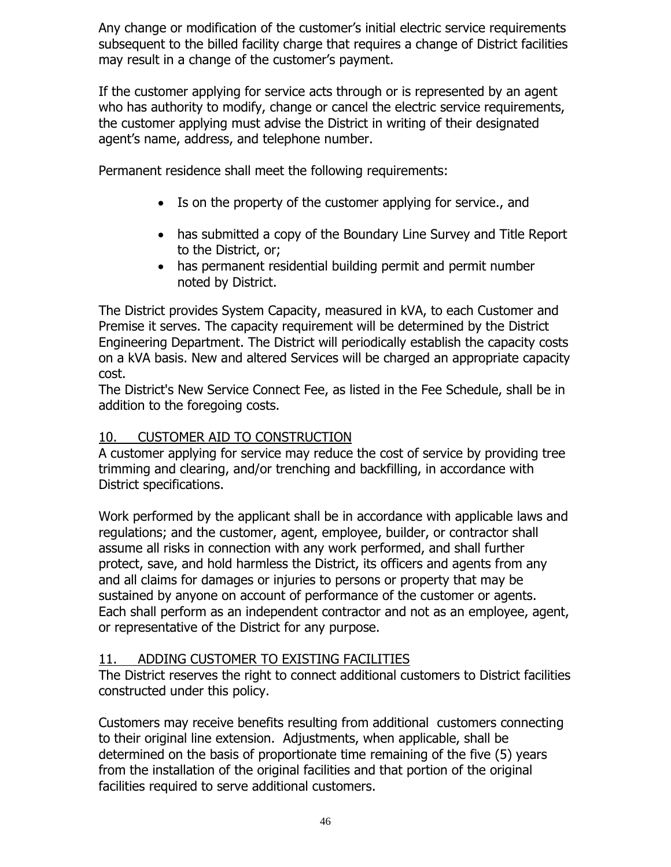Any change or modification of the customer's initial electric service requirements subsequent to the billed facility charge that requires a change of District facilities may result in a change of the customer's payment.

If the customer applying for service acts through or is represented by an agent who has authority to modify, change or cancel the electric service requirements, the customer applying must advise the District in writing of their designated agent's name, address, and telephone number.

Permanent residence shall meet the following requirements:

- Is on the property of the customer applying for service., and
- has submitted a copy of the Boundary Line Survey and Title Report to the District, or;
- has permanent residential building permit and permit number noted by District.

The District provides System Capacity, measured in kVA, to each Customer and Premise it serves. The capacity requirement will be determined by the District Engineering Department. The District will periodically establish the capacity costs on a kVA basis. New and altered Services will be charged an appropriate capacity cost.

The District's New Service Connect Fee, as listed in the Fee Schedule, shall be in addition to the foregoing costs.

# 10. CUSTOMER AID TO CONSTRUCTION

A customer applying for service may reduce the cost of service by providing tree trimming and clearing, and/or trenching and backfilling, in accordance with District specifications.

Work performed by the applicant shall be in accordance with applicable laws and regulations; and the customer, agent, employee, builder, or contractor shall assume all risks in connection with any work performed, and shall further protect, save, and hold harmless the District, its officers and agents from any and all claims for damages or injuries to persons or property that may be sustained by anyone on account of performance of the customer or agents. Each shall perform as an independent contractor and not as an employee, agent, or representative of the District for any purpose.

# 11. ADDING CUSTOMER TO EXISTING FACILITIES

The District reserves the right to connect additional customers to District facilities constructed under this policy.

Customers may receive benefits resulting from additional customers connecting to their original line extension. Adjustments, when applicable, shall be determined on the basis of proportionate time remaining of the five (5) years from the installation of the original facilities and that portion of the original facilities required to serve additional customers.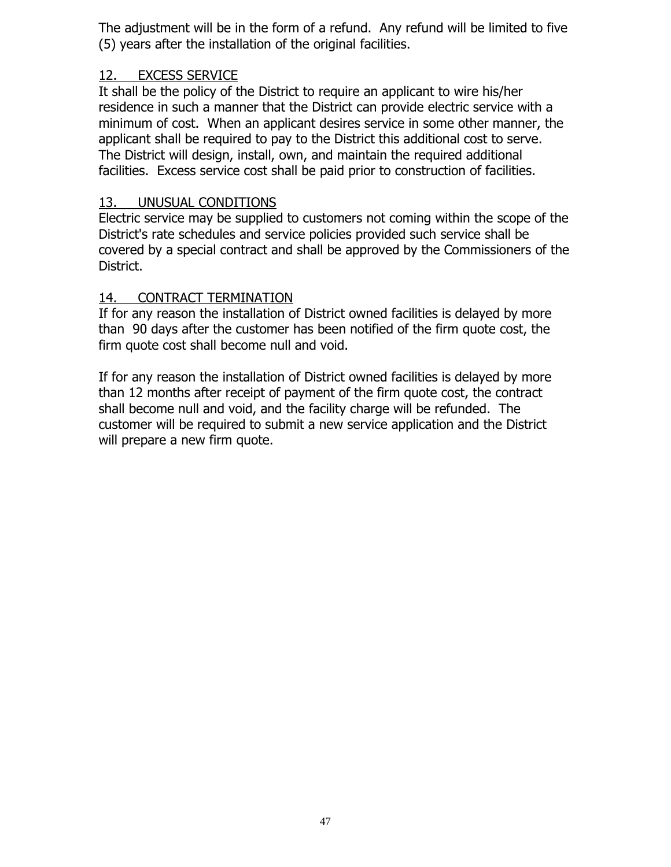The adjustment will be in the form of a refund. Any refund will be limited to five (5) years after the installation of the original facilities.

## 12. EXCESS SERVICE

It shall be the policy of the District to require an applicant to wire his/her residence in such a manner that the District can provide electric service with a minimum of cost. When an applicant desires service in some other manner, the applicant shall be required to pay to the District this additional cost to serve. The District will design, install, own, and maintain the required additional facilities. Excess service cost shall be paid prior to construction of facilities.

## 13. UNUSUAL CONDITIONS

Electric service may be supplied to customers not coming within the scope of the District's rate schedules and service policies provided such service shall be covered by a special contract and shall be approved by the Commissioners of the District.

## 14. CONTRACT TERMINATION

If for any reason the installation of District owned facilities is delayed by more than 90 days after the customer has been notified of the firm quote cost, the firm quote cost shall become null and void.

If for any reason the installation of District owned facilities is delayed by more than 12 months after receipt of payment of the firm quote cost, the contract shall become null and void, and the facility charge will be refunded. The customer will be required to submit a new service application and the District will prepare a new firm quote.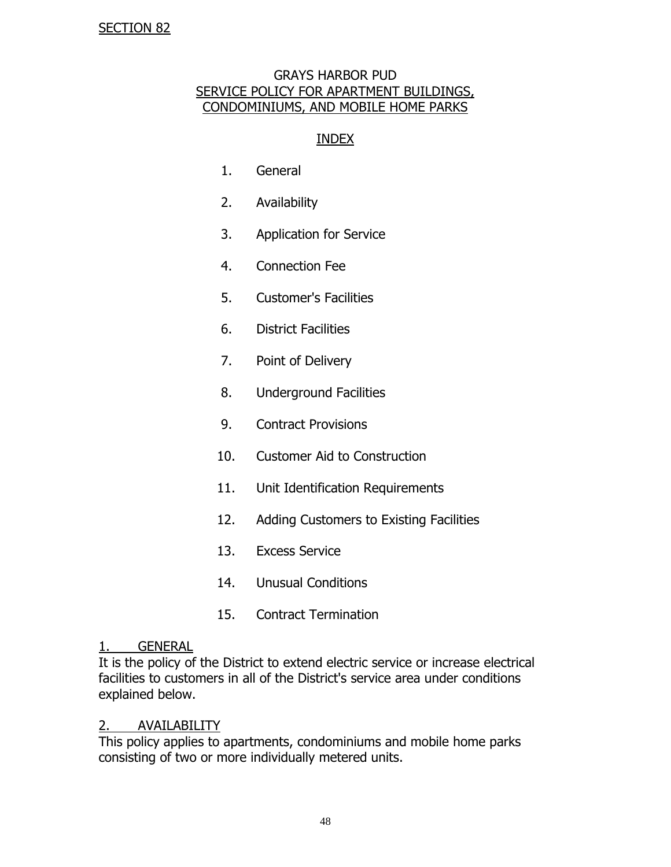#### GRAYS HARBOR PUD SERVICE POLICY FOR APARTMENT BUILDINGS, CONDOMINIUMS, AND MOBILE HOME PARKS

#### INDEX

- 1. General
- 2. Availability
- 3. Application for Service
- 4. Connection Fee
- 5. Customer's Facilities
- 6. District Facilities
- 7. Point of Delivery
- 8. Underground Facilities
- 9. Contract Provisions
- 10. Customer Aid to Construction
- 11. Unit Identification Requirements
- 12. Adding Customers to Existing Facilities
- 13. Excess Service
- 14. Unusual Conditions
- 15. Contract Termination

#### 1. GENERAL

It is the policy of the District to extend electric service or increase electrical facilities to customers in all of the District's service area under conditions explained below.

#### 2. AVAILABILITY

This policy applies to apartments, condominiums and mobile home parks consisting of two or more individually metered units.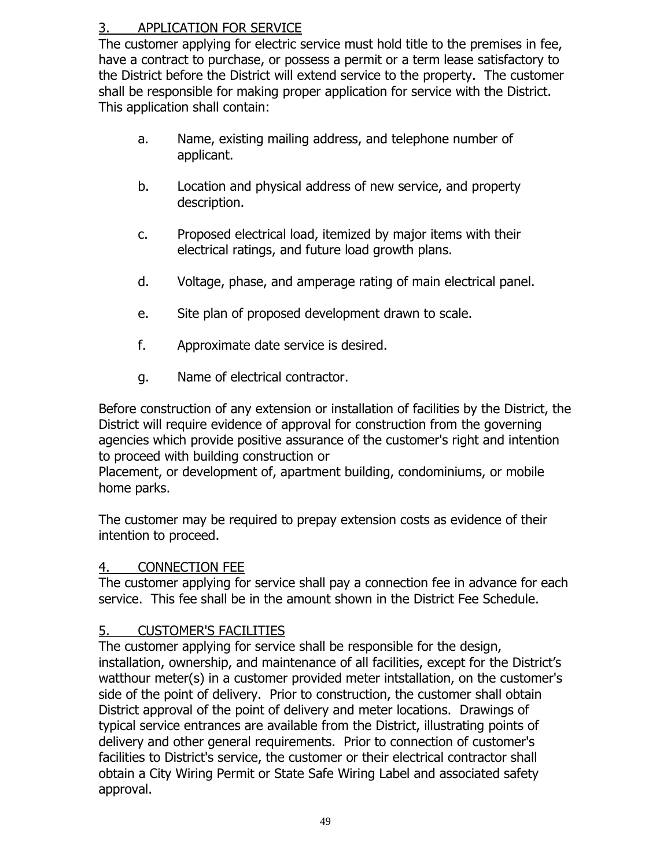# 3. APPLICATION FOR SERVICE

The customer applying for electric service must hold title to the premises in fee, have a contract to purchase, or possess a permit or a term lease satisfactory to the District before the District will extend service to the property. The customer shall be responsible for making proper application for service with the District. This application shall contain:

- a. Name, existing mailing address, and telephone number of applicant.
- b. Location and physical address of new service, and property description.
- c. Proposed electrical load, itemized by major items with their electrical ratings, and future load growth plans.
- d. Voltage, phase, and amperage rating of main electrical panel.
- e. Site plan of proposed development drawn to scale.
- f. Approximate date service is desired.
- g. Name of electrical contractor.

Before construction of any extension or installation of facilities by the District, the District will require evidence of approval for construction from the governing agencies which provide positive assurance of the customer's right and intention to proceed with building construction or

Placement, or development of, apartment building, condominiums, or mobile home parks.

The customer may be required to prepay extension costs as evidence of their intention to proceed.

### 4. CONNECTION FEE

The customer applying for service shall pay a connection fee in advance for each service. This fee shall be in the amount shown in the District Fee Schedule.

# 5. CUSTOMER'S FACILITIES

The customer applying for service shall be responsible for the design, installation, ownership, and maintenance of all facilities, except for the District's watthour meter(s) in a customer provided meter intstallation, on the customer's side of the point of delivery. Prior to construction, the customer shall obtain District approval of the point of delivery and meter locations. Drawings of typical service entrances are available from the District, illustrating points of delivery and other general requirements. Prior to connection of customer's facilities to District's service, the customer or their electrical contractor shall obtain a City Wiring Permit or State Safe Wiring Label and associated safety approval.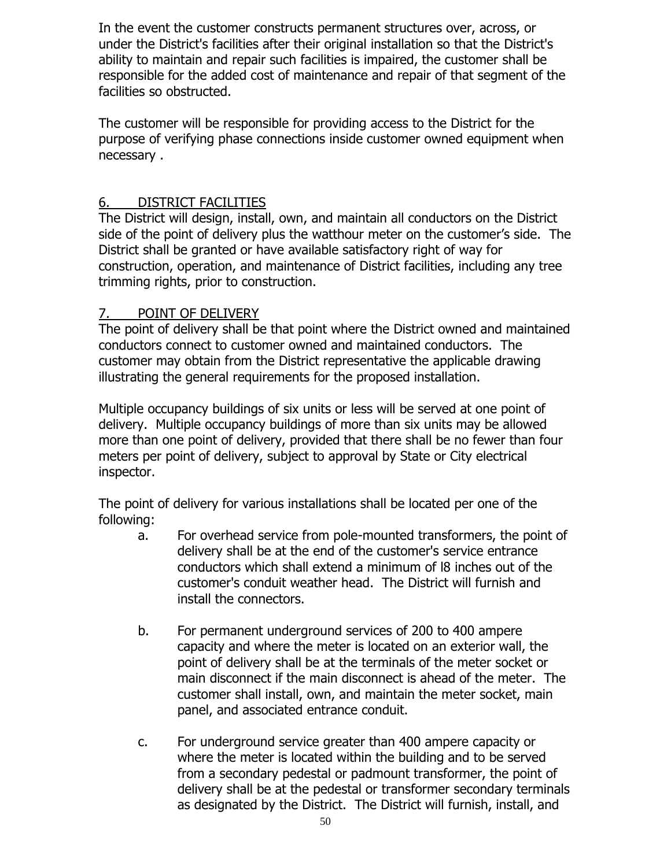In the event the customer constructs permanent structures over, across, or under the District's facilities after their original installation so that the District's ability to maintain and repair such facilities is impaired, the customer shall be responsible for the added cost of maintenance and repair of that segment of the facilities so obstructed.

The customer will be responsible for providing access to the District for the purpose of verifying phase connections inside customer owned equipment when necessary .

## 6. DISTRICT FACILITIES

The District will design, install, own, and maintain all conductors on the District side of the point of delivery plus the watthour meter on the customer's side. The District shall be granted or have available satisfactory right of way for construction, operation, and maintenance of District facilities, including any tree trimming rights, prior to construction.

## 7. POINT OF DELIVERY

The point of delivery shall be that point where the District owned and maintained conductors connect to customer owned and maintained conductors. The customer may obtain from the District representative the applicable drawing illustrating the general requirements for the proposed installation.

Multiple occupancy buildings of six units or less will be served at one point of delivery. Multiple occupancy buildings of more than six units may be allowed more than one point of delivery, provided that there shall be no fewer than four meters per point of delivery, subject to approval by State or City electrical inspector.

The point of delivery for various installations shall be located per one of the following:

- a. For overhead service from pole-mounted transformers, the point of delivery shall be at the end of the customer's service entrance conductors which shall extend a minimum of l8 inches out of the customer's conduit weather head. The District will furnish and install the connectors.
- b. For permanent underground services of 200 to 400 ampere capacity and where the meter is located on an exterior wall, the point of delivery shall be at the terminals of the meter socket or main disconnect if the main disconnect is ahead of the meter. The customer shall install, own, and maintain the meter socket, main panel, and associated entrance conduit.
- c. For underground service greater than 400 ampere capacity or where the meter is located within the building and to be served from a secondary pedestal or padmount transformer, the point of delivery shall be at the pedestal or transformer secondary terminals as designated by the District. The District will furnish, install, and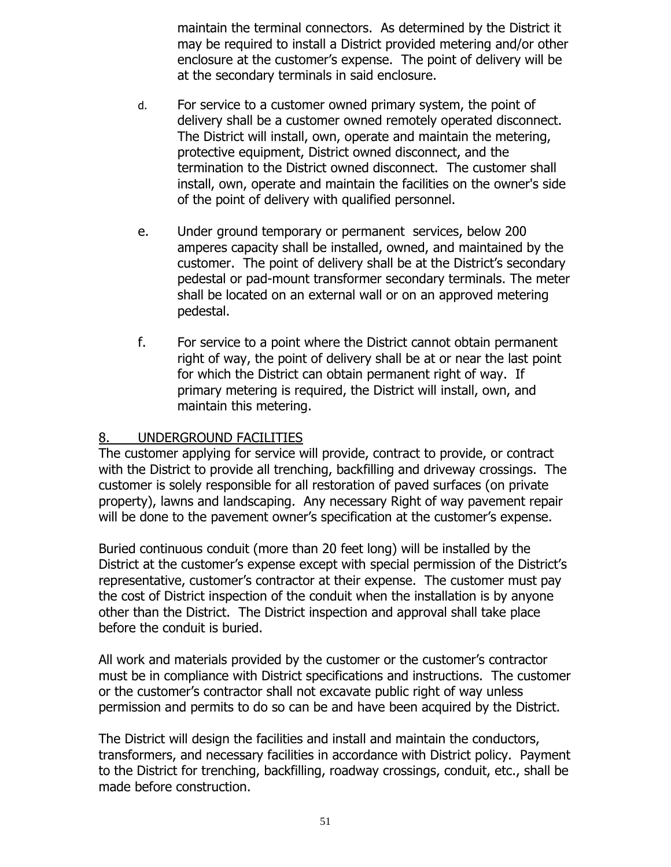maintain the terminal connectors. As determined by the District it may be required to install a District provided metering and/or other enclosure at the customer's expense. The point of delivery will be at the secondary terminals in said enclosure.

- d. For service to a customer owned primary system, the point of delivery shall be a customer owned remotely operated disconnect. The District will install, own, operate and maintain the metering, protective equipment, District owned disconnect, and the termination to the District owned disconnect. The customer shall install, own, operate and maintain the facilities on the owner's side of the point of delivery with qualified personnel.
- e. Under ground temporary or permanent services, below 200 amperes capacity shall be installed, owned, and maintained by the customer. The point of delivery shall be at the District's secondary pedestal or pad-mount transformer secondary terminals. The meter shall be located on an external wall or on an approved metering pedestal.
- f. For service to a point where the District cannot obtain permanent right of way, the point of delivery shall be at or near the last point for which the District can obtain permanent right of way. If primary metering is required, the District will install, own, and maintain this metering.

## 8. UNDERGROUND FACILITIES

The customer applying for service will provide, contract to provide, or contract with the District to provide all trenching, backfilling and driveway crossings. The customer is solely responsible for all restoration of paved surfaces (on private property), lawns and landscaping. Any necessary Right of way pavement repair will be done to the pavement owner's specification at the customer's expense.

Buried continuous conduit (more than 20 feet long) will be installed by the District at the customer's expense except with special permission of the District's representative, customer's contractor at their expense. The customer must pay the cost of District inspection of the conduit when the installation is by anyone other than the District. The District inspection and approval shall take place before the conduit is buried.

All work and materials provided by the customer or the customer's contractor must be in compliance with District specifications and instructions. The customer or the customer's contractor shall not excavate public right of way unless permission and permits to do so can be and have been acquired by the District.

The District will design the facilities and install and maintain the conductors, transformers, and necessary facilities in accordance with District policy. Payment to the District for trenching, backfilling, roadway crossings, conduit, etc., shall be made before construction.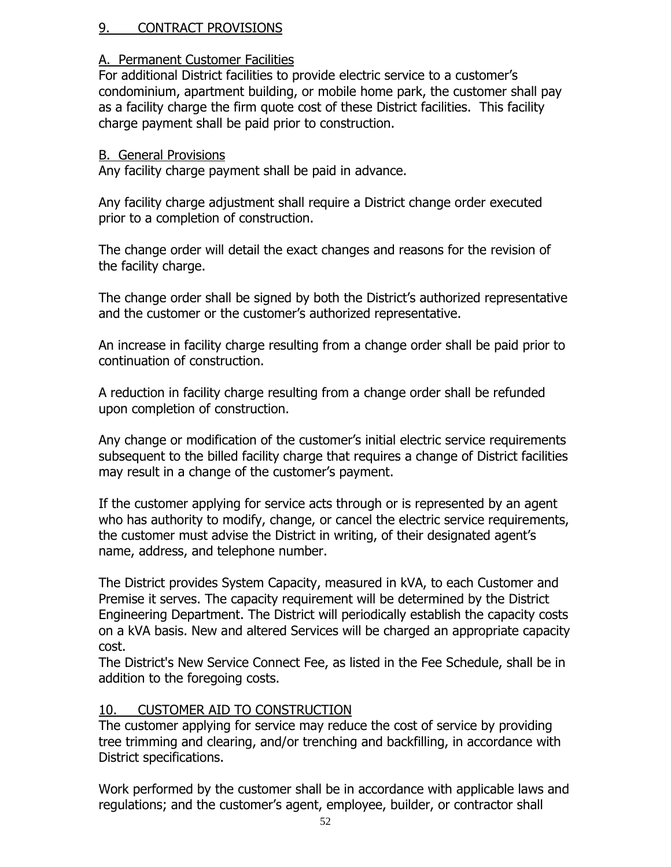## 9. CONTRACT PROVISIONS

## A. Permanent Customer Facilities

For additional District facilities to provide electric service to a customer's condominium, apartment building, or mobile home park, the customer shall pay as a facility charge the firm quote cost of these District facilities. This facility charge payment shall be paid prior to construction.

### B. General Provisions

Any facility charge payment shall be paid in advance.

Any facility charge adjustment shall require a District change order executed prior to a completion of construction.

The change order will detail the exact changes and reasons for the revision of the facility charge.

The change order shall be signed by both the District's authorized representative and the customer or the customer's authorized representative.

An increase in facility charge resulting from a change order shall be paid prior to continuation of construction.

A reduction in facility charge resulting from a change order shall be refunded upon completion of construction.

Any change or modification of the customer's initial electric service requirements subsequent to the billed facility charge that requires a change of District facilities may result in a change of the customer's payment.

If the customer applying for service acts through or is represented by an agent who has authority to modify, change, or cancel the electric service requirements, the customer must advise the District in writing, of their designated agent's name, address, and telephone number.

The District provides System Capacity, measured in kVA, to each Customer and Premise it serves. The capacity requirement will be determined by the District Engineering Department. The District will periodically establish the capacity costs on a kVA basis. New and altered Services will be charged an appropriate capacity cost.

The District's New Service Connect Fee, as listed in the Fee Schedule, shall be in addition to the foregoing costs.

# 10. CUSTOMER AID TO CONSTRUCTION

The customer applying for service may reduce the cost of service by providing tree trimming and clearing, and/or trenching and backfilling, in accordance with District specifications.

Work performed by the customer shall be in accordance with applicable laws and regulations; and the customer's agent, employee, builder, or contractor shall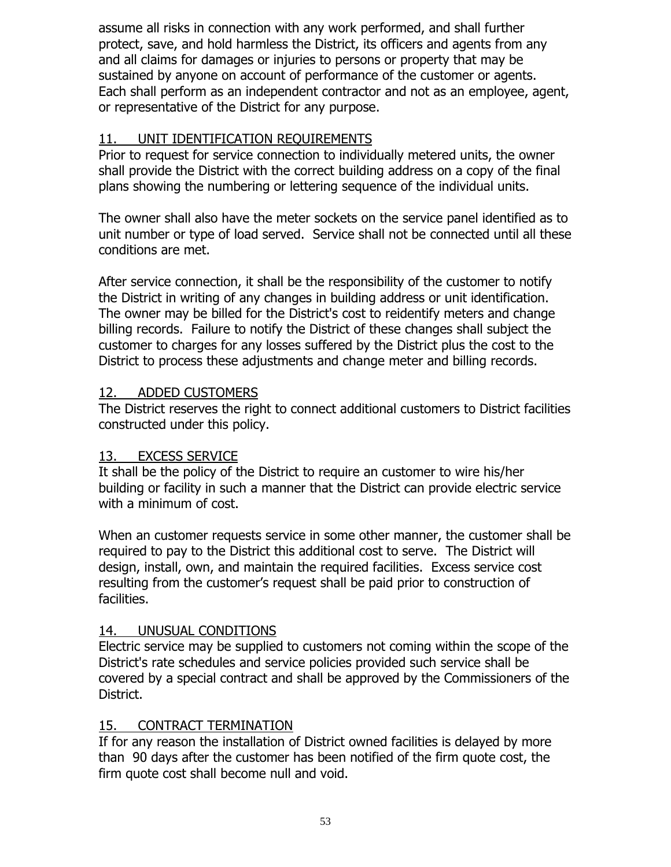assume all risks in connection with any work performed, and shall further protect, save, and hold harmless the District, its officers and agents from any and all claims for damages or injuries to persons or property that may be sustained by anyone on account of performance of the customer or agents. Each shall perform as an independent contractor and not as an employee, agent, or representative of the District for any purpose.

# 11. UNIT IDENTIFICATION REQUIREMENTS

Prior to request for service connection to individually metered units, the owner shall provide the District with the correct building address on a copy of the final plans showing the numbering or lettering sequence of the individual units.

The owner shall also have the meter sockets on the service panel identified as to unit number or type of load served. Service shall not be connected until all these conditions are met.

After service connection, it shall be the responsibility of the customer to notify the District in writing of any changes in building address or unit identification. The owner may be billed for the District's cost to reidentify meters and change billing records. Failure to notify the District of these changes shall subject the customer to charges for any losses suffered by the District plus the cost to the District to process these adjustments and change meter and billing records.

# 12. ADDED CUSTOMERS

The District reserves the right to connect additional customers to District facilities constructed under this policy.

# 13. EXCESS SERVICE

It shall be the policy of the District to require an customer to wire his/her building or facility in such a manner that the District can provide electric service with a minimum of cost.

When an customer requests service in some other manner, the customer shall be required to pay to the District this additional cost to serve. The District will design, install, own, and maintain the required facilities. Excess service cost resulting from the customer's request shall be paid prior to construction of facilities.

# 14. UNUSUAL CONDITIONS

Electric service may be supplied to customers not coming within the scope of the District's rate schedules and service policies provided such service shall be covered by a special contract and shall be approved by the Commissioners of the District.

# 15. CONTRACT TERMINATION

If for any reason the installation of District owned facilities is delayed by more than 90 days after the customer has been notified of the firm quote cost, the firm quote cost shall become null and void.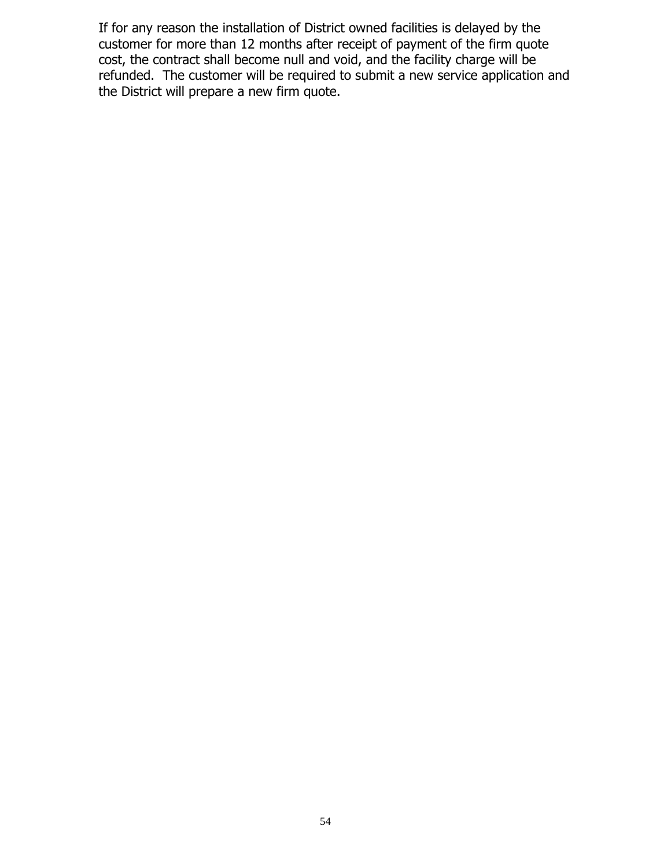If for any reason the installation of District owned facilities is delayed by the customer for more than 12 months after receipt of payment of the firm quote cost, the contract shall become null and void, and the facility charge will be refunded. The customer will be required to submit a new service application and the District will prepare a new firm quote.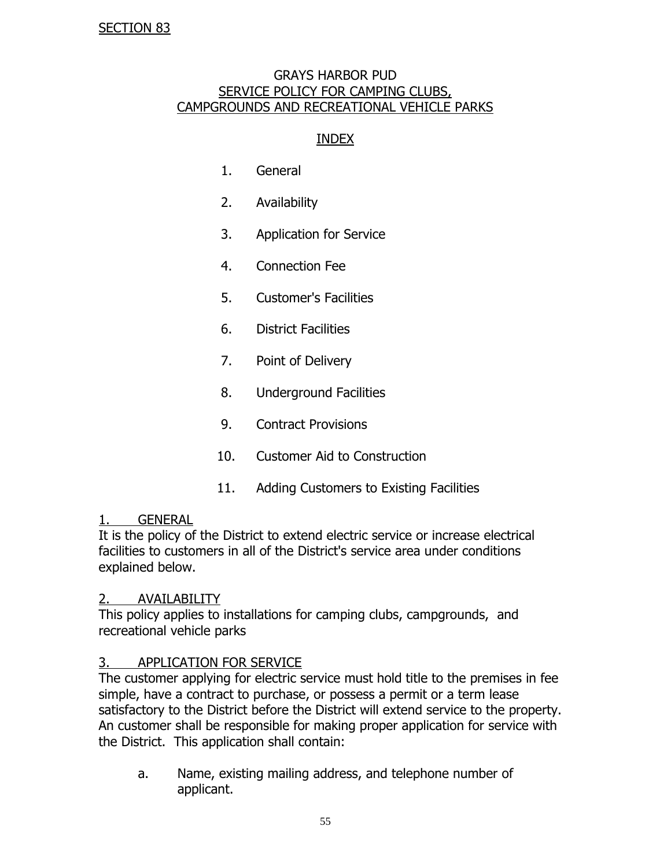#### GRAYS HARBOR PUD SERVICE POLICY FOR CAMPING CLUBS, CAMPGROUNDS AND RECREATIONAL VEHICLE PARKS

## INDEX

- 1. General
- 2. Availability
- 3. Application for Service
- 4. Connection Fee
- 5. Customer's Facilities
- 6. District Facilities
- 7. Point of Delivery
- 8. Underground Facilities
- 9. Contract Provisions
- 10. Customer Aid to Construction
- 11. Adding Customers to Existing Facilities

#### 1. GENERAL

It is the policy of the District to extend electric service or increase electrical facilities to customers in all of the District's service area under conditions explained below.

#### 2. AVAILABILITY

This policy applies to installations for camping clubs, campgrounds, and recreational vehicle parks

### 3. APPLICATION FOR SERVICE

The customer applying for electric service must hold title to the premises in fee simple, have a contract to purchase, or possess a permit or a term lease satisfactory to the District before the District will extend service to the property. An customer shall be responsible for making proper application for service with the District. This application shall contain:

a. Name, existing mailing address, and telephone number of applicant.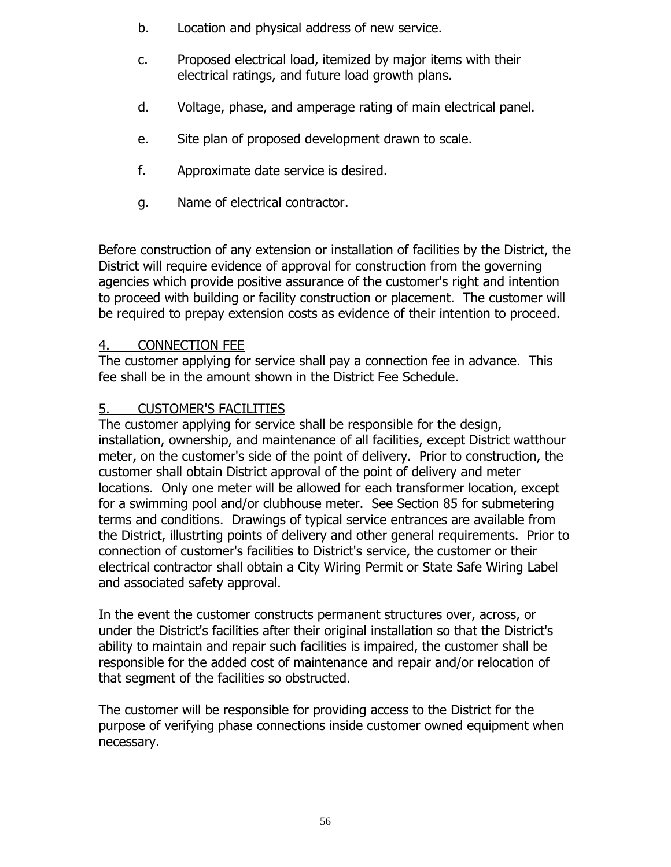- b. Location and physical address of new service.
- c. Proposed electrical load, itemized by major items with their electrical ratings, and future load growth plans.
- d. Voltage, phase, and amperage rating of main electrical panel.
- e. Site plan of proposed development drawn to scale.
- f. Approximate date service is desired.
- g. Name of electrical contractor.

Before construction of any extension or installation of facilities by the District, the District will require evidence of approval for construction from the governing agencies which provide positive assurance of the customer's right and intention to proceed with building or facility construction or placement. The customer will be required to prepay extension costs as evidence of their intention to proceed.

### 4. CONNECTION FEE

The customer applying for service shall pay a connection fee in advance. This fee shall be in the amount shown in the District Fee Schedule.

## 5. CUSTOMER'S FACILITIES

The customer applying for service shall be responsible for the design, installation, ownership, and maintenance of all facilities, except District watthour meter, on the customer's side of the point of delivery. Prior to construction, the customer shall obtain District approval of the point of delivery and meter locations. Only one meter will be allowed for each transformer location, except for a swimming pool and/or clubhouse meter. See Section 85 for submetering terms and conditions. Drawings of typical service entrances are available from the District, illustrting points of delivery and other general requirements. Prior to connection of customer's facilities to District's service, the customer or their electrical contractor shall obtain a City Wiring Permit or State Safe Wiring Label and associated safety approval.

In the event the customer constructs permanent structures over, across, or under the District's facilities after their original installation so that the District's ability to maintain and repair such facilities is impaired, the customer shall be responsible for the added cost of maintenance and repair and/or relocation of that segment of the facilities so obstructed.

The customer will be responsible for providing access to the District for the purpose of verifying phase connections inside customer owned equipment when necessary.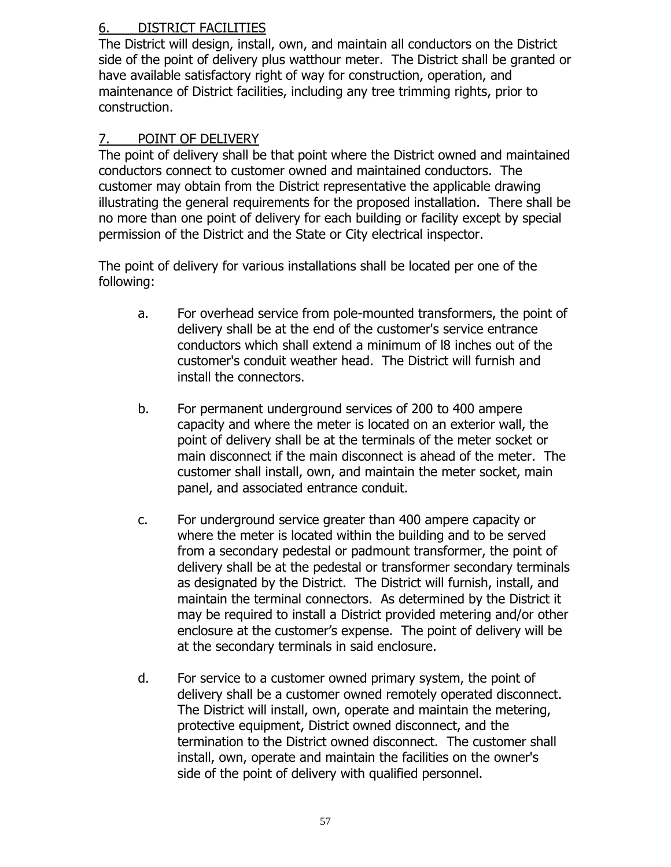# 6. DISTRICT FACILITIES

The District will design, install, own, and maintain all conductors on the District side of the point of delivery plus watthour meter. The District shall be granted or have available satisfactory right of way for construction, operation, and maintenance of District facilities, including any tree trimming rights, prior to construction.

# 7. POINT OF DELIVERY

The point of delivery shall be that point where the District owned and maintained conductors connect to customer owned and maintained conductors. The customer may obtain from the District representative the applicable drawing illustrating the general requirements for the proposed installation. There shall be no more than one point of delivery for each building or facility except by special permission of the District and the State or City electrical inspector.

The point of delivery for various installations shall be located per one of the following:

- a. For overhead service from pole-mounted transformers, the point of delivery shall be at the end of the customer's service entrance conductors which shall extend a minimum of l8 inches out of the customer's conduit weather head. The District will furnish and install the connectors.
- b. For permanent underground services of 200 to 400 ampere capacity and where the meter is located on an exterior wall, the point of delivery shall be at the terminals of the meter socket or main disconnect if the main disconnect is ahead of the meter. The customer shall install, own, and maintain the meter socket, main panel, and associated entrance conduit.
- c. For underground service greater than 400 ampere capacity or where the meter is located within the building and to be served from a secondary pedestal or padmount transformer, the point of delivery shall be at the pedestal or transformer secondary terminals as designated by the District. The District will furnish, install, and maintain the terminal connectors. As determined by the District it may be required to install a District provided metering and/or other enclosure at the customer's expense. The point of delivery will be at the secondary terminals in said enclosure.
- d. For service to a customer owned primary system, the point of delivery shall be a customer owned remotely operated disconnect. The District will install, own, operate and maintain the metering, protective equipment, District owned disconnect, and the termination to the District owned disconnect. The customer shall install, own, operate and maintain the facilities on the owner's side of the point of delivery with qualified personnel.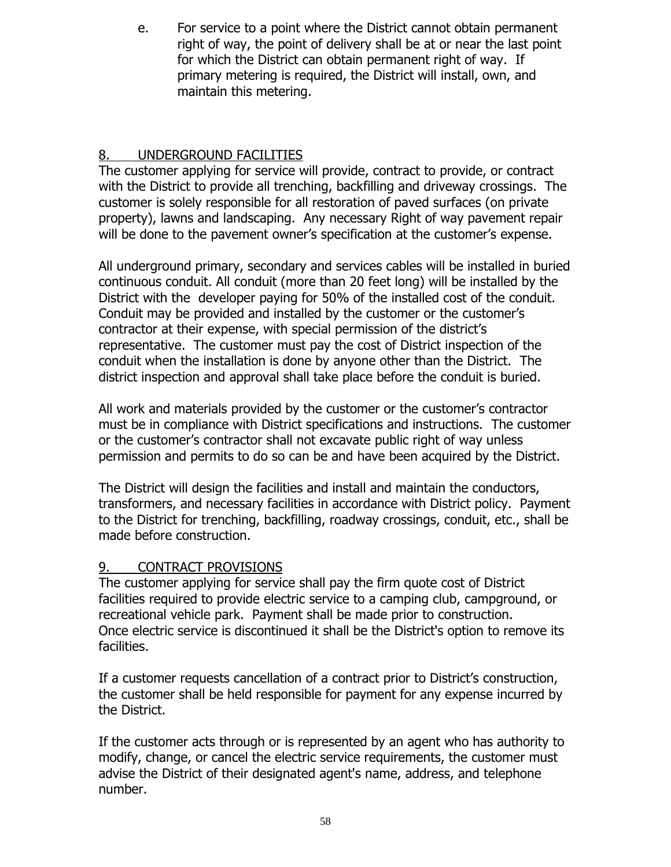e. For service to a point where the District cannot obtain permanent right of way, the point of delivery shall be at or near the last point for which the District can obtain permanent right of way. If primary metering is required, the District will install, own, and maintain this metering.

# 8. UNDERGROUND FACILITIES

The customer applying for service will provide, contract to provide, or contract with the District to provide all trenching, backfilling and driveway crossings. The customer is solely responsible for all restoration of paved surfaces (on private property), lawns and landscaping. Any necessary Right of way pavement repair will be done to the pavement owner's specification at the customer's expense.

All underground primary, secondary and services cables will be installed in buried continuous conduit. All conduit (more than 20 feet long) will be installed by the District with the developer paying for 50% of the installed cost of the conduit. Conduit may be provided and installed by the customer or the customer's contractor at their expense, with special permission of the district's representative. The customer must pay the cost of District inspection of the conduit when the installation is done by anyone other than the District. The district inspection and approval shall take place before the conduit is buried.

All work and materials provided by the customer or the customer's contractor must be in compliance with District specifications and instructions. The customer or the customer's contractor shall not excavate public right of way unless permission and permits to do so can be and have been acquired by the District.

The District will design the facilities and install and maintain the conductors, transformers, and necessary facilities in accordance with District policy. Payment to the District for trenching, backfilling, roadway crossings, conduit, etc., shall be made before construction.

# 9. CONTRACT PROVISIONS

The customer applying for service shall pay the firm quote cost of District facilities required to provide electric service to a camping club, campground, or recreational vehicle park. Payment shall be made prior to construction. Once electric service is discontinued it shall be the District's option to remove its facilities.

If a customer requests cancellation of a contract prior to District's construction, the customer shall be held responsible for payment for any expense incurred by the District.

If the customer acts through or is represented by an agent who has authority to modify, change, or cancel the electric service requirements, the customer must advise the District of their designated agent's name, address, and telephone number.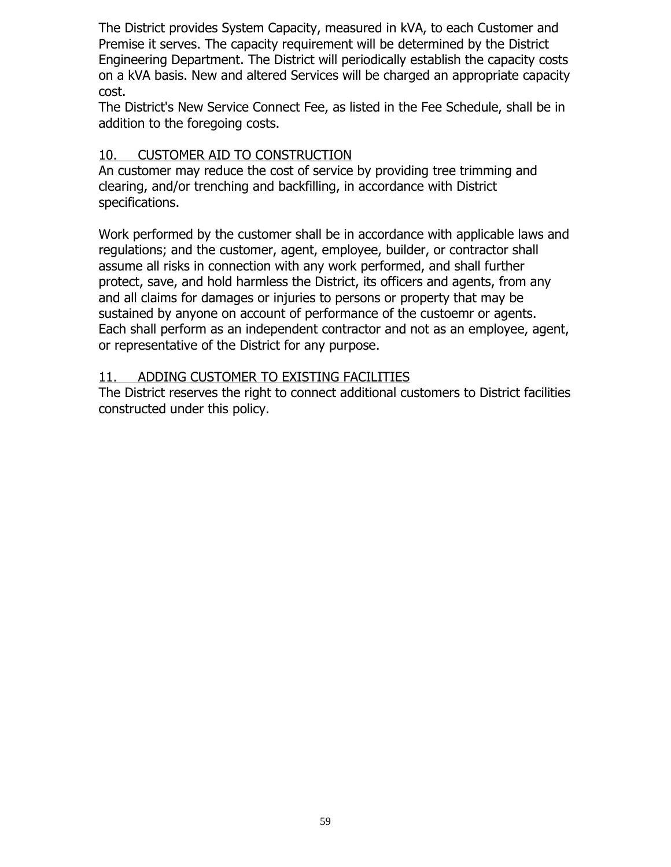The District provides System Capacity, measured in kVA, to each Customer and Premise it serves. The capacity requirement will be determined by the District Engineering Department. The District will periodically establish the capacity costs on a kVA basis. New and altered Services will be charged an appropriate capacity cost.

The District's New Service Connect Fee, as listed in the Fee Schedule, shall be in addition to the foregoing costs.

## 10. CUSTOMER AID TO CONSTRUCTION

An customer may reduce the cost of service by providing tree trimming and clearing, and/or trenching and backfilling, in accordance with District specifications.

Work performed by the customer shall be in accordance with applicable laws and regulations; and the customer, agent, employee, builder, or contractor shall assume all risks in connection with any work performed, and shall further protect, save, and hold harmless the District, its officers and agents, from any and all claims for damages or injuries to persons or property that may be sustained by anyone on account of performance of the custoemr or agents. Each shall perform as an independent contractor and not as an employee, agent, or representative of the District for any purpose.

### 11. ADDING CUSTOMER TO EXISTING FACILITIES

The District reserves the right to connect additional customers to District facilities constructed under this policy.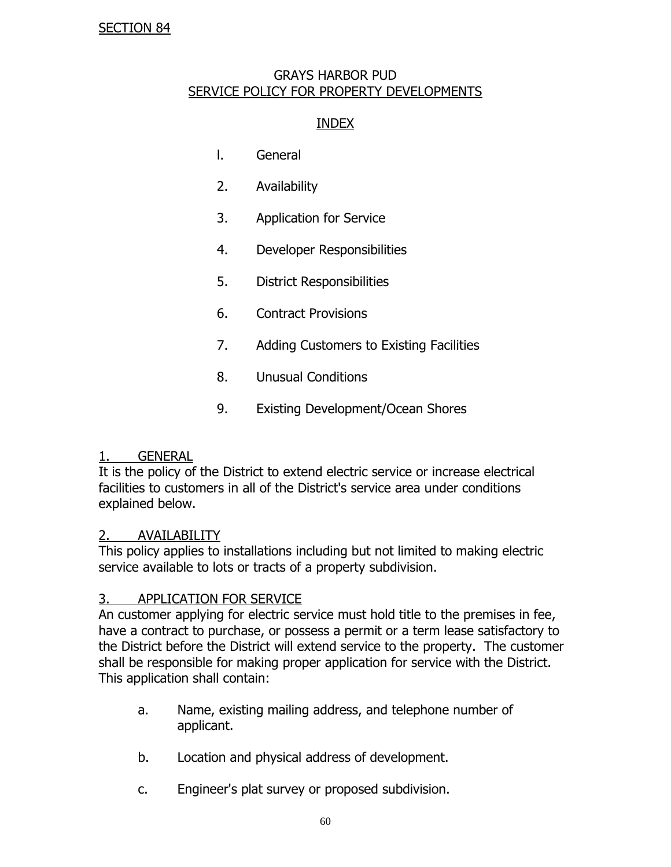#### GRAYS HARBOR PUD SERVICE POLICY FOR PROPERTY DEVELOPMENTS

### INDEX

- l. General
- 2. Availability
- 3. Application for Service
- 4. Developer Responsibilities
- 5. District Responsibilities
- 6. Contract Provisions
- 7. Adding Customers to Existing Facilities
- 8. Unusual Conditions
- 9. Existing Development/Ocean Shores

### 1. GENERAL

It is the policy of the District to extend electric service or increase electrical facilities to customers in all of the District's service area under conditions explained below.

### 2. AVAILABILITY

This policy applies to installations including but not limited to making electric service available to lots or tracts of a property subdivision.

### 3. APPLICATION FOR SERVICE

An customer applying for electric service must hold title to the premises in fee, have a contract to purchase, or possess a permit or a term lease satisfactory to the District before the District will extend service to the property. The customer shall be responsible for making proper application for service with the District. This application shall contain:

- a. Name, existing mailing address, and telephone number of applicant.
- b. Location and physical address of development.
- c. Engineer's plat survey or proposed subdivision.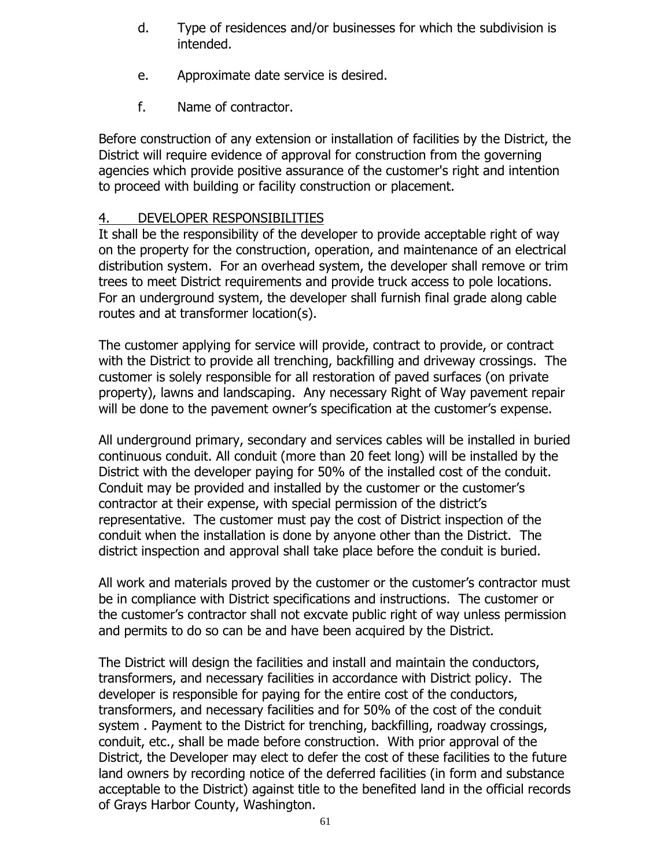- d. Type of residences and/or businesses for which the subdivision is intended.
- e. Approximate date service is desired.
- f. Name of contractor.

Before construction of any extension or installation of facilities by the District, the District will require evidence of approval for construction from the governing agencies which provide positive assurance of the customer's right and intention to proceed with building or facility construction or placement.

# 4. DEVELOPER RESPONSIBILITIES

It shall be the responsibility of the developer to provide acceptable right of way on the property for the construction, operation, and maintenance of an electrical distribution system. For an overhead system, the developer shall remove or trim trees to meet District requirements and provide truck access to pole locations. For an underground system, the developer shall furnish final grade along cable routes and at transformer location(s).

The customer applying for service will provide, contract to provide, or contract with the District to provide all trenching, backfilling and driveway crossings. The customer is solely responsible for all restoration of paved surfaces (on private property), lawns and landscaping. Any necessary Right of Way pavement repair will be done to the pavement owner's specification at the customer's expense.

All underground primary, secondary and services cables will be installed in buried continuous conduit. All conduit (more than 20 feet long) will be installed by the District with the developer paying for 50% of the installed cost of the conduit. Conduit may be provided and installed by the customer or the customer's contractor at their expense, with special permission of the district's representative. The customer must pay the cost of District inspection of the conduit when the installation is done by anyone other than the District. The district inspection and approval shall take place before the conduit is buried.

All work and materials proved by the customer or the customer's contractor must be in compliance with District specifications and instructions. The customer or the customer's contractor shall not excvate public right of way unless permission and permits to do so can be and have been acquired by the District.

The District will design the facilities and install and maintain the conductors, transformers, and necessary facilities in accordance with District policy. The developer is responsible for paying for the entire cost of the conductors, transformers, and necessary facilities and for 50% of the cost of the conduit system . Payment to the District for trenching, backfilling, roadway crossings, conduit, etc., shall be made before construction. With prior approval of the District, the Developer may elect to defer the cost of these facilities to the future land owners by recording notice of the deferred facilities (in form and substance acceptable to the District) against title to the benefited land in the official records of Grays Harbor County, Washington.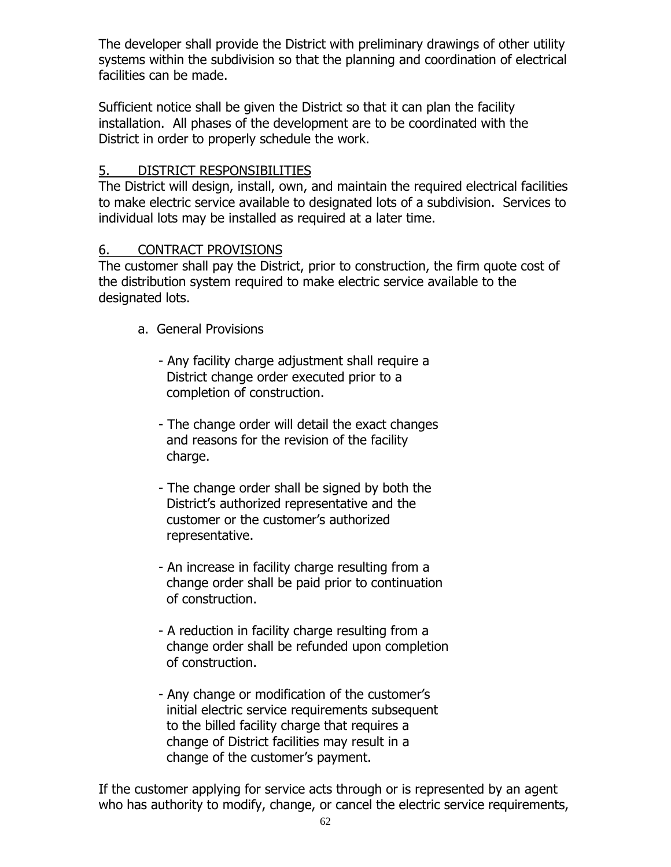The developer shall provide the District with preliminary drawings of other utility systems within the subdivision so that the planning and coordination of electrical facilities can be made.

Sufficient notice shall be given the District so that it can plan the facility installation. All phases of the development are to be coordinated with the District in order to properly schedule the work.

## 5. DISTRICT RESPONSIBILITIES

The District will design, install, own, and maintain the required electrical facilities to make electric service available to designated lots of a subdivision. Services to individual lots may be installed as required at a later time.

### 6. CONTRACT PROVISIONS

The customer shall pay the District, prior to construction, the firm quote cost of the distribution system required to make electric service available to the designated lots.

- a. General Provisions
	- Any facility charge adjustment shall require a District change order executed prior to a completion of construction.
	- The change order will detail the exact changes and reasons for the revision of the facility charge.
	- The change order shall be signed by both the District's authorized representative and the customer or the customer's authorized representative.
	- An increase in facility charge resulting from a change order shall be paid prior to continuation of construction.
	- A reduction in facility charge resulting from a change order shall be refunded upon completion of construction.
	- Any change or modification of the customer's initial electric service requirements subsequent to the billed facility charge that requires a change of District facilities may result in a change of the customer's payment.

If the customer applying for service acts through or is represented by an agent who has authority to modify, change, or cancel the electric service requirements,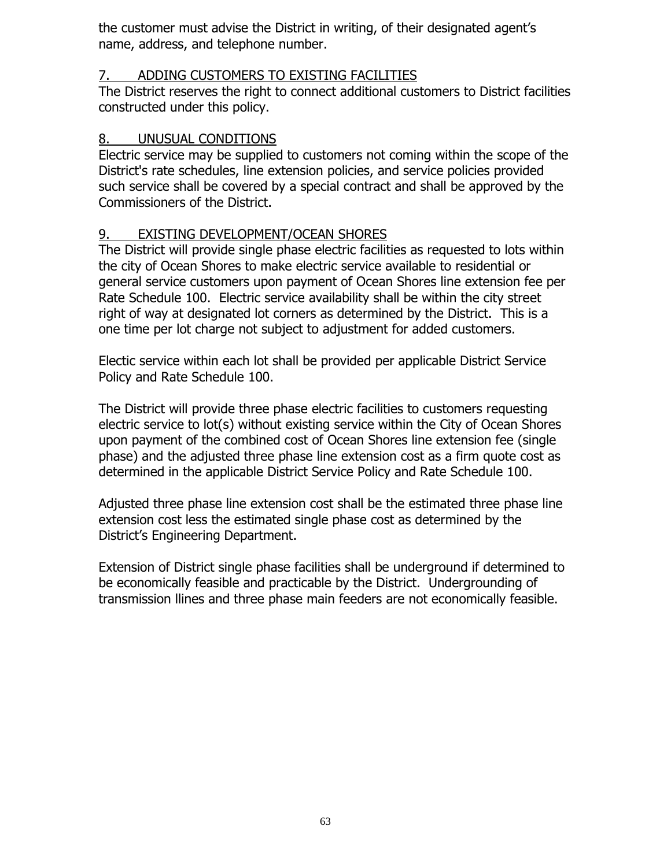the customer must advise the District in writing, of their designated agent's name, address, and telephone number.

## 7. ADDING CUSTOMERS TO EXISTING FACILITIES

The District reserves the right to connect additional customers to District facilities constructed under this policy.

## 8. UNUSUAL CONDITIONS

Electric service may be supplied to customers not coming within the scope of the District's rate schedules, line extension policies, and service policies provided such service shall be covered by a special contract and shall be approved by the Commissioners of the District.

# 9. EXISTING DEVELOPMENT/OCEAN SHORES

The District will provide single phase electric facilities as requested to lots within the city of Ocean Shores to make electric service available to residential or general service customers upon payment of Ocean Shores line extension fee per Rate Schedule 100. Electric service availability shall be within the city street right of way at designated lot corners as determined by the District. This is a one time per lot charge not subject to adjustment for added customers.

Electic service within each lot shall be provided per applicable District Service Policy and Rate Schedule 100.

The District will provide three phase electric facilities to customers requesting electric service to lot(s) without existing service within the City of Ocean Shores upon payment of the combined cost of Ocean Shores line extension fee (single phase) and the adjusted three phase line extension cost as a firm quote cost as determined in the applicable District Service Policy and Rate Schedule 100.

Adjusted three phase line extension cost shall be the estimated three phase line extension cost less the estimated single phase cost as determined by the District's Engineering Department.

Extension of District single phase facilities shall be underground if determined to be economically feasible and practicable by the District. Undergrounding of transmission llines and three phase main feeders are not economically feasible.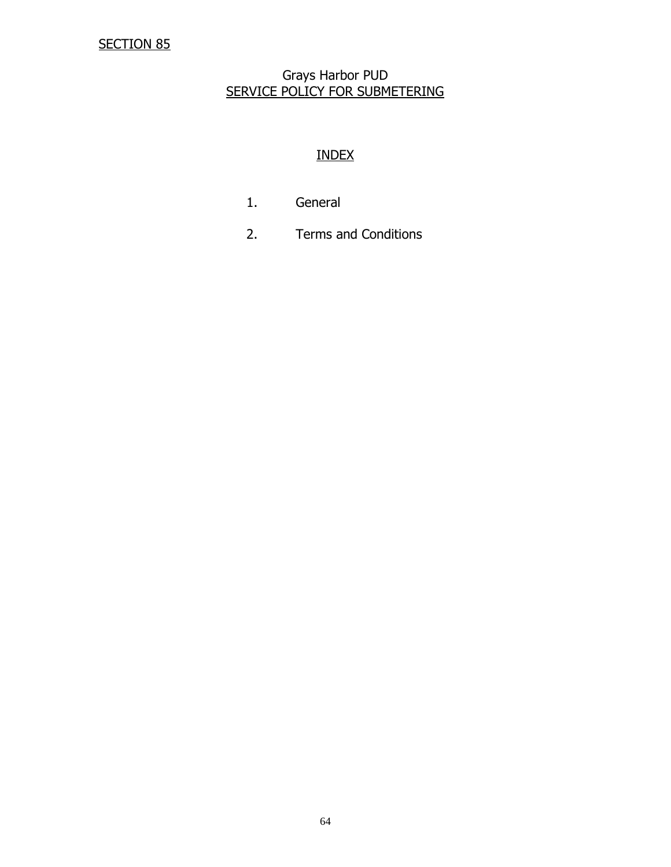#### Grays Harbor PUD SERVICE POLICY FOR SUBMETERING

## INDEX

- 1. General
- 2. Terms and Conditions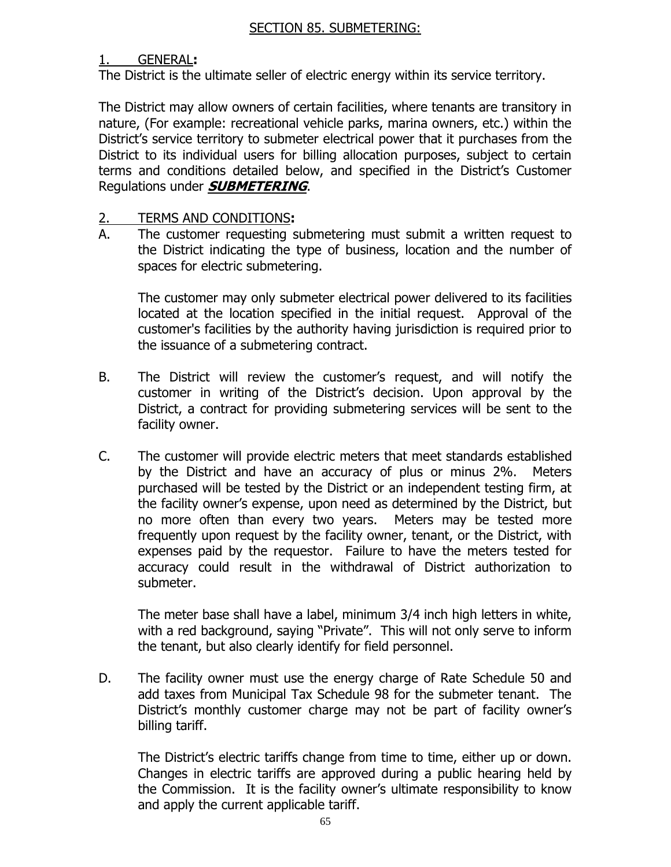#### 1. GENERAL**:**

The District is the ultimate seller of electric energy within its service territory.

The District may allow owners of certain facilities, where tenants are transitory in nature, (For example: recreational vehicle parks, marina owners, etc.) within the District's service territory to submeter electrical power that it purchases from the District to its individual users for billing allocation purposes, subject to certain terms and conditions detailed below, and specified in the District's Customer Regulations under **SUBMETERING**.

#### 2. TERMS AND CONDITIONS**:**

A. The customer requesting submetering must submit a written request to the District indicating the type of business, location and the number of spaces for electric submetering.

The customer may only submeter electrical power delivered to its facilities located at the location specified in the initial request. Approval of the customer's facilities by the authority having jurisdiction is required prior to the issuance of a submetering contract.

- B. The District will review the customer's request, and will notify the customer in writing of the District's decision. Upon approval by the District, a contract for providing submetering services will be sent to the facility owner.
- C. The customer will provide electric meters that meet standards established by the District and have an accuracy of plus or minus 2%. Meters purchased will be tested by the District or an independent testing firm, at the facility owner's expense, upon need as determined by the District, but no more often than every two years. Meters may be tested more frequently upon request by the facility owner, tenant, or the District, with expenses paid by the requestor. Failure to have the meters tested for accuracy could result in the withdrawal of District authorization to submeter.

The meter base shall have a label, minimum 3/4 inch high letters in white, with a red background, saying "Private". This will not only serve to inform the tenant, but also clearly identify for field personnel.

D. The facility owner must use the energy charge of Rate Schedule 50 and add taxes from Municipal Tax Schedule 98 for the submeter tenant. The District's monthly customer charge may not be part of facility owner's billing tariff.

The District's electric tariffs change from time to time, either up or down. Changes in electric tariffs are approved during a public hearing held by the Commission. It is the facility owner's ultimate responsibility to know and apply the current applicable tariff.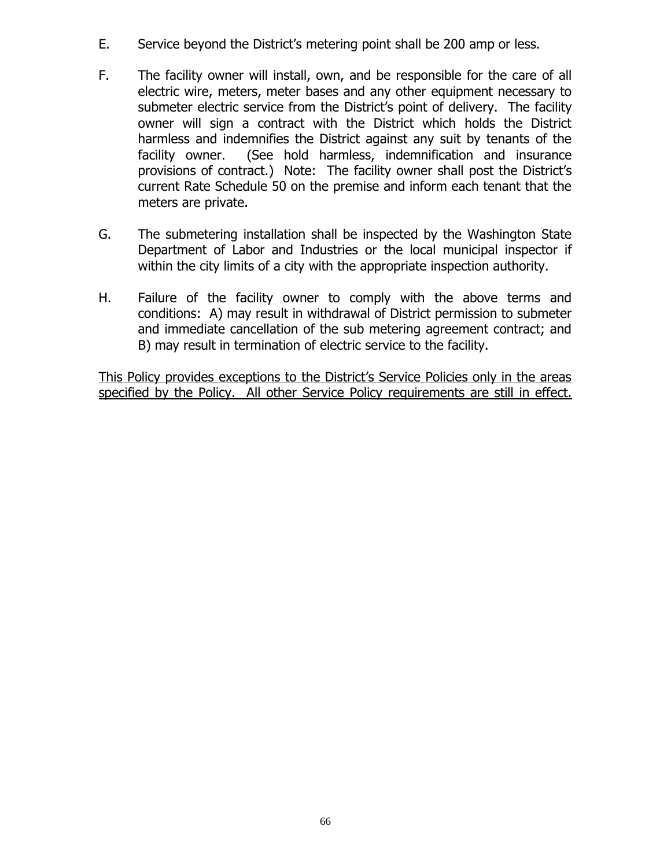- E. Service beyond the District's metering point shall be 200 amp or less.
- F. The facility owner will install, own, and be responsible for the care of all electric wire, meters, meter bases and any other equipment necessary to submeter electric service from the District's point of delivery. The facility owner will sign a contract with the District which holds the District harmless and indemnifies the District against any suit by tenants of the facility owner. (See hold harmless, indemnification and insurance provisions of contract.) Note: The facility owner shall post the District's current Rate Schedule 50 on the premise and inform each tenant that the meters are private.
- G. The submetering installation shall be inspected by the Washington State Department of Labor and Industries or the local municipal inspector if within the city limits of a city with the appropriate inspection authority.
- H. Failure of the facility owner to comply with the above terms and conditions: A) may result in withdrawal of District permission to submeter and immediate cancellation of the sub metering agreement contract; and B) may result in termination of electric service to the facility.

This Policy provides exceptions to the District's Service Policies only in the areas specified by the Policy. All other Service Policy requirements are still in effect.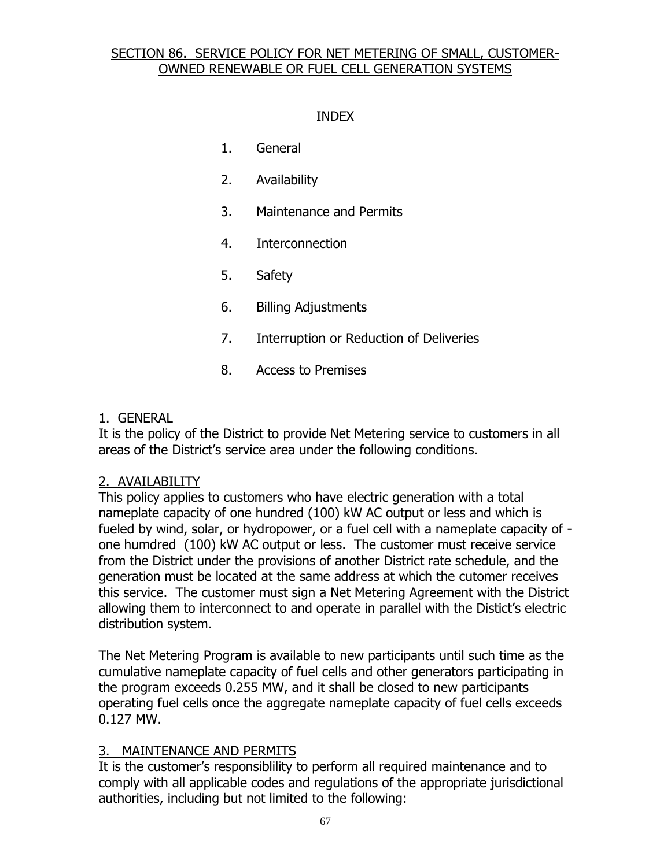### SECTION 86. SERVICE POLICY FOR NET METERING OF SMALL, CUSTOMER-OWNED RENEWABLE OR FUEL CELL GENERATION SYSTEMS

#### INDEX

- 1. General
- 2. Availability
- 3. Maintenance and Permits
- 4. Interconnection
- 5. Safety
- 6. Billing Adjustments
- 7. Interruption or Reduction of Deliveries
- 8. Access to Premises

#### 1. GENERAL

It is the policy of the District to provide Net Metering service to customers in all areas of the District's service area under the following conditions.

#### 2. AVAILABILITY

This policy applies to customers who have electric generation with a total nameplate capacity of one hundred (100) kW AC output or less and which is fueled by wind, solar, or hydropower, or a fuel cell with a nameplate capacity of one humdred (100) kW AC output or less. The customer must receive service from the District under the provisions of another District rate schedule, and the generation must be located at the same address at which the cutomer receives this service. The customer must sign a Net Metering Agreement with the District allowing them to interconnect to and operate in parallel with the Distict's electric distribution system.

The Net Metering Program is available to new participants until such time as the cumulative nameplate capacity of fuel cells and other generators participating in the program exceeds 0.255 MW, and it shall be closed to new participants operating fuel cells once the aggregate nameplate capacity of fuel cells exceeds 0.127 MW.

### 3. MAINTENANCE AND PERMITS

It is the customer's responsiblility to perform all required maintenance and to comply with all applicable codes and regulations of the appropriate jurisdictional authorities, including but not limited to the following: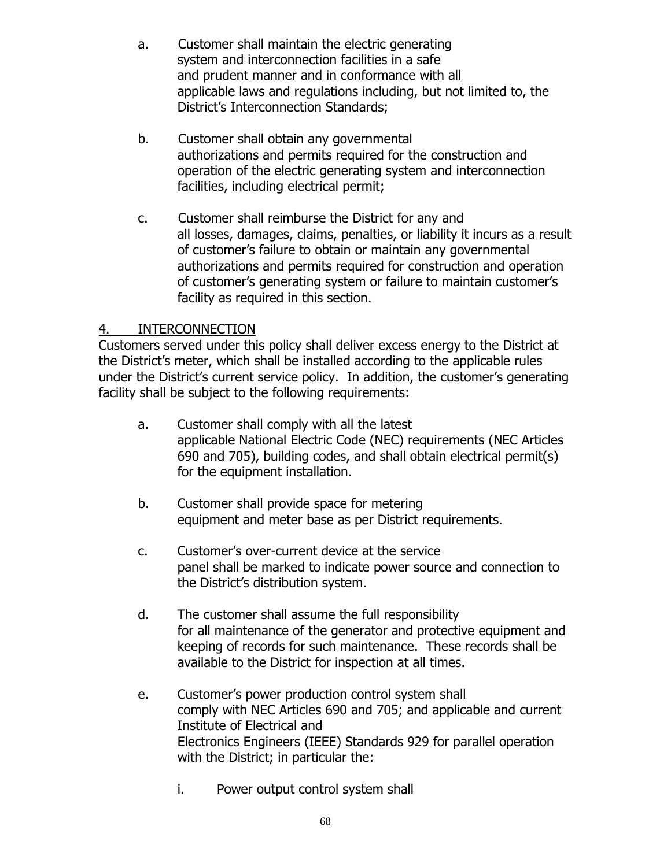- a. Customer shall maintain the electric generating system and interconnection facilities in a safe and prudent manner and in conformance with all applicable laws and regulations including, but not limited to, the District's Interconnection Standards;
- b. Customer shall obtain any governmental authorizations and permits required for the construction and operation of the electric generating system and interconnection facilities, including electrical permit;
- c. Customer shall reimburse the District for any and all losses, damages, claims, penalties, or liability it incurs as a result of customer's failure to obtain or maintain any governmental authorizations and permits required for construction and operation of customer's generating system or failure to maintain customer's facility as required in this section.

## 4. INTERCONNECTION

Customers served under this policy shall deliver excess energy to the District at the District's meter, which shall be installed according to the applicable rules under the District's current service policy. In addition, the customer's generating facility shall be subject to the following requirements:

- a. Customer shall comply with all the latest applicable National Electric Code (NEC) requirements (NEC Articles 690 and 705), building codes, and shall obtain electrical permit(s) for the equipment installation.
- b. Customer shall provide space for metering equipment and meter base as per District requirements.
- c. Customer's over-current device at the service panel shall be marked to indicate power source and connection to the District's distribution system.
- d. The customer shall assume the full responsibility for all maintenance of the generator and protective equipment and keeping of records for such maintenance. These records shall be available to the District for inspection at all times.
- e. Customer's power production control system shall comply with NEC Articles 690 and 705; and applicable and current Institute of Electrical and Electronics Engineers (IEEE) Standards 929 for parallel operation with the District; in particular the:
	- i. Power output control system shall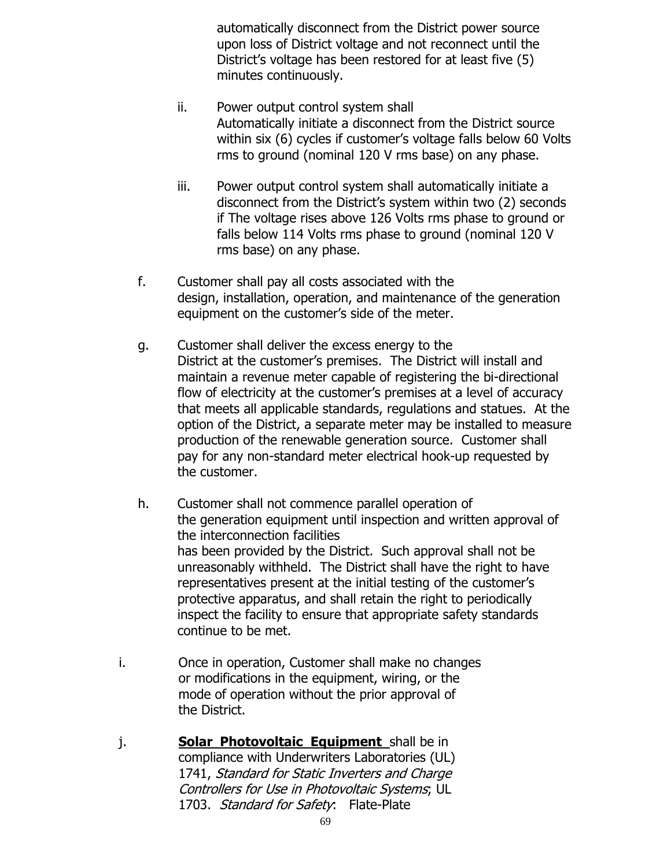automatically disconnect from the District power source upon loss of District voltage and not reconnect until the District's voltage has been restored for at least five (5) minutes continuously.

- ii. Power output control system shall Automatically initiate a disconnect from the District source within six (6) cycles if customer's voltage falls below 60 Volts rms to ground (nominal 120 V rms base) on any phase.
- iii. Power output control system shall automatically initiate a disconnect from the District's system within two (2) seconds if The voltage rises above 126 Volts rms phase to ground or falls below 114 Volts rms phase to ground (nominal 120 V rms base) on any phase.
- f. Customer shall pay all costs associated with the design, installation, operation, and maintenance of the generation equipment on the customer's side of the meter.
- g. Customer shall deliver the excess energy to the District at the customer's premises. The District will install and maintain a revenue meter capable of registering the bi-directional flow of electricity at the customer's premises at a level of accuracy that meets all applicable standards, regulations and statues. At the option of the District, a separate meter may be installed to measure production of the renewable generation source. Customer shall pay for any non-standard meter electrical hook-up requested by the customer.
- h. Customer shall not commence parallel operation of the generation equipment until inspection and written approval of the interconnection facilities has been provided by the District. Such approval shall not be unreasonably withheld. The District shall have the right to have representatives present at the initial testing of the customer's protective apparatus, and shall retain the right to periodically inspect the facility to ensure that appropriate safety standards continue to be met.
- i. Once in operation, Customer shall make no changes or modifications in the equipment, wiring, or the mode of operation without the prior approval of the District.
- j. **Solar Photovoltaic Equipment** shall be in compliance with Underwriters Laboratories (UL) 1741, Standard for Static Inverters and Charge Controllers for Use in Photovoltaic Systems; UL 1703. Standard for Safety: Flate-Plate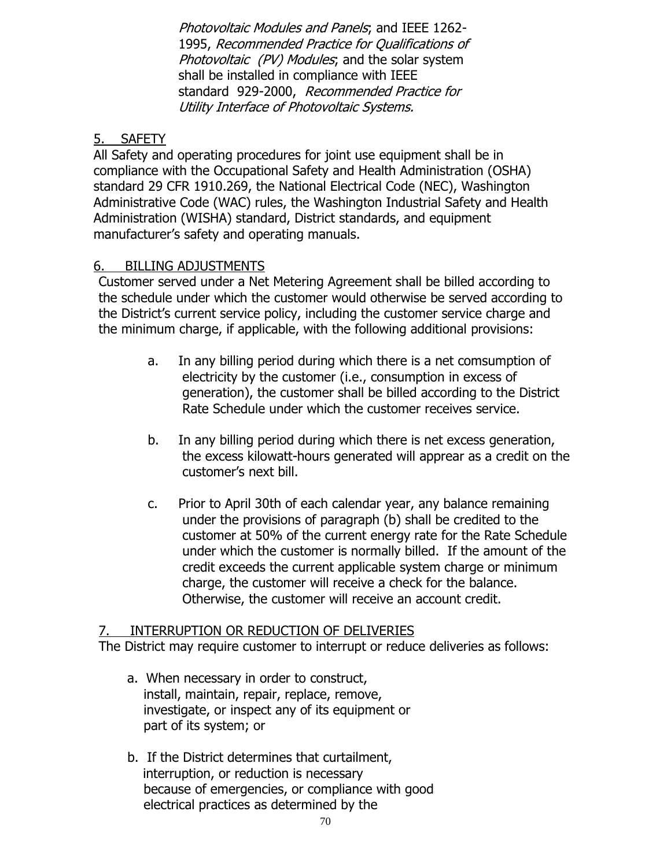Photovoltaic Modules and Panels; and IEEE 1262- 1995, Recommended Practice for Qualifications of Photovoltaic (PV) Modules; and the solar system shall be installed in compliance with IEEE standard 929-2000, Recommended Practice for Utility Interface of Photovoltaic Systems.

## 5. SAFETY

All Safety and operating procedures for joint use equipment shall be in compliance with the Occupational Safety and Health Administration (OSHA) standard 29 CFR 1910.269, the National Electrical Code (NEC), Washington Administrative Code (WAC) rules, the Washington Industrial Safety and Health Administration (WISHA) standard, District standards, and equipment manufacturer's safety and operating manuals.

# 6. BILLING ADJUSTMENTS

Customer served under a Net Metering Agreement shall be billed according to the schedule under which the customer would otherwise be served according to the District's current service policy, including the customer service charge and the minimum charge, if applicable, with the following additional provisions:

- a. In any billing period during which there is a net comsumption of electricity by the customer (i.e., consumption in excess of generation), the customer shall be billed according to the District Rate Schedule under which the customer receives service.
- b. In any billing period during which there is net excess generation, the excess kilowatt-hours generated will apprear as a credit on the customer's next bill.
- c. Prior to April 30th of each calendar year, any balance remaining under the provisions of paragraph (b) shall be credited to the customer at 50% of the current energy rate for the Rate Schedule under which the customer is normally billed. If the amount of the credit exceeds the current applicable system charge or minimum charge, the customer will receive a check for the balance. Otherwise, the customer will receive an account credit.

### 7. INTERRUPTION OR REDUCTION OF DELIVERIES

The District may require customer to interrupt or reduce deliveries as follows:

- a. When necessary in order to construct, install, maintain, repair, replace, remove, investigate, or inspect any of its equipment or part of its system; or
- b. If the District determines that curtailment, interruption, or reduction is necessary because of emergencies, or compliance with good electrical practices as determined by the